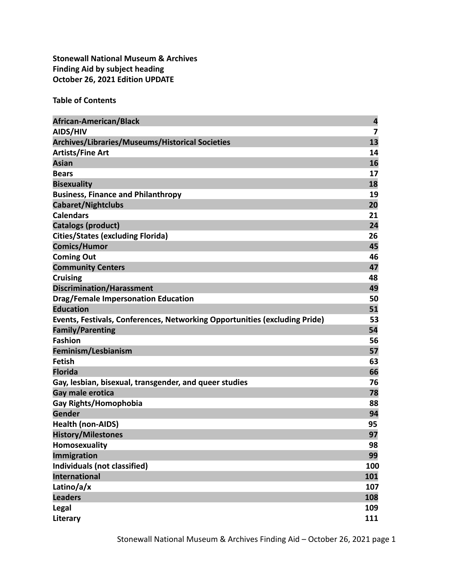**Stonewall National Museum & Archives Finding Aid by subject heading October 26, 2021 Edition UPDATE**

**Table of Contents**

| <b>African-American/Black</b>                                              | $\overline{\mathbf{r}}$ |
|----------------------------------------------------------------------------|-------------------------|
| AIDS/HIV                                                                   | 7                       |
| Archives/Libraries/Museums/Historical Societies                            | 13                      |
| <b>Artists/Fine Art</b>                                                    | 14                      |
| <b>Asian</b>                                                               | 16                      |
| <b>Bears</b>                                                               | 17                      |
| <b>Bisexuality</b>                                                         | 18                      |
| <b>Business, Finance and Philanthropy</b>                                  | 19                      |
| Cabaret/Nightclubs                                                         | 20                      |
| <b>Calendars</b>                                                           | 21                      |
| <b>Catalogs (product)</b>                                                  | 24                      |
| <b>Cities/States (excluding Florida)</b>                                   | 26                      |
| <b>Comics/Humor</b>                                                        | 45                      |
| <b>Coming Out</b>                                                          | 46                      |
| <b>Community Centers</b>                                                   | 47                      |
| <b>Cruising</b>                                                            | 48                      |
| <b>Discrimination/Harassment</b>                                           | 49                      |
| <b>Drag/Female Impersonation Education</b>                                 | 50                      |
| <b>Education</b>                                                           | 51                      |
| Events, Festivals, Conferences, Networking Opportunities (excluding Pride) | 53                      |
| <b>Family/Parenting</b>                                                    | 54                      |
| <b>Fashion</b>                                                             | 56                      |
| Feminism/Lesbianism                                                        | 57                      |
| <b>Fetish</b>                                                              | 63                      |
| <b>Florida</b>                                                             | 66                      |
| Gay, lesbian, bisexual, transgender, and queer studies                     | 76                      |
| Gay male erotica                                                           | 78                      |
| Gay Rights/Homophobia                                                      | 88                      |
| <b>Gender</b>                                                              | 94                      |
| <b>Health (non-AIDS)</b>                                                   | 95                      |
| <b>History/Milestones</b>                                                  | 97                      |
| Homosexuality                                                              | 98                      |
| <b>Immigration</b>                                                         | 99                      |
| Individuals (not classified)                                               | 100                     |
| <b>International</b>                                                       | 101                     |
| Latino/a/x                                                                 | 107                     |
| <b>Leaders</b>                                                             | 108                     |
| Legal                                                                      | 109                     |
| Literary                                                                   | 111                     |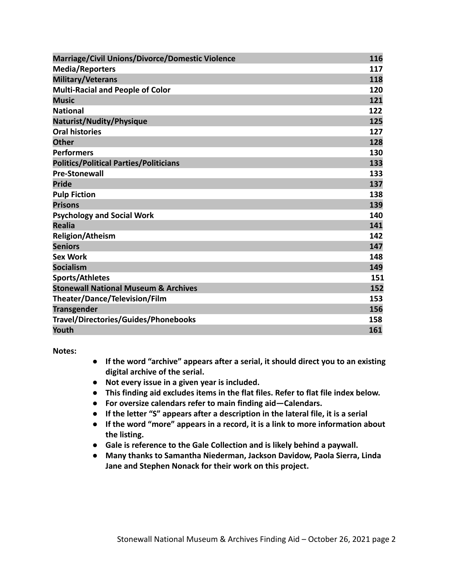| <b>Marriage/Civil Unions/Divorce/Domestic Violence</b> | 116 |
|--------------------------------------------------------|-----|
| <b>Media/Reporters</b>                                 | 117 |
| <b>Military/Veterans</b>                               | 118 |
| <b>Multi-Racial and People of Color</b>                | 120 |
| <b>Music</b>                                           | 121 |
| <b>National</b>                                        | 122 |
| Naturist/Nudity/Physique                               | 125 |
| <b>Oral histories</b>                                  | 127 |
| <b>Other</b>                                           | 128 |
| <b>Performers</b>                                      | 130 |
| <b>Politics/Political Parties/Politicians</b>          | 133 |
| <b>Pre-Stonewall</b>                                   | 133 |
| <b>Pride</b>                                           | 137 |
| <b>Pulp Fiction</b>                                    | 138 |
| <b>Prisons</b>                                         | 139 |
| <b>Psychology and Social Work</b>                      | 140 |
| <b>Realia</b>                                          | 141 |
| <b>Religion/Atheism</b>                                | 142 |
| <b>Seniors</b>                                         | 147 |
| <b>Sex Work</b>                                        | 148 |
| <b>Socialism</b>                                       | 149 |
| <b>Sports/Athletes</b>                                 | 151 |
| <b>Stonewall National Museum &amp; Archives</b>        | 152 |
| Theater/Dance/Television/Film                          | 153 |
| <b>Transgender</b>                                     | 156 |
| Travel/Directories/Guides/Phonebooks                   | 158 |
| Youth                                                  | 161 |

**Notes:**

- **● If the word "archive" appears after a serial, it should direct you to an existing digital archive of the serial.**
- **● Not every issue in a given year is included.**
- **● This finding aid excludes items in the flat files. Refer to flat file index below.**
- **● For oversize calendars refer to main finding aid—Calendars.**
- **● If the letter "S" appears after a description in the lateral file, it is a serial**
- **● If the word "more" appears in a record, it is a link to more information about the listing.**
- **● Gale is reference to the Gale Collection and is likely behind a paywall.**
- **● Many thanks to Samantha Niederman, Jackson Davidow, Paola Sierra, Linda Jane and Stephen Nonack for their work on this project.**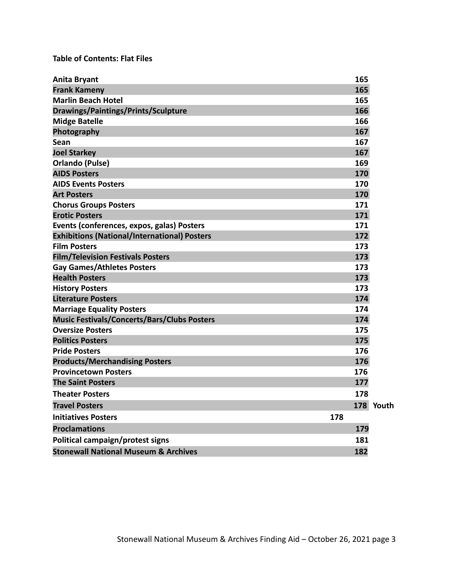# **Table of Contents: Flat Files**

| <b>Anita Bryant</b>                                 |     | 165       |  |
|-----------------------------------------------------|-----|-----------|--|
| <b>Frank Kameny</b>                                 |     | 165       |  |
| <b>Marlin Beach Hotel</b>                           |     | 165       |  |
| <b>Drawings/Paintings/Prints/Sculpture</b>          |     | 166       |  |
| <b>Midge Batelle</b>                                |     | 166       |  |
| Photography                                         |     | 167       |  |
| Sean                                                |     | 167       |  |
| <b>Joel Starkey</b>                                 |     | 167       |  |
| <b>Orlando (Pulse)</b>                              |     | 169       |  |
| <b>AIDS Posters</b>                                 |     | 170       |  |
| <b>AIDS Events Posters</b>                          |     | 170       |  |
| <b>Art Posters</b>                                  |     | 170       |  |
| <b>Chorus Groups Posters</b>                        |     | 171       |  |
| <b>Erotic Posters</b>                               |     | 171       |  |
| Events (conferences, expos, galas) Posters          |     | 171       |  |
| <b>Exhibitions (National/International) Posters</b> |     | 172       |  |
| <b>Film Posters</b>                                 |     | 173       |  |
| <b>Film/Television Festivals Posters</b>            |     | 173       |  |
| <b>Gay Games/Athletes Posters</b>                   |     | 173       |  |
| <b>Health Posters</b>                               |     | 173       |  |
| <b>History Posters</b>                              |     | 173       |  |
| <b>Literature Posters</b>                           |     | 174       |  |
| <b>Marriage Equality Posters</b>                    |     | 174       |  |
| <b>Music Festivals/Concerts/Bars/Clubs Posters</b>  |     | 174       |  |
| <b>Oversize Posters</b>                             |     | 175       |  |
| <b>Politics Posters</b>                             |     | 175       |  |
| <b>Pride Posters</b>                                |     | 176       |  |
| <b>Products/Merchandising Posters</b>               |     | 176       |  |
| <b>Provincetown Posters</b>                         |     | 176       |  |
| <b>The Saint Posters</b>                            |     | 177       |  |
| <b>Theater Posters</b>                              |     | 178       |  |
| <b>Travel Posters</b>                               |     | 178 Youth |  |
| <b>Initiatives Posters</b>                          | 178 |           |  |
| <b>Proclamations</b>                                |     | 179       |  |
| Political campaign/protest signs                    |     | 181       |  |
| <b>Stonewall National Museum &amp; Archives</b>     |     | 182       |  |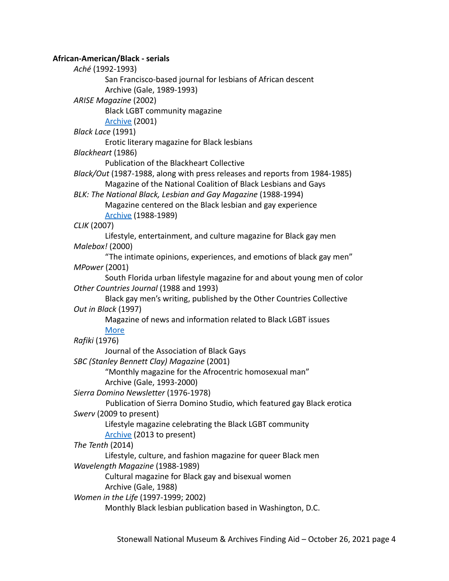# **African-American/Black - serials**

*Aché* (1992-1993) San Francisco-based journal for lesbians of African descent Archive (Gale, 1989-1993) *ARISE Magazine* (2002) Black LGBT community magazine [Archive](https://www.yumpu.com/en/document/read/25569292/arise-magazine) (2001) *Black Lace* (1991) Erotic literary magazine for Black lesbians *Blackheart* (1986) Publication of the Blackheart Collective *Black/Out* (1987-1988, along with press releases and reports from 1984-1985) Magazine of the National Coalition of Black Lesbians and Gays *BLK: The National Black, Lesbian and Gay Magazine* (1988-1994) Magazine centered on the Black lesbian and gay experience [Archive](https://nmaahc.si.edu/explore/collection/search?edan_local=1&edan_q=blk&) (1988-1989) *CLIK* (2007) Lifestyle, entertainment, and culture magazine for Black gay men *Malebox!* (2000) "The intimate opinions, experiences, and emotions of black gay men" *MPower* (2001) South Florida urban lifestyle magazine for and about young men of color *Other Countries Journal* (1988 and 1993) Black gay men's writing, published by the Other Countries Collective *Out in Black* (1997) Magazine of news and information related to Black LGBT issues [More](http://outhistory.org/exhibits/show/nc-lgbt/periodicals/out-in-black-2) *Rafiki* (1976) Journal of the Association of Black Gays *SBC (Stanley Bennett Clay) Magazine* (2001) "Monthly magazine for the Afrocentric homosexual man" Archive (Gale, 1993-2000) *Sierra Domino Newsletter* (1976-1978) Publication of Sierra Domino Studio, which featured gay Black erotica *Swerv* (2009 to present) Lifestyle magazine celebrating the Black LGBT community [Archive](https://en.calameo.com/accounts/3311902) (2013 to present) *The Tenth* (2014) Lifestyle, culture, and fashion magazine for queer Black men *Wavelength Magazine* (1988-1989) Cultural magazine for Black gay and bisexual women Archive (Gale, 1988) *Women in the Life* (1997-1999; 2002) Monthly Black lesbian publication based in Washington, D.C.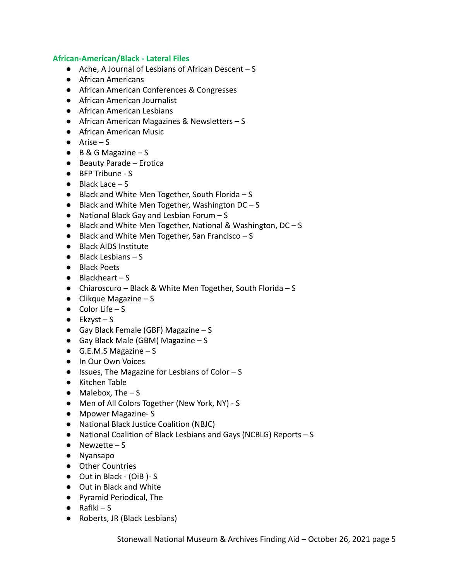## **African-American/Black - Lateral Files**

- Ache, A Journal of Lesbians of African Descent S
- African Americans
- African American Conferences & Congresses
- African American Journalist
- African American Lesbians
- African American Magazines & Newsletters S
- African American Music
- $\bullet$  Arise S
- B & G Magazine S
- Beauty Parade Erotica
- BFP Tribune S
- $\bullet$  Black Lace  $-S$
- Black and White Men Together, South Florida S
- Black and White Men Together, Washington DC S
- National Black Gay and Lesbian Forum S
- Black and White Men Together, National & Washington, DC S
- Black and White Men Together, San Francisco S
- Black AIDS Institute
- Black Lesbians S
- Black Poets
- $\bullet$  Blackheart S
- Chiaroscuro Black & White Men Together, South Florida S
- $\bullet$  Clikque Magazine S
- $\bullet$  Color Life S
- $\bullet$  Ekzyst S
- $\bullet$  Gay Black Female (GBF) Magazine S
- Gay Black Male (GBM) Magazine S
- $\bullet$  G.E.M.S Magazine S
- In Our Own Voices
- Issues, The Magazine for Lesbians of Color S
- Kitchen Table
- $\bullet$  Malebox, The  $-$  S
- Men of All Colors Together (New York, NY) S
- Mpower Magazine- S
- National Black Justice Coalition (NBJC)
- National Coalition of Black Lesbians and Gays (NCBLG) Reports S
- $\bullet$  Newzette S
- Nyansapo
- Other Countries
- Out in Black (OiB )- S
- Out in Black and White
- Pyramid Periodical, The
- $\bullet$  Rafiki S
- Roberts, JR (Black Lesbians)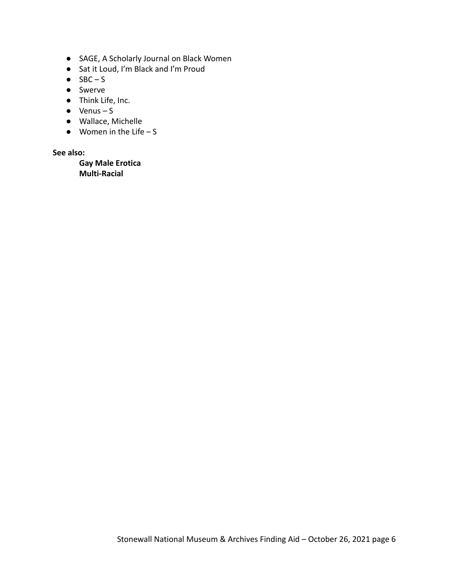- SAGE, A Scholarly Journal on Black Women
- Sat it Loud, I'm Black and I'm Proud
- $\bullet$  SBC S
- Swerve
- Think Life, Inc.
- $\bullet$  Venus S
- Wallace, Michelle
- $\bullet$  Women in the Life S

## **See also:**

**Gay Male Erotica Multi-Racial**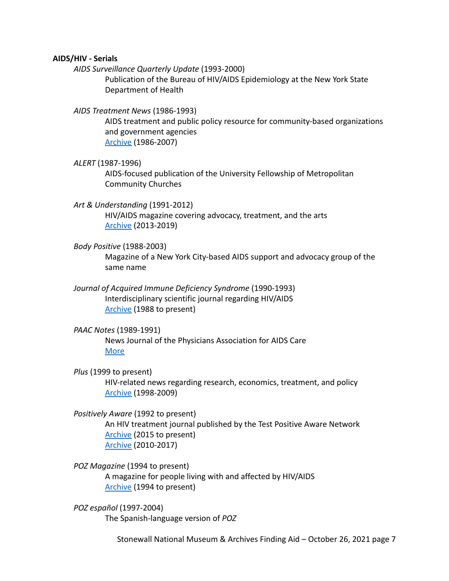#### **AIDS/HIV - Serials**

*AIDS Surveillance Quarterly Update* (1993-2000)

Publication of the Bureau of HIV/AIDS Epidemiology at the New York State Department of Health

*AIDS Treatment News* (1986-1993)

AIDS treatment and public policy resource for community-based organizations and government agencies [Archive](https://drive.google.com/drive/folders/1hoLFO5Y-0HL0fQpxlp-_KhM8F3EejM_D) (1986-2007)

#### *ALERT* (1987-1996)

AIDS-focused publication of the University Fellowship of Metropolitan Community Churches

- *Art & Understanding* (1991-2012) HIV/AIDS magazine covering advocacy, treatment, and the arts [Archive](https://issuu.com/aumagazine) (2013-2019)
- *Body Positive* (1988-2003)

Magazine of a New York City-based AIDS support and advocacy group of the same name

*Journal of Acquired Immune Deficiency Syndrome* (1990-1993) Interdisciplinary scientific journal regarding HIV/AIDS [Archive](https://journals.lww.com/jaids/Pages/issuelist.aspx) (1988 to present)

## *PAAC Notes* (1989-1991)

News Journal of the Physicians Association for AIDS Care [More](https://www.iapac.org/about/history/)

*Plus* (1999 to present)

HIV-related news regarding research, economics, treatment, and policy [Archive](https://books.google.com/books?id=o2UEAAAAMBAJ&dq=hiv+plus&source=gbs_all_issues_r&cad=1&atm_aiy=1990#all_issues_anchor) (1998-2009)

*Positively Aware* (1992 to present) An HIV treatment journal published by the Test Positive Aware Network [Archive](http://www.positivelyaware.com/archive) (2015 to present) [Archive](https://issuu.com/positivelyaware/docs) (2010-2017)

*POZ Magazine* (1994 to present) A magazine for people living with and affected by HIV/AIDS [Archive](https://www.poz.com/magazines) (1994 to present)

*POZ español* (1997-2004) The Spanish-language version of *POZ*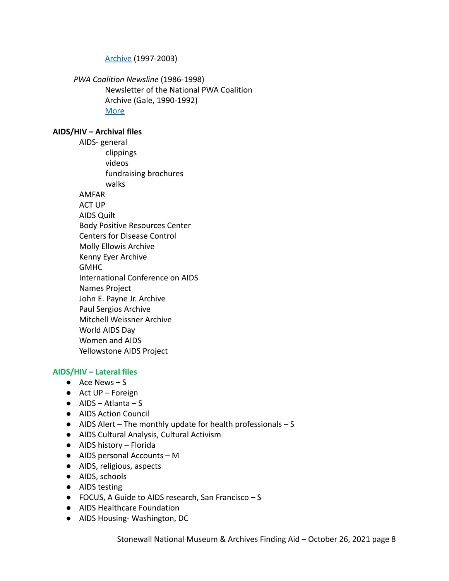## [Archive](https://www.poz.com/slideshow/poz-en-espanol-digital-editions) (1997-2003)

*PWA Coalition Newsline* (1986-1998) Newsletter of the National PWA Coalition Archive (Gale, 1990-1992) [More](http://archives.nypl.org/mss/2379)

# **AIDS/HIV – Archival files**

AIDS- general clippings videos fundraising brochures walks AMFAR ACT UP AIDS Quilt Body Positive Resources Center Centers for Disease Control Molly Ellowis Archive Kenny Eyer Archive **GMHC** International Conference on AIDS Names Project John E. Payne Jr. Archive Paul Sergios Archive Mitchell Weissner Archive World AIDS Day Women and AIDS Yellowstone AIDS Project

# **AIDS/HIV – Lateral files**

- $\bullet$  Ace News S
- Act UP Foreign
- $\bullet$  AIDS Atlanta S
- AIDS Action Council
- $\bullet$  AIDS Alert The monthly update for health professionals S
- AIDS Cultural Analysis, Cultural Activism
- AIDS history Florida
- AIDS personal Accounts M
- AIDS, religious, aspects
- AIDS, schools
- AIDS testing
- FOCUS, A Guide to AIDS research, San Francisco S
- AIDS Healthcare Foundation
- AIDS Housing- Washington, DC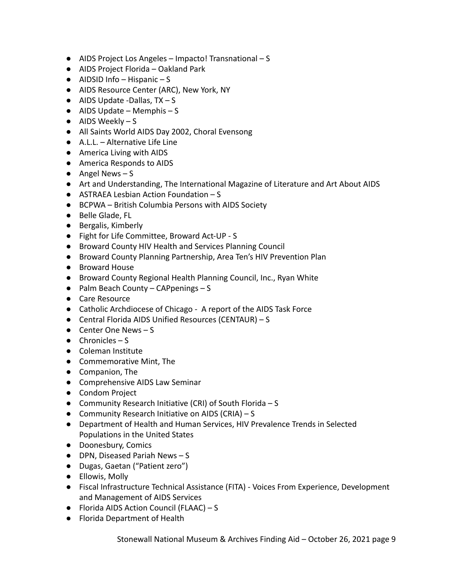- AIDS Project Los Angeles Impacto! Transnational S
- AIDS Project Florida Oakland Park
- $\bullet$  AIDSID Info Hispanic S
- AIDS Resource Center (ARC), New York, NY
- $\bullet$  AIDS Update -Dallas, TX S
- $\bullet$  AIDS Update Memphis S
- $\bullet$  AIDS Weekly S
- All Saints World AIDS Day 2002, Choral Evensong
- A.L.L. Alternative Life Line
- America Living with AIDS
- America Responds to AIDS
- $\bullet$  Angel News S
- Art and Understanding, The International Magazine of Literature and Art About AIDS
- ASTRAEA Lesbian Action Foundation S
- BCPWA British Columbia Persons with AIDS Society
- Belle Glade, FL
- Bergalis, Kimberly
- Fight for Life Committee, Broward Act-UP S
- Broward County HIV Health and Services Planning Council
- Broward County Planning Partnership, Area Ten's HIV Prevention Plan
- Broward House
- Broward County Regional Health Planning Council, Inc., Ryan White
- $\bullet$  Palm Beach County CAPpenings S
- Care Resource
- Catholic Archdiocese of Chicago A report of the AIDS Task Force
- Central Florida AIDS Unified Resources (CENTAUR) S
- $\bullet$  Center One News S
- $\bullet$  Chronicles S
- Coleman Institute
- Commemorative Mint, The
- Companion, The
- Comprehensive AIDS Law Seminar
- Condom Project
- Community Research Initiative (CRI) of South Florida S
- Community Research Initiative on AIDS (CRIA) S
- Department of Health and Human Services, HIV Prevalence Trends in Selected Populations in the United States
- Doonesbury, Comics
- DPN, Diseased Pariah News S
- Dugas, Gaetan ("Patient zero")
- Ellowis, Molly
- Fiscal Infrastructure Technical Assistance (FITA) Voices From Experience, Development and Management of AIDS Services
- Florida AIDS Action Council (FLAAC) S
- Florida Department of Health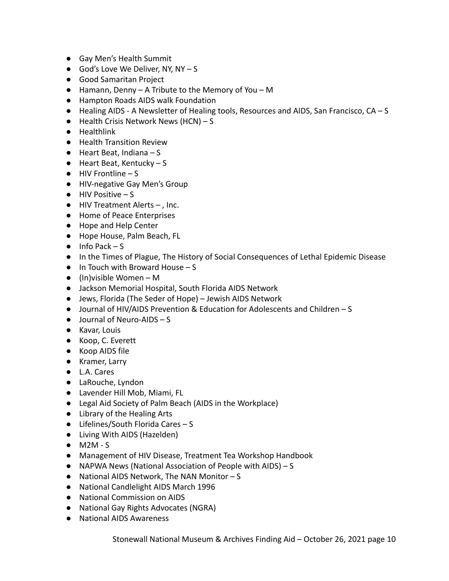- Gay Men's Health Summit
- $\bullet$  God's Love We Deliver, NY, NY S
- Good Samaritan Project
- Hamann, Denny A Tribute to the Memory of You M
- Hampton Roads AIDS walk Foundation
- Healing AIDS A Newsletter of Healing tools, Resources and AIDS, San Francisco, CA S
- $\bullet$  Health Crisis Network News (HCN) S
- Healthlink
- Health Transition Review
- $\bullet$  Heart Beat, Indiana S
- Heart Beat, Kentucky S
- $\bullet$  HIV Frontline S
- HIV-negative Gay Men's Group
- $\bullet$  HIV Positive  $-$  S
- HIV Treatment Alerts , Inc.
- Home of Peace Enterprises
- Hope and Help Center
- Hope House, Palm Beach, FL
- $\bullet$  Info Pack S
- In the Times of Plague, The History of Social Consequences of Lethal Epidemic Disease
- $\bullet$  In Touch with Broward House S
- $\bullet$  (In)visible Women M
- Jackson Memorial Hospital, South Florida AIDS Network
- Jews, Florida (The Seder of Hope) Jewish AIDS Network
- Journal of HIV/AIDS Prevention & Education for Adolescents and Children S
- $\bullet$  Journal of Neuro-AIDS S
- Kavar, Louis
- Koop, C. Everett
- Koop AIDS file
- Kramer, Larry
- L.A. Cares
- LaRouche, Lyndon
- Lavender Hill Mob, Miami, FL
- Legal Aid Society of Palm Beach (AIDS in the Workplace)
- Library of the Healing Arts
- Lifelines/South Florida Cares S
- Living With AIDS (Hazelden)
- M2M S
- Management of HIV Disease, Treatment Tea Workshop Handbook
- NAPWA News (National Association of People with AIDS) S
- National AIDS Network, The NAN Monitor S
- National Candlelight AIDS March 1996
- National Commission on AIDS
- National Gay Rights Advocates (NGRA)
- National AIDS Awareness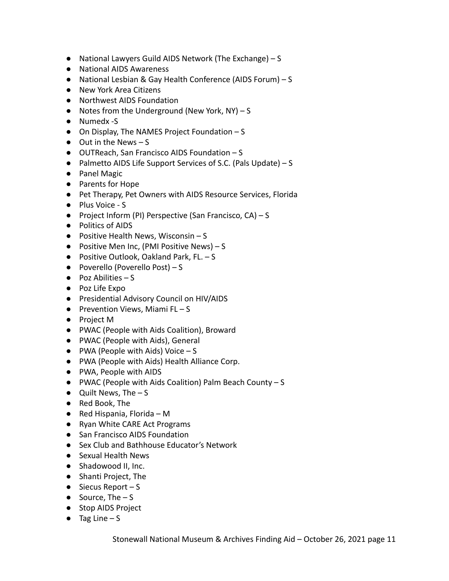- National Lawyers Guild AIDS Network (The Exchange) S
- National AIDS Awareness
- National Lesbian & Gay Health Conference (AIDS Forum) S
- New York Area Citizens
- Northwest AIDS Foundation
- Notes from the Underground (New York, NY) S
- Numedx -S
- On Display, The NAMES Project Foundation S
- $\bullet$  Out in the News S
- OUTReach, San Francisco AIDS Foundation S
- Palmetto AIDS Life Support Services of S.C. (Pals Update) S
- Panel Magic
- Parents for Hope
- Pet Therapy, Pet Owners with AIDS Resource Services, Florida
- Plus Voice S
- Project Inform (PI) Perspective (San Francisco, CA) S
- Politics of AIDS
- $\bullet$  Positive Health News, Wisconsin S
- $\bullet$  Positive Men Inc, (PMI Positive News) S
- $\bullet$  Positive Outlook, Oakland Park, FL.  $-$  S
- $\bullet$  Poverello (Poverello Post) S
- $\bullet$  Poz Abilities S
- Poz Life Expo
- Presidential Advisory Council on HIV/AIDS
- $\bullet$  Prevention Views, Miami FL S
- **●** Project M
- **●** PWAC (People with Aids Coalition), Broward
- **●** PWAC (People with Aids), General
- **●** PWA (People with Aids) Voice S
- **●** PWA (People with Aids) Health Alliance Corp.
- **●** PWA, People with AIDS
- **●** PWAC (People with Aids Coalition) Palm Beach County S
- **●** Quilt News, The S
- **●** Red Book, The
- **●** Red Hispania, Florida M
- **●** Ryan White CARE Act Programs
- **●** San Francisco AIDS Foundation
- **●** Sex Club and Bathhouse Educator's Network
- **●** Sexual Health News
- Shadowood II, Inc.
- Shanti Project, The
- $\bullet$  Siecus Report S
- $\bullet$  Source, The  $-$  S
- Stop AIDS Project
- $\bullet$  Tag Line S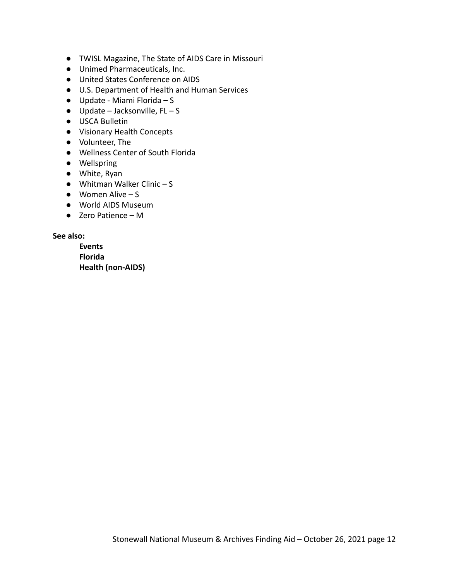- TWISL Magazine, The State of AIDS Care in Missouri
- Unimed Pharmaceuticals, Inc.
- United States Conference on AIDS
- U.S. Department of Health and Human Services
- $\bullet$  Update Miami Florida S
- $\bullet$  Update Jacksonville, FL S
- USCA Bulletin
- Visionary Health Concepts
- Volunteer, The
- Wellness Center of South Florida
- Wellspring
- White, Ryan
- $\bullet$  Whitman Walker Clinic S
- $\bullet$  Women Alive S
- World AIDS Museum
- Zero Patience M

**See also:**

**Events Florida Health (non-AIDS)**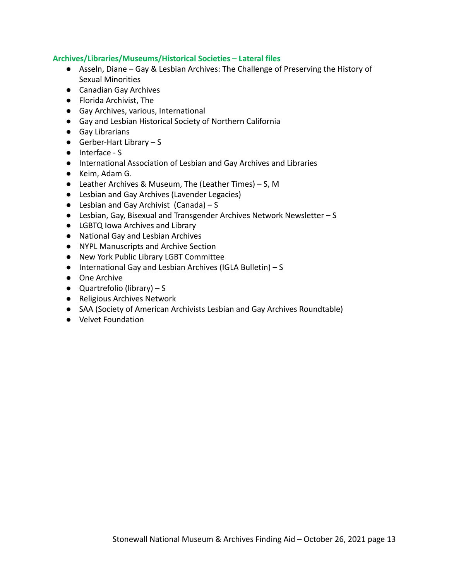## **Archives/Libraries/Museums/Historical Societies – Lateral files**

- Asseln, Diane Gay & Lesbian Archives: The Challenge of Preserving the History of Sexual Minorities
- Canadian Gay Archives
- Florida Archivist, The
- Gay Archives, various, International
- Gay and Lesbian Historical Society of Northern California
- Gay Librarians
- $\bullet$  Gerber-Hart Library S
- Interface S
- International Association of Lesbian and Gay Archives and Libraries
- Keim, Adam G.
- Leather Archives & Museum, The (Leather Times) S, M
- Lesbian and Gay Archives (Lavender Legacies)
- $\bullet$  Lesbian and Gay Archivist (Canada) S
- Lesbian, Gay, Bisexual and Transgender Archives Network Newsletter S
- LGBTQ Iowa Archives and Library
- National Gay and Lesbian Archives
- NYPL Manuscripts and Archive Section
- New York Public Library LGBT Committee
- International Gay and Lesbian Archives (IGLA Bulletin) S
- One Archive
- $\bullet$  Quartrefolio (library) S
- Religious Archives Network
- SAA (Society of American Archivists Lesbian and Gay Archives Roundtable)
- Velvet Foundation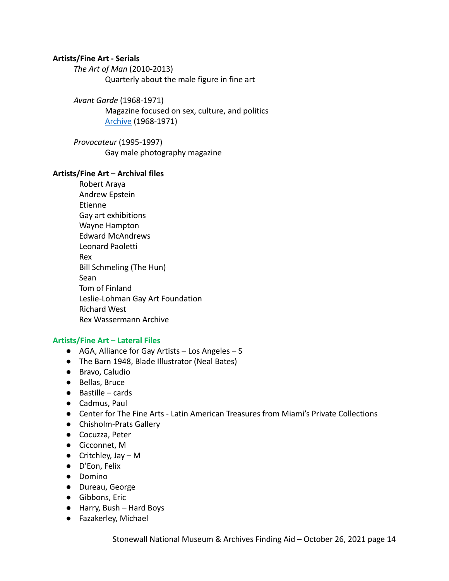## **Artists/Fine Art - Serials**

*The Art of Man* (2010-2013)

Quarterly about the male figure in fine art

*Avant Garde* (1968-1971)

Magazine focused on sex, culture, and politics [Archive](http://avantgarde.110west40th.com/) (1968-1971)

*Provocateur* (1995-1997) Gay male photography magazine

#### **Artists/Fine Art – Archival files**

Robert Araya Andrew Epstein Etienne Gay art exhibitions Wayne Hampton Edward McAndrews Leonard Paoletti Rex Bill Schmeling (The Hun) Sean Tom of Finland Leslie-Lohman Gay Art Foundation Richard West Rex Wassermann Archive

## **Artists/Fine Art – Lateral Files**

- AGA, Alliance for Gay Artists Los Angeles S
- The Barn 1948, Blade Illustrator (Neal Bates)
- Bravo, Caludio
- Bellas, Bruce
- Bastille cards
- Cadmus, Paul
- Center for The Fine Arts Latin American Treasures from Miami's Private Collections
- Chisholm-Prats Gallery
- Cocuzza, Peter
- Cicconnet, M
- $\bullet$  Critchley, Jay M
- D'Eon, Felix
- Domino
- Dureau, George
- Gibbons, Eric
- Harry, Bush Hard Boys
- Fazakerley, Michael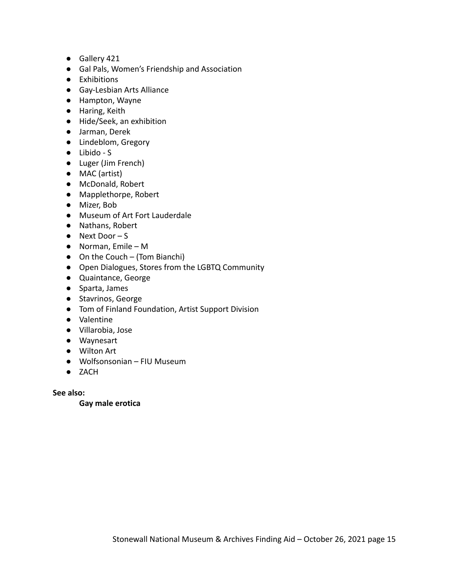- Gallery 421
- Gal Pals, Women's Friendship and Association
- Exhibitions
- Gay-Lesbian Arts Alliance
- Hampton, Wayne
- Haring, Keith
- Hide/Seek, an exhibition
- Jarman, Derek
- Lindeblom, Gregory
- Libido S
- Luger (Jim French)
- MAC (artist)
- McDonald, Robert
- Mapplethorpe, Robert
- Mizer, Bob
- Museum of Art Fort Lauderdale
- Nathans, Robert
- Next Door S
- Norman, Emile M
- $\bullet$  On the Couch (Tom Bianchi)
- Open Dialogues, Stores from the LGBTQ Community
- Quaintance, George
- Sparta, James
- Stavrinos, George
- Tom of Finland Foundation, Artist Support Division
- Valentine
- Villarobia, Jose
- Waynesart
- Wilton Art
- Wolfsonsonian FIU Museum
- ZACH

**See also:**

**Gay male erotica**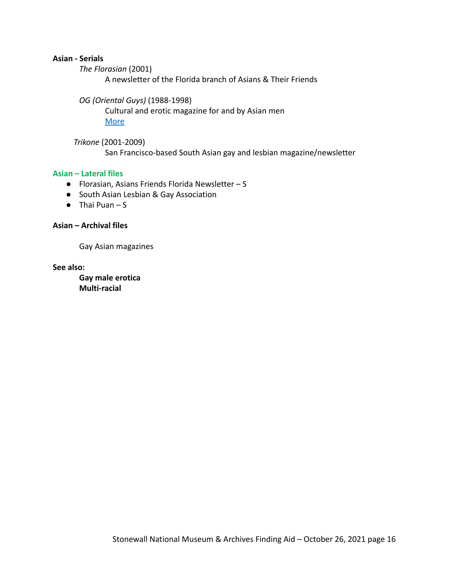#### **Asian - Serials**

*The Florasian* (2001)

A newsletter of the Florida branch of Asians & Their Friends

*OG (Oriental Guys)* (1988-1998)

Cultural and erotic magazine for and by Asian men [More](https://dearstraightpeople.com/2017/06/05/remembering-edward-chew-publisher-of-og-magazine/)

*Trikone* (2001-2009) San Francisco-based South Asian gay and lesbian magazine/newsletter

#### **Asian – Lateral files**

- Florasian, Asians Friends Florida Newsletter S
- South Asian Lesbian & Gay Association
- $\bullet$  Thai Puan S

#### **Asian – Archival files**

Gay Asian magazines

**See also:**

**Gay male erotica Multi-racial**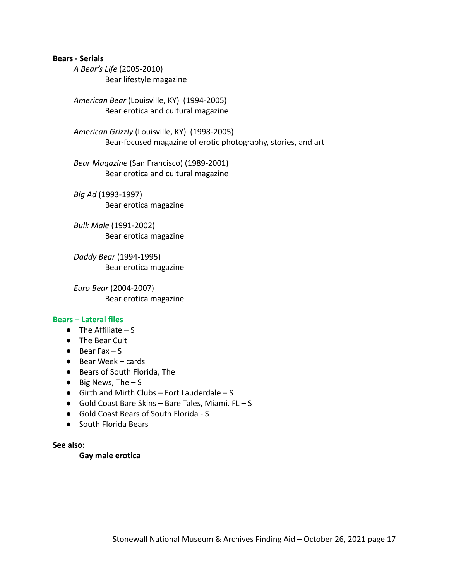#### **Bears - Serials**

*A Bear's Life* (2005-2010) Bear lifestyle magazine

*American Bear* (Louisville, KY) (1994-2005) Bear erotica and cultural magazine

*American Grizzly* (Louisville, KY) (1998-2005) Bear-focused magazine of erotic photography, stories, and art

*Bear Magazine* (San Francisco) (1989-2001) Bear erotica and cultural magazine

*Big Ad* (1993-1997) Bear erotica magazine

*Bulk Male* (1991-2002) Bear erotica magazine

*Daddy Bear* (1994-1995) Bear erotica magazine

*Euro Bear* (2004-2007) Bear erotica magazine

#### **Bears – Lateral files**

- $\bullet$  The Affiliate S
- The Bear Cult
- $\bullet$  Bear Fax S
- Bear Week cards
- Bears of South Florida, The
- $\bullet$  Big News, The  $-$  S
- $\bullet$  Girth and Mirth Clubs Fort Lauderdale S
- Gold Coast Bare Skins Bare Tales, Miami. FL S
- Gold Coast Bears of South Florida S
- South Florida Bears

#### **See also:**

#### **Gay male erotica**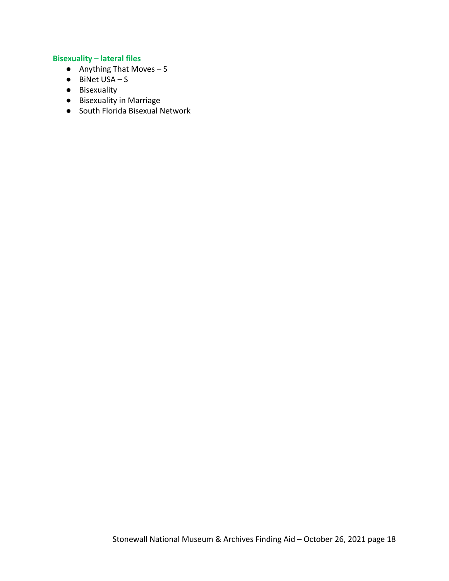# **Bisexuality – lateral files**

- $\bullet$  Anything That Moves S
- $\bullet$  BiNet USA S
- Bisexuality
- Bisexuality in Marriage
- South Florida Bisexual Network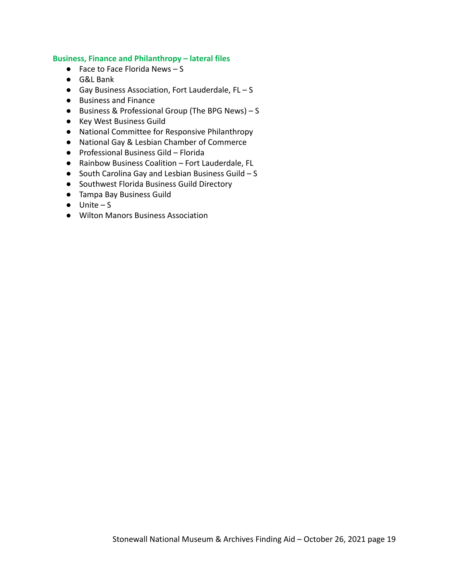#### **Business, Finance and Philanthropy – lateral files**

- $\bullet$  Face to Face Florida News S
- G&L Bank
- Gay Business Association, Fort Lauderdale, FL S
- Business and Finance
- Business & Professional Group (The BPG News) S
- Key West Business Guild
- National Committee for Responsive Philanthropy
- National Gay & Lesbian Chamber of Commerce
- Professional Business Gild Florida
- Rainbow Business Coalition Fort Lauderdale, FL
- South Carolina Gay and Lesbian Business Guild S
- Southwest Florida Business Guild Directory
- Tampa Bay Business Guild
- $\bullet$  Unite S
- Wilton Manors Business Association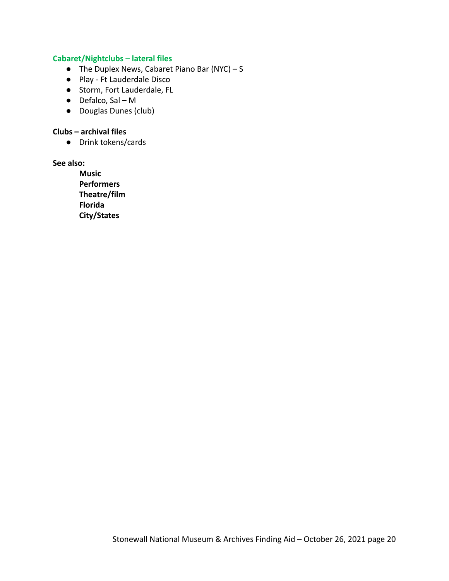# **Cabaret/Nightclubs – lateral files**

- $\bullet$  The Duplex News, Cabaret Piano Bar (NYC) S
- Play Ft Lauderdale Disco
- Storm, Fort Lauderdale, FL
- Defalco, Sal M
- Douglas Dunes (club)

# **Clubs – archival files**

● Drink tokens/cards

# **See also:**

**Music Performers Theatre/film Florida City/States**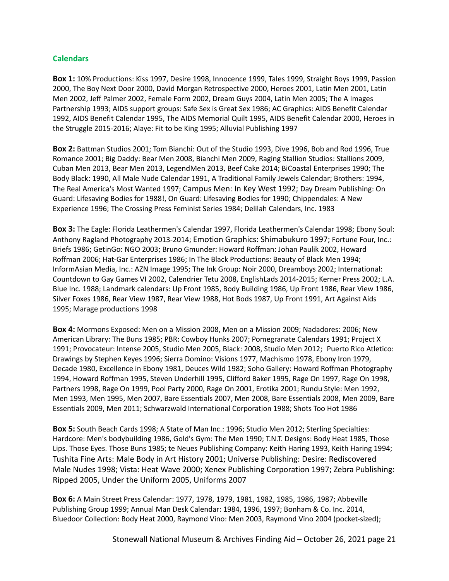### **Calendars**

**Box 1:** 10% Productions: Kiss 1997, Desire 1998, Innocence 1999, Tales 1999, Straight Boys 1999, Passion 2000, The Boy Next Door 2000, David Morgan Retrospective 2000, Heroes 2001, Latin Men 2001, Latin Men 2002, Jeff Palmer 2002, Female Form 2002, Dream Guys 2004, Latin Men 2005; The A Images Partnership 1993; AIDS support groups: Safe Sex is Great Sex 1986; AC Graphics: AIDS Benefit Calendar 1992, AIDS Benefit Calendar 1995, The AIDS Memorial Quilt 1995, AIDS Benefit Calendar 2000, Heroes in the Struggle 2015-2016; Alaye: Fit to be King 1995; Alluvial Publishing 1997

**Box 2:** Battman Studios 2001; Tom Bianchi: Out of the Studio 1993, Dive 1996, Bob and Rod 1996, True Romance 2001; Big Daddy: Bear Men 2008, Bianchi Men 2009, Raging Stallion Studios: Stallions 2009, Cuban Men 2013, Bear Men 2013, LegendMen 2013, Beef Cake 2014; BiCoastal Enterprises 1990; The Body Black: 1990, All Male Nude Calendar 1991, A Traditional Family Jewels Calendar; Brothers: 1994, The Real America's Most Wanted 1997; Campus Men: In Key West 1992; Day Dream Publishing: On Guard: Lifesaving Bodies for 1988!, On Guard: Lifesaving Bodies for 1990; Chippendales: A New Experience 1996; The Crossing Press Feminist Series 1984; Delilah Calendars, Inc. 1983

**Box 3:** The Eagle: Florida Leathermen's Calendar 1997, Florida Leathermen's Calendar 1998; Ebony Soul: Anthony Ragland Photography 2013-2014; Emotion Graphics: Shimabukuro 1997; Fortune Four, Inc.: Briefs 1986; GetinGo: NGO 2003; Bruno Gmunder: Howard Roffman: Johan Paulik 2002, Howard Roffman 2006; Hat-Gar Enterprises 1986; In The Black Productions: Beauty of Black Men 1994; InformAsian Media, Inc.: AZN Image 1995; The Ink Group: Noir 2000, Dreamboys 2002; International: Countdown to Gay Games VI 2002, Calendrier Tetu 2008, EnglishLads 2014-2015; Kerner Press 2002; L.A. Blue Inc. 1988; Landmark calendars: Up Front 1985, Body Building 1986, Up Front 1986, Rear View 1986, Silver Foxes 1986, Rear View 1987, Rear View 1988, Hot Bods 1987, Up Front 1991, Art Against Aids 1995; Marage productions 1998

**Box 4:** Mormons Exposed: Men on a Mission 2008, Men on a Mission 2009; Nadadores: 2006; New American Library: The Buns 1985; PBR: Cowboy Hunks 2007; Pomegranate Calendars 1991; Project X 1991; Provocateur: Intense 2005, Studio Men 2005, Black: 2008, Studio Men 2012; Puerto Rico Atletico: Drawings by Stephen Keyes 1996; Sierra Domino: Visions 1977, Machismo 1978, Ebony Iron 1979, Decade 1980, Excellence in Ebony 1981, Deuces Wild 1982; Soho Gallery: Howard Roffman Photography 1994, Howard Roffman 1995, Steven Underhill 1995, Clifford Baker 1995, Rage On 1997, Rage On 1998, Partners 1998, Rage On 1999, Pool Party 2000, Rage On 2001, Erotika 2001; Rundu Style: Men 1992, Men 1993, Men 1995, Men 2007, Bare Essentials 2007, Men 2008, Bare Essentials 2008, Men 2009, Bare Essentials 2009, Men 2011; Schwarzwald International Corporation 1988; Shots Too Hot 1986

**Box 5:** South Beach Cards 1998; A State of Man Inc.: 1996; Studio Men 2012; Sterling Specialties: Hardcore: Men's bodybuilding 1986, Gold's Gym: The Men 1990; T.N.T. Designs: Body Heat 1985, Those Lips. Those Eyes. Those Buns 1985; te Neues Publishing Company: Keith Haring 1993, Keith Haring 1994; Tushita Fine Arts: Male Body in Art History 2001; Universe Publishing: Desire: Rediscovered Male Nudes 1998; Vista: Heat Wave 2000; Xenex Publishing Corporation 1997; Zebra Publishing: Ripped 2005, Under the Uniform 2005, Uniforms 2007

**Box 6:** A Main Street Press Calendar: 1977, 1978, 1979, 1981, 1982, 1985, 1986, 1987; Abbeville Publishing Group 1999; Annual Man Desk Calendar: 1984, 1996, 1997; Bonham & Co. Inc. 2014, Bluedoor Collection: Body Heat 2000, Raymond Vino: Men 2003, Raymond Vino 2004 (pocket-sized);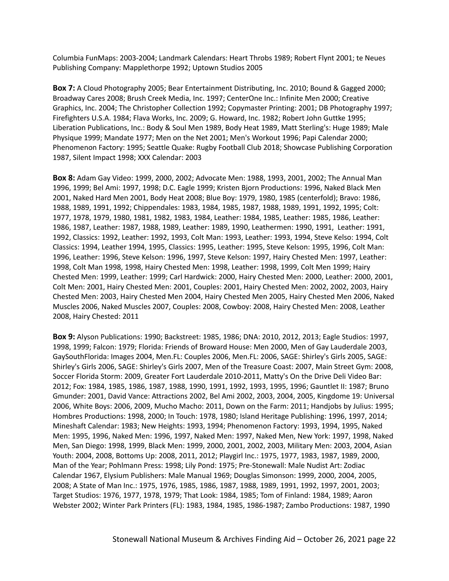Columbia FunMaps: 2003-2004; Landmark Calendars: Heart Throbs 1989; Robert Flynt 2001; te Neues Publishing Company: Mapplethorpe 1992; Uptown Studios 2005

**Box 7:** A Cloud Photography 2005; Bear Entertainment Distributing, Inc. 2010; Bound & Gagged 2000; Broadway Cares 2008; Brush Creek Media, Inc. 1997; CenterOne Inc.: Infinite Men 2000; Creative Graphics, Inc. 2004; The Christopher Collection 1992; Copymaster Printing: 2001; DB Photography 1997; Firefighters U.S.A. 1984; Flava Works, Inc. 2009; G. Howard, Inc. 1982; Robert John Guttke 1995; Liberation Publications, Inc.: Body & Soul Men 1989, Body Heat 1989, Matt Sterling's: Huge 1989; Male Physique 1999; Mandate 1977; Men on the Net 2001; Men's Workout 1996; Papi Calendar 2000; Phenomenon Factory: 1995; Seattle Quake: Rugby Football Club 2018; Showcase Publishing Corporation 1987, Silent Impact 1998; XXX Calendar: 2003

**Box 8:** Adam Gay Video: 1999, 2000, 2002; Advocate Men: 1988, 1993, 2001, 2002; The Annual Man 1996, 1999; Bel Ami: 1997, 1998; D.C. Eagle 1999; Kristen Bjorn Productions: 1996, Naked Black Men 2001, Naked Hard Men 2001, Body Heat 2008; Blue Boy: 1979, 1980, 1985 (centerfold); Bravo: 1986, 1988, 1989, 1991, 1992; Chippendales: 1983, 1984, 1985, 1987, 1988, 1989, 1991, 1992, 1995; Colt: 1977, 1978, 1979, 1980, 1981, 1982, 1983, 1984, Leather: 1984, 1985, Leather: 1985, 1986, Leather: 1986, 1987, Leather: 1987, 1988, 1989, Leather: 1989, 1990, Leathermen: 1990, 1991, Leather: 1991, 1992, Classics: 1992, Leather: 1992, 1993, Colt Man: 1993, Leather: 1993, 1994, Steve Kelso: 1994, Colt Classics: 1994, Leather 1994, 1995, Classics: 1995, Leather: 1995, Steve Kelson: 1995, 1996, Colt Man: 1996, Leather: 1996, Steve Kelson: 1996, 1997, Steve Kelson: 1997, Hairy Chested Men: 1997, Leather: 1998, Colt Man 1998, 1998, Hairy Chested Men: 1998, Leather: 1998, 1999, Colt Men 1999; Hairy Chested Men: 1999, Leather: 1999; Carl Hardwick: 2000, Hairy Chested Men: 2000, Leather: 2000, 2001, Colt Men: 2001, Hairy Chested Men: 2001, Couples: 2001, Hairy Chested Men: 2002, 2002, 2003, Hairy Chested Men: 2003, Hairy Chested Men 2004, Hairy Chested Men 2005, Hairy Chested Men 2006, Naked Muscles 2006, Naked Muscles 2007, Couples: 2008, Cowboy: 2008, Hairy Chested Men: 2008, Leather 2008, Hairy Chested: 2011

**Box 9:** Alyson Publications: 1990; Backstreet: 1985, 1986; DNA: 2010, 2012, 2013; Eagle Studios: 1997, 1998, 1999; Falcon: 1979; Florida: Friends of Broward House: Men 2000, Men of Gay Lauderdale 2003, GaySouthFlorida: Images 2004, Men.FL: Couples 2006, Men.FL: 2006, SAGE: Shirley's Girls 2005, SAGE: Shirley's Girls 2006, SAGE: Shirley's Girls 2007, Men of the Treasure Coast: 2007, Main Street Gym: 2008, Soccer Florida Storm: 2009, Greater Fort Lauderdale 2010-2011, Matty's On the Drive Deli Video Bar: 2012; Fox: 1984, 1985, 1986, 1987, 1988, 1990, 1991, 1992, 1993, 1995, 1996; Gauntlet II: 1987; Bruno Gmunder: 2001, David Vance: Attractions 2002, Bel Ami 2002, 2003, 2004, 2005, Kingdome 19: Universal 2006, White Boys: 2006, 2009, Mucho Macho: 2011, Down on the Farm: 2011; Handjobs by Julius: 1995; Hombres Productions: 1998, 2000; In Touch: 1978, 1980; Island Heritage Publishing: 1996, 1997, 2014; Mineshaft Calendar: 1983; New Heights: 1993, 1994; Phenomenon Factory: 1993, 1994, 1995, Naked Men: 1995, 1996, Naked Men: 1996, 1997, Naked Men: 1997, Naked Men, New York: 1997, 1998, Naked Men, San Diego: 1998, 1999, Black Men: 1999, 2000, 2001, 2002, 2003, Military Men: 2003, 2004, Asian Youth: 2004, 2008, Bottoms Up: 2008, 2011, 2012; Playgirl Inc.: 1975, 1977, 1983, 1987, 1989, 2000, Man of the Year; Pohlmann Press: 1998; Lily Pond: 1975; Pre-Stonewall: Male Nudist Art: Zodiac Calendar 1967, Elysium Publishers: Male Manual 1969; Douglas Simonson: 1999, 2000, 2004, 2005, 2008; A State of Man Inc.: 1975, 1976, 1985, 1986, 1987, 1988, 1989, 1991, 1992, 1997, 2001, 2003; Target Studios: 1976, 1977, 1978, 1979; That Look: 1984, 1985; Tom of Finland: 1984, 1989; Aaron Webster 2002; Winter Park Printers (FL): 1983, 1984, 1985, 1986-1987; Zambo Productions: 1987, 1990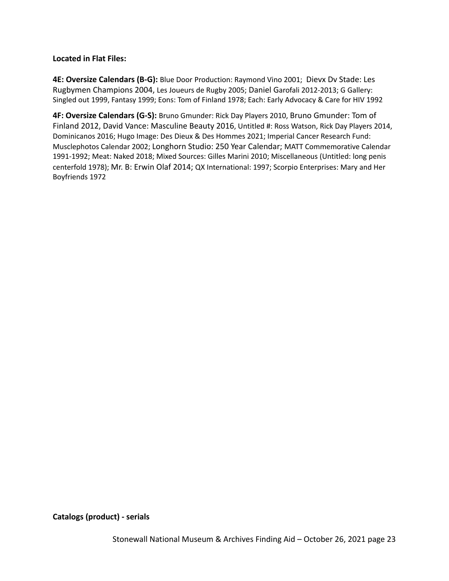## **Located in Flat Files:**

**4E: Oversize Calendars (B-G):** Blue Door Production: Raymond Vino 2001; Dievx Dv Stade: Les Rugbymen Champions 2004, Les Joueurs de Rugby 2005; Daniel Garofali 2012-2013; G Gallery: Singled out 1999, Fantasy 1999; Eons: Tom of Finland 1978; Each: Early Advocacy & Care for HIV 1992

**4F: Oversize Calendars (G-S):** Bruno Gmunder: Rick Day Players 2010, Bruno Gmunder: Tom of Finland 2012, David Vance: Masculine Beauty 2016, Untitled #: Ross Watson, Rick Day Players 2014, Dominicanos 2016; Hugo Image: Des Dieux & Des Hommes 2021; Imperial Cancer Research Fund: Musclephotos Calendar 2002; Longhorn Studio: 250 Year Calendar; MATT Commemorative Calendar 1991-1992; Meat: Naked 2018; Mixed Sources: Gilles Marini 2010; Miscellaneous (Untitled: long penis centerfold 1978); Mr. B: Erwin Olaf 2014; QX International: 1997; Scorpio Enterprises: Mary and Her Boyfriends 1972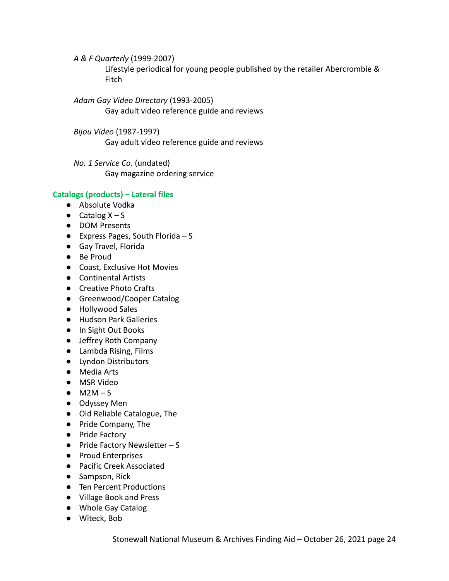*A & F Quarterly* (1999-2007) Lifestyle periodical for young people published by the retailer Abercrombie & Fitch

*Adam Gay Video Directory* (1993-2005) Gay adult video reference guide and reviews

*Bijou Video* (1987-1997) Gay adult video reference guide and reviews

*No. 1 Service Co.* (undated) Gay magazine ordering service

# **Catalogs (products) – Lateral files**

- Absolute Vodka
- $\bullet$  Catalog  $X S$
- **DOM Presents**
- $\bullet$  Express Pages, South Florida S
- Gay Travel, Florida
- Be Proud
- Coast, Exclusive Hot Movies
- Continental Artists
- Creative Photo Crafts
- Greenwood/Cooper Catalog
- Hollywood Sales
- Hudson Park Galleries
- In Sight Out Books
- Jeffrey Roth Company
- Lambda Rising, Films
- Lyndon Distributors
- Media Arts
- MSR Video
- $\bullet$  M2M S
- Odyssey Men
- Old Reliable Catalogue, The
- Pride Company, The
- Pride Factory
- $\bullet$  Pride Factory Newsletter S
- Proud Enterprises
- Pacific Creek Associated
- Sampson, Rick
- Ten Percent Productions
- Village Book and Press
- Whole Gay Catalog
- Witeck, Bob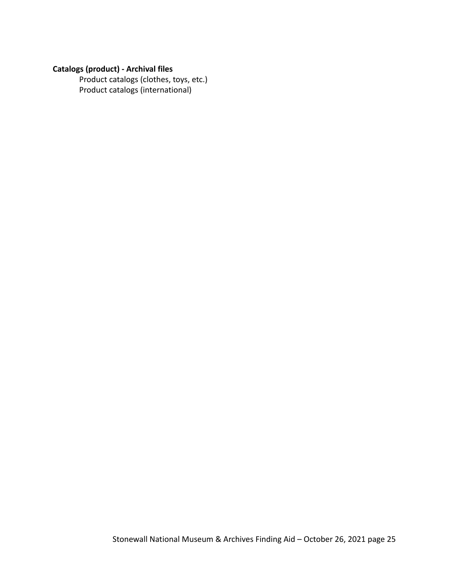# **Catalogs (product) - Archival files**

Product catalogs (clothes, toys, etc.) Product catalogs (international)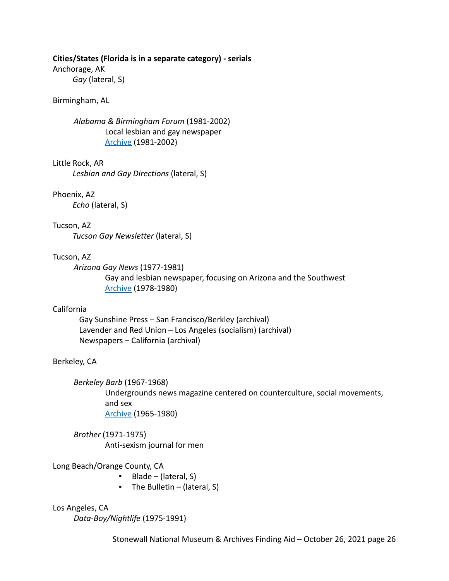#### **Cities/States (Florida is in a separate category) - serials**

Anchorage, AK

*Gay* (lateral, S)

#### Birmingham, AL

*Alabama & Birmingham Forum* (1981-2002) Local lesbian and gay newspaper [Archive](https://apps.lib.ua.edu/blogs/alabamaforum/) (1981-2002)

Little Rock, AR *Lesbian and Gay Directions* (lateral, S)

Phoenix, AZ

*Echo* (lateral, S)

Tucson, AZ

*Tucson Gay Newsletter* (lateral, S)

#### Tucson, AZ

*Arizona Gay News* (1977-1981) Gay and lesbian newspaper, focusing on Arizona and the Southwest [Archive](https://exhibits.lib.asu.edu/BjBud/item-set/1377) (1978-1980)

## California

Gay Sunshine Press – San Francisco/Berkley (archival) Lavender and Red Union – Los Angeles (socialism) (archival) Newspapers – California (archival)

## Berkeley, CA

*Berkeley Barb* (1967-1968)

Undergrounds news magazine centered on counterculture, social movements, and sex [Archive](https://voices.revealdigital.org/cgi-bin/independentvoices?a=cl&cl=CL1&sp=BFBJFGD&ai=1&e=-------en-20--1--txt-txIN---------------1) (1965-1980)

*Brother* (1971-1975) Anti-sexism journal for men

Long Beach/Orange County, CA

- Blade (lateral, S)
- $\blacksquare$  The Bulletin (lateral, S)

Los Angeles, CA *Data-Boy/Nightlife* (1975-1991)

Stonewall National Museum & Archives Finding Aid – October 26, 2021 page 26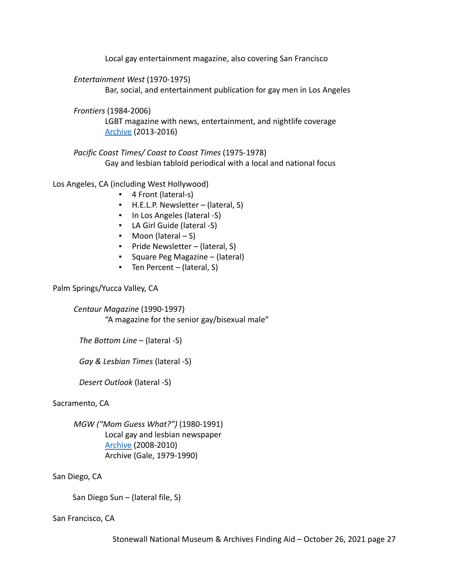Local gay entertainment magazine, also covering San Francisco

*Entertainment West* (1970-1975)

Bar, social, and entertainment publication for gay men in Los Angeles

*Frontiers* (1984-2006)

LGBT magazine with news, entertainment, and nightlife coverage [Archive](https://issuu.com/frontiersmagazine) (2013-2016)

*Pacific Coast Times/ Coast to Coast Times* (1975-1978) Gay and lesbian tabloid periodical with a local and national focus

Los Angeles, CA (including West Hollywood)

- 4 Front (lateral-s)
- H.E.L.P. Newsletter (lateral, S)
- In Los Angeles (lateral -S)
- LA Girl Guide (lateral -S)
- Moon (lateral S)
- Pride Newsletter (lateral, S)
- *▪* Square Peg Magazine (lateral)
- Ten Percent (lateral, S)

Palm Springs/Yucca Valley, CA

*Centaur Magazine* (1990-1997) "A magazine for the senior gay/bisexual male"

*The Bottom Line* – (lateral -S)

*Gay & Lesbian Times* (lateral -S)

*Desert Outlook* (lateral -S)

Sacramento, CA

*MGW ("Mom Guess What?")* (1980-1991) Local gay and lesbian newspaper [Archive](http://mgwnews.angelfire.com/currentissue.html) (2008-2010) Archive (Gale, 1979-1990)

San Diego, CA

San Diego Sun – (lateral file, S)

San Francisco, CA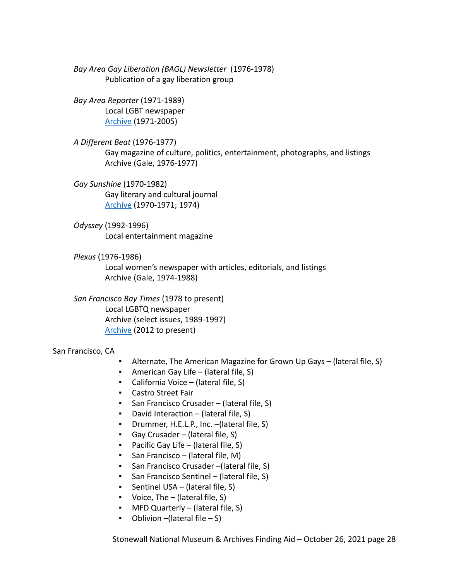*Bay Area Gay Liberation (BAGL) Newsletter* (1976-1978) Publication of a gay liberation group

*Bay Area Reporter* (1971-1989) Local LGBT newspaper [Archive](https://archive.org/details/bayareareporter&tab=collection) (1971-2005)

*A Different Beat* (1976-1977) Gay magazine of culture, politics, entertainment, photographs, and listings Archive (Gale, 1976-1977)

*Gay Sunshine* (1970-1982) Gay literary and cultural journal [Archive](https://digitalassets.lib.berkeley.edu/sfbagals/Gay_Sunshine/) (1970-1971; 1974)

*Odyssey* (1992-1996) Local entertainment magazine

*Plexus* (1976-1986) Local women's newspaper with articles, editorials, and listings Archive (Gale, 1974-1988)

*San Francisco Bay Times* (1978 to present) Local LGBTQ newspaper Archive (select issues, 1989-1997) [Archive](https://issuu.com/sfbt) (2012 to present)

San Francisco, CA

- Alternate, The American Magazine for Grown Up Gays (lateral file, S)
- American Gay Life (lateral file,  $S$ )
- California Voice (lateral file, S)
- Castro Street Fair
- San Francisco Crusader (lateral file, S)
- David Interaction (lateral file,  $S$ )
- Drummer, H.E.L.P., Inc. –(lateral file, S)
- $\blacksquare$  Gay Crusader (lateral file, S)
- Pacific Gay Life (lateral file, S)
- San Francisco (lateral file, M)
- San Francisco Crusader –(lateral file, S)
- San Francisco Sentinel (lateral file, S)
- **•** Sentinel USA (lateral file, S)
- $\blacksquare$  Voice, The (lateral file, S)
- MFD Quarterly (lateral file, S)
- $\bullet$  Oblivion –(lateral file S)

Stonewall National Museum & Archives Finding Aid – October 26, 2021 page 28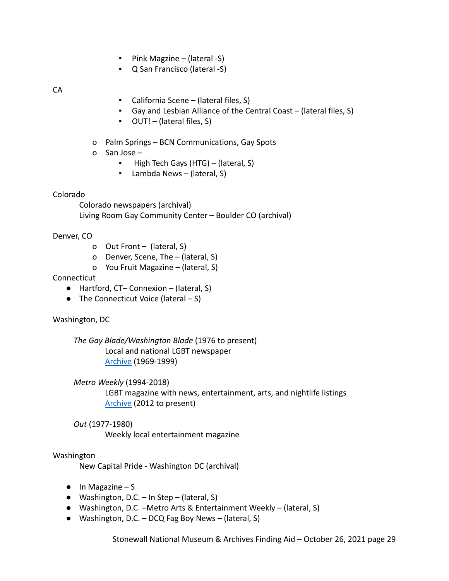- Pink Magzine (lateral -S)
- Q San Francisco (lateral -S)

CA

- California Scene (lateral files, S)
- Gay and Lesbian Alliance of the Central Coast (lateral files, S)
- OUT! (lateral files, S)
- o Palm Springs BCN Communications, Gay Spots
- o San Jose
	- High Tech Gays (HTG) (lateral, S)
	- Lambda News (lateral, S)

#### Colorado

Colorado newspapers (archival) Living Room Gay Community Center – Boulder CO (archival)

Denver, CO

- o Out Front (lateral, S)
- o Denver, Scene, The (lateral, S)
- o You Fruit Magazine (lateral, S)

#### Connecticut

- Hartford, CT– Connexion (lateral, S)
- $\bullet$  The Connecticut Voice (lateral  $-S$ )

#### Washington, DC

*The Gay Blade/Washington Blade* (1976 to present) Local and national LGBT newspaper [Archive](https://digdc.dclibrary.org/islandora/object/dcplislandora%3A2841) (1969-1999)

*Metro Weekly* (1994-2018)

LGBT magazine with news, entertainment, arts, and nightlife listings [Archive](https://www.metroweekly.com/archives/) (2012 to present)

## *Out* (1977-1980)

Weekly local entertainment magazine

#### Washington

New Capital Pride - Washington DC (archival)

- $\bullet$  In Magazine S
- $\bullet$  Washington, D.C. In Step (lateral, S)
- Washington, D.C. –Metro Arts & Entertainment Weekly (lateral, S)
- Washington, D.C. DCQ Fag Boy News (lateral, S)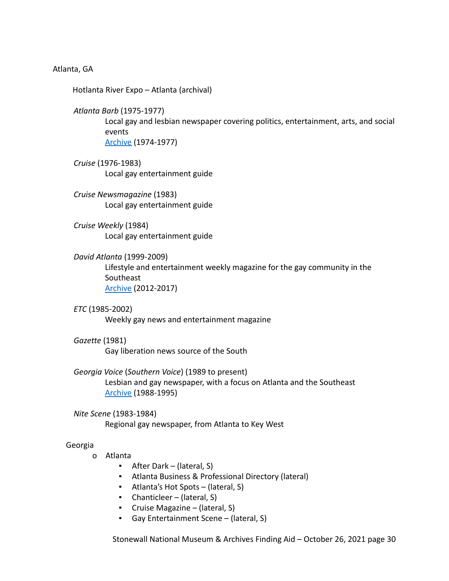#### Atlanta, GA

Hotlanta River Expo – Atlanta (archival)

*Atlanta Barb* (1975-1977)

Local gay and lesbian newspaper covering politics, entertainment, arts, and social events [Archive](http://album.atlantahistorycenter.com/cdm/landingpage/collection/p17222coll17) (1974-1977)

- *Cruise* (1976-1983) Local gay entertainment guide
- *Cruise Newsmagazine* (1983) Local gay entertainment guide
- *Cruise Weekly* (1984) Local gay entertainment guide
- *David Atlanta* (1999-2009)

Lifestyle and entertainment weekly magazine for the gay community in the **Southeast** [Archive](https://issuu.com/davidatlantaga) (2012-2017)

*ETC* (1985-2002) Weekly gay news and entertainment magazine

# *Gazette* (1981)

Gay liberation news source of the South

- *Georgia Voice* (*Southern Voice*) (1989 to present) Lesbian and gay newspaper, with a focus on Atlanta and the Southeast [Archive](https://dlg.usg.edu/collection/gkj_sovo) (1988-1995)
- *Nite Scene* (1983-1984) Regional gay newspaper, from Atlanta to Key West

## Georgia

- o Atlanta
	- After Dark (lateral, S)
	- Atlanta Business & Professional Directory (lateral)
	- Atlanta's Hot Spots (lateral, S)
	- Chanticleer (lateral, S)
	- Cruise Magazine (lateral, S)
	- Gay Entertainment Scene (lateral, S)

Stonewall National Museum & Archives Finding Aid – October 26, 2021 page 30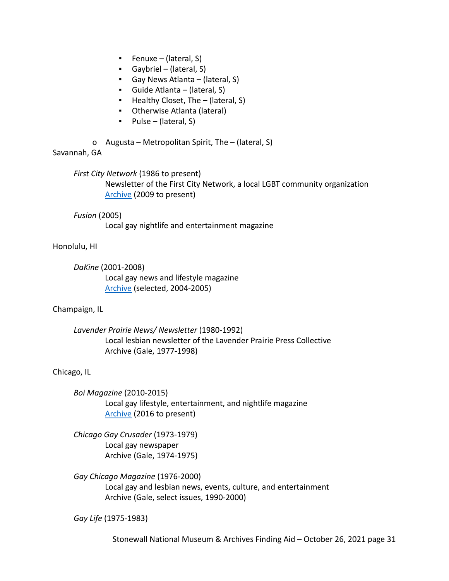- $\blacksquare$  Fenuxe (lateral, S)
- Gaybriel (lateral, S)
- Gay News Atlanta (lateral, S)
- Guide Atlanta (lateral, S)
- Healthy Closet, The (lateral, S)
- Otherwise Atlanta (lateral)
- Pulse (lateral, S)
- o Augusta Metropolitan Spirit, The (lateral, S)

# Savannah, GA

*First City Network* (1986 to present) Newsletter of the First City Network, a local LGBT community organization [Archive](https://firstcitynetwork.org/network-news-archives/) (2009 to present)

# *Fusion* (2005)

Local gay nightlife and entertainment magazine

# Honolulu, HI

*DaKine* (2001-2008) Local gay news and lifestyle magazine [Archive](https://archive.org/search.php?query=DaKine+Magazine&sin=) (selected, 2004-2005)

# Champaign, IL

*Lavender Prairie News/ Newsletter* (1980-1992) Local lesbian newsletter of the Lavender Prairie Press Collective Archive (Gale, 1977-1998)

## Chicago, IL

*Boi Magazine* (2010-2015) Local gay lifestyle, entertainment, and nightlife magazine [Archive](http://anyflip.com/homepage/xfip) (2016 to present)

*Chicago Gay Crusader* (1973-1979) Local gay newspaper Archive (Gale, 1974-1975)

*Gay Chicago Magazine* (1976-2000) Local gay and lesbian news, events, culture, and entertainment Archive (Gale, select issues, 1990-2000)

*Gay Life* (1975-1983)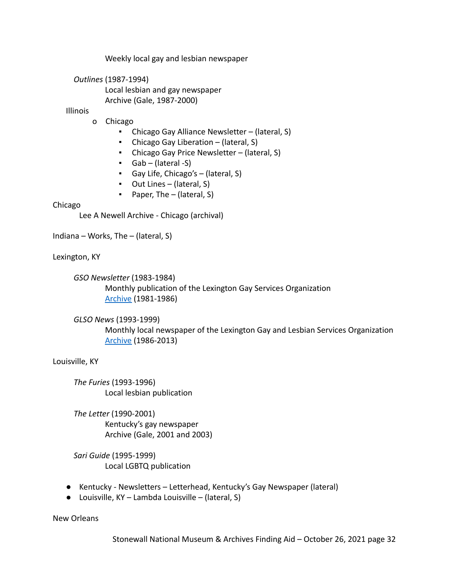Weekly local gay and lesbian newspaper

*Outlines* (1987-1994) Local lesbian and gay newspaper Archive (Gale, 1987-2000)

### Illinois

- o Chicago
	- Chicago Gay Alliance Newsletter (lateral, S)
	- Chicago Gay Liberation (lateral, S)
	- Chicago Gay Price Newsletter (lateral, S)
	- Gab (lateral -S)
	- Gay Life, Chicago's (lateral, S)
	- Out Lines (lateral, S)
	- Paper, The (lateral, S)

#### Chicago

Lee A Newell Archive - Chicago (archival)

Indiana – Works, The – (lateral, S)

Lexington, KY

*GSO Newsletter* (1983-1984) Monthly publication of the Lexington Gay Services Organization [Archive](https://exploreuk.uky.edu/catalog/?q=%22gso+newsletter%22&f%5Bsource_s%5D%5B%5D=Pride+Community+Services+Organization+publications) (1981-1986)

*GLSO News* (1993-1999)

Monthly local newspaper of the Lexington Gay and Lesbian Services Organization [Archive](https://exploreuk.uky.edu/catalog/?q=%22GLSO+News%22) (1986-2013)

Louisville, KY

*The Furies* (1993-1996) Local lesbian publication

*The Letter* (1990-2001) Kentucky's gay newspaper Archive (Gale, 2001 and 2003)

*Sari Guide* (1995-1999) Local LGBTQ publication

- Kentucky Newsletters Letterhead, Kentucky's Gay Newspaper (lateral)
- Louisville,  $KY$  Lambda Louisville (lateral, S)

New Orleans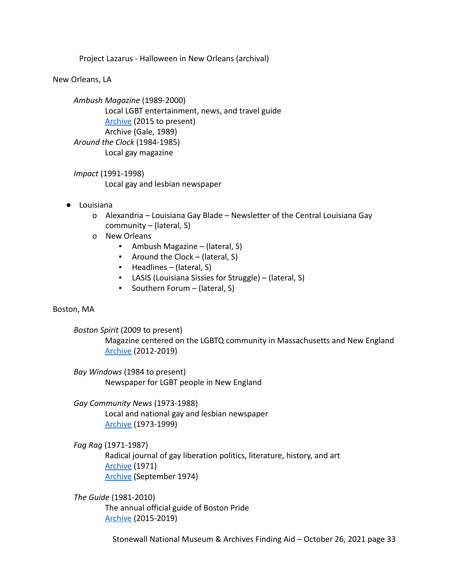Project Lazarus - Halloween in New Orleans (archival)

New Orleans, LA

*Ambush Magazine* (1989-2000) Local LGBT entertainment, news, and travel guide [Archive](https://issuu.com/ambushpublishing) (2015 to present) Archive (Gale, 1989) *Around the Clock* (1984-1985) Local gay magazine

*Impact* (1991-1998) Local gay and lesbian newspaper

- Louisiana
	- o Alexandria Louisiana Gay Blade Newsletter of the Central Louisiana Gay community – (lateral, S)
	- o New Orleans
		- Ambush Magazine (lateral, S)
		- Around the Clock (lateral, S)
		- Headlines (lateral, S)
		- LASIS (Louisiana Sissies for Struggle) (lateral, S)
		- Southern Forum (lateral, S)

## Boston, MA

*Boston Spirit* (2009 to present)

Magazine centered on the LGBTQ community in Massachusetts and New England [Archive](https://issuu.com/bostonspiritmagazine) (2012-2019)

*Bay Windows* (1984 to present) Newspaper for LGBT people in New England

*Gay Community News* (1973-1988) Local and national gay and lesbian newspaper [Archive](https://archive.org/search.php?query=creator%3A%22Gay+Community+News%22&and%5B%5D=firstTitle%3AG&sort=addeddate) (1973-1999)

*Fag Rag* (1971-1987)

Radical journal of gay liberation politics, literature, history, and art [Archive](https://rozsixties.unl.edu/items/browse?tags=Fag+Rag) (1971) [Archive](https://archive.org/details/FagRagSept1974D.D.TeoliJr.A.C.1) (September 1974)

*The Guide* (1981-2010) The annual official guide of Boston Pride [Archive](https://issuu.com/bostonpride) (2015-2019)

Stonewall National Museum & Archives Finding Aid – October 26, 2021 page 33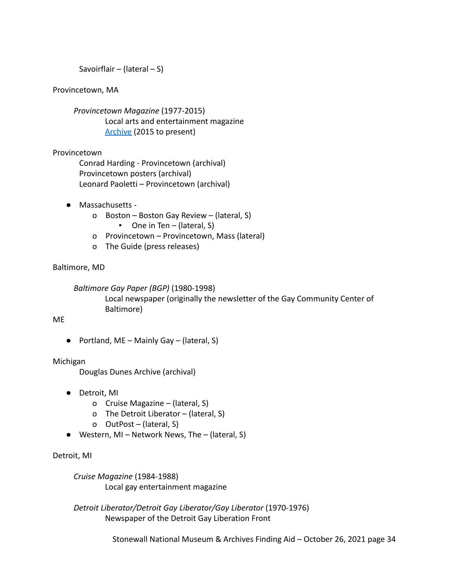Savoirflair – (lateral – S)

## Provincetown, MA

*Provincetown Magazine* (1977-2015) Local arts and entertainment magazine [Archive](https://provincetownmagazine.com/index.php/print-editions/) (2015 to present)

## Provincetown

Conrad Harding - Provincetown (archival) Provincetown posters (archival) Leonard Paoletti – Provincetown (archival)

- Massachusetts
	- o Boston Boston Gay Review (lateral, S)
		- One in Ten (lateral, S)
	- o Provincetown Provincetown, Mass (lateral)
	- o The Guide (press releases)

Baltimore, MD

*Baltimore Gay Paper (BGP)* (1980-1998)

Local newspaper (originally the newsletter of the Gay Community Center of Baltimore)

ME

• Portland, ME – Mainly Gay – (lateral, S)

## Michigan

Douglas Dunes Archive (archival)

- Detroit, MI
	- o Cruise Magazine (lateral, S)
	- o The Detroit Liberator (lateral, S)
	- o OutPost (lateral, S)
- $\bullet$  Western, MI Network News, The (lateral, S)

Detroit, MI

*Cruise Magazine* (1984-1988) Local gay entertainment magazine

*Detroit Liberator/Detroit Gay Liberator/Gay Liberator* (1970-1976) Newspaper of the Detroit Gay Liberation Front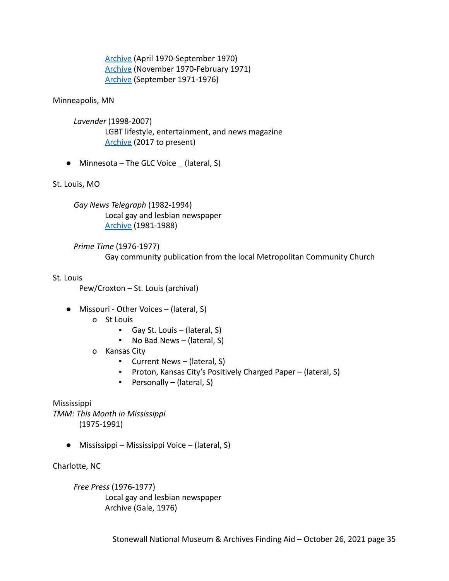[Archive](https://voices.revealdigital.org/?a=cl&cl=CL1&sp=BDHIIHJI&ai=1&e=-------en-20--1--txt-txIN---------------1) (April 1970-September 1970) [Archive](https://voices.revealdigital.org/cgi-bin/independentvoices?a=cl&cl=CL1&sp=BDHIIHBB&ai=1&e=-------en-20--1--txt-txIN---------------1) (November 1970-February 1971) [Archive](https://voices.revealdigital.org/cgi-bin/independentvoices?a=cl&cl=CL1&sp=BCIFJJJA&ai=1&e=-------en-20--1--txt-txIN---------------1) (September 1971-1976)

### Minneapolis, MN

- *Lavender* (1998-2007) LGBT lifestyle, entertainment, and news magazine [Archive](https://issuu.com/lavendermagazine) (2017 to present)
- $\bullet$  Minnesota The GLC Voice (lateral, S)

## St. Louis, MO

*Gay News Telegraph* (1982-1994) Local gay and lesbian newspaper [Archive](https://sites.google.com/a/slu.edu/the-st-louis-gay-news-telegraph/home) (1981-1988)

*Prime Time* (1976-1977) Gay community publication from the local Metropolitan Community Church

#### St. Louis

Pew/Croxton – St. Louis (archival)

- Missouri Other Voices (lateral, S)
	- o St Louis
		- Gay St. Louis (lateral, S)
		- No Bad News (lateral, S)
	- o Kansas City
		- Current News (lateral, S)
		- Proton, Kansas City's Positively Charged Paper (lateral, S)
		- Personally (lateral, S)

Mississippi

*TMM: This Month in Mississippi* (1975-1991)

● Mississippi – Mississippi Voice – (lateral, S)

Charlotte, NC

*Free Press* (1976-1977) Local gay and lesbian newspaper Archive (Gale, 1976)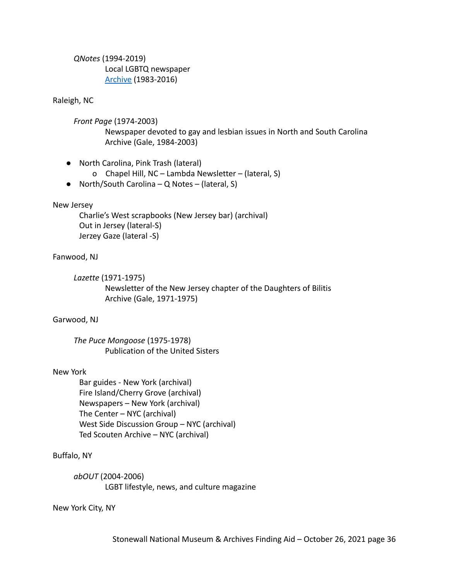*QNotes* (1994-2019) Local LGBTQ newspaper [Archive](https://www.digitalnc.org/newspapers/q-notes/) (1983-2016)

#### Raleigh, NC

*Front Page* (1974-2003)

Newspaper devoted to gay and lesbian issues in North and South Carolina Archive (Gale, 1984-2003)

- North Carolina, Pink Trash (lateral)
	- o Chapel Hill, NC Lambda Newsletter (lateral, S)
- North/South Carolina Q Notes (lateral, S)

#### New Jersey

Charlie's West scrapbooks (New Jersey bar) (archival) Out in Jersey (lateral-S) Jerzey Gaze (lateral -S)

## Fanwood, NJ

*Lazette* (1971-1975)

Newsletter of the New Jersey chapter of the Daughters of Bilitis Archive (Gale, 1971-1975)

## Garwood, NJ

*The Puce Mongoose* (1975-1978) Publication of the United Sisters

#### New York

Bar guides - New York (archival) Fire Island/Cherry Grove (archival) Newspapers – New York (archival) The Center – NYC (archival) West Side Discussion Group – NYC (archival) Ted Scouten Archive – NYC (archival)

## Buffalo, NY

*abOUT* (2004-2006) LGBT lifestyle, news, and culture magazine

New York City, NY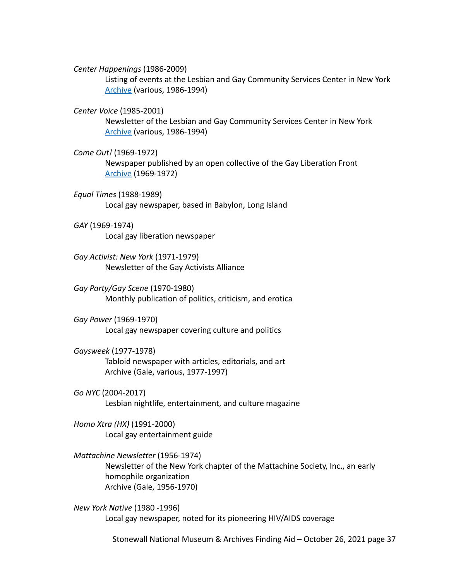*Center Happenings* (1986-2009)

Listing of events at the Lesbian and Gay Community Services Center in New York [Archive](http://dcmny.org/islandora/search/%22center%20happenings%22?type=edismax) (various, 1986-1994)

#### *Center Voice* (1985-2001)

Newsletter of the Lesbian and Gay Community Services Center in New York [Archive](http://dcmny.org/islandora/search/%22the%20center%20voice%22?type=edismax&cp=lgbt%3Acenterrecords) (various, 1986-1994)

#### *Come Out!* (1969-1972)

Newspaper published by an open collective of the Gay Liberation Front [Archive](https://voices.revealdigital.org/cgi-bin/independentvoices?a=cl&cl=CL1&sp=BEAHIBEI&ai=1&e=-------en-20--1--txt-txIN---------------1) (1969-1972)

*Equal Times* (1988-1989) Local gay newspaper, based in Babylon, Long Island

### *GAY* (1969-1974)

Local gay liberation newspaper

*Gay Activist: New York* (1971-1979) Newsletter of the Gay Activists Alliance

*Gay Party/Gay Scene* (1970-1980) Monthly publication of politics, criticism, and erotica

*Gay Power* (1969-1970) Local gay newspaper covering culture and politics

*Gaysweek* (1977-1978) Tabloid newspaper with articles, editorials, and art Archive (Gale, various, 1977-1997)

*Go NYC* (2004-2017) Lesbian nightlife, entertainment, and culture magazine

*Homo Xtra (HX)* (1991-2000) Local gay entertainment guide

*Mattachine Newsletter* (1956-1974) Newsletter of the New York chapter of the Mattachine Society, Inc., an early homophile organization Archive (Gale, 1956-1970)

*New York Native* (1980 -1996) Local gay newspaper, noted for its pioneering HIV/AIDS coverage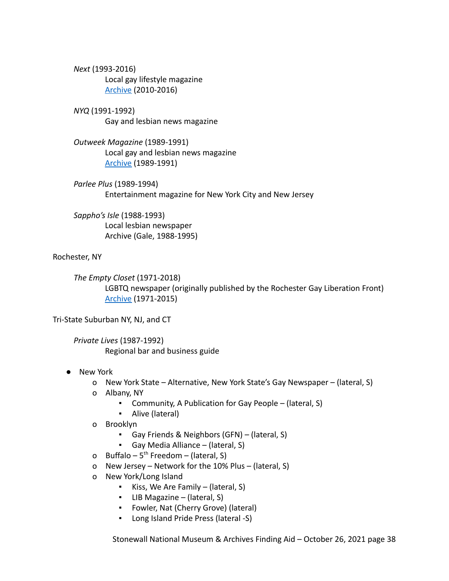*Next* (1993-2016) Local gay lifestyle magazine [Archive](https://issuu.com/nextmagazine.com) (2010-2016)

*NYQ* (1991-1992) Gay and lesbian news magazine

*Outweek Magazine* (1989-1991) Local gay and lesbian news magazine [Archive](http://www.outweek.net/description.html) (1989-1991)

*Parlee Plus* (1989-1994) Entertainment magazine for New York City and New Jersey

*Sappho's Isle* (1988-1993) Local lesbian newspaper Archive (Gale, 1988-1995)

Rochester, NY

*The Empty Closet* (1971-2018) LGBTQ newspaper (originally published by the Rochester Gay Liberation Front) [Archive](https://rbscp.lib.rochester.edu/EmptyCloset) (1971-2015)

Tri-State Suburban NY, NJ, and CT

*Private Lives* (1987-1992) Regional bar and business guide

- New York
	- o New York State Alternative, New York State's Gay Newspaper (lateral, S)
	- o Albany, NY
		- Community, A Publication for Gay People (lateral, S)
		- Alive (lateral)
	- o Brooklyn
		- Gay Friends & Neighbors (GFN) (lateral, S)
		- Gay Media Alliance (lateral, S)
	- o Buffalo  $5^{th}$  Freedom (lateral, S)
	- o New Jersey Network for the 10% Plus (lateral, S)
	- o New York/Long Island
		- Kiss, We Are Family (lateral, S)
		- LIB Magazine (lateral, S)
		- Fowler, Nat (Cherry Grove) (lateral)
		- Long Island Pride Press (lateral -S)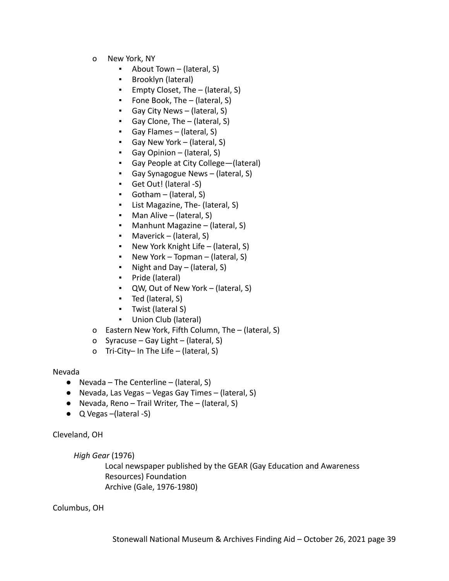- o New York, NY
	- About Town (lateral, S)
	- Brooklyn (lateral)
	- Empty Closet, The (lateral, S)
	- Fone Book, The (lateral, S)
	- Gay City News (lateral,  $S$ )
	- Gay Clone, The (lateral, S)
	- Gay Flames (lateral, S)
	- Gay New York (lateral, S)
	- Gay Opinion (lateral, S)
	- Gay People at City College-(lateral)
	- Gay Synagogue News (lateral, S)
	- Get Out! (lateral -S)
	- Gotham (lateral, S)
	- List Magazine, The- (lateral, S)
	- Man Alive (lateral, S)
	- Manhunt Magazine (lateral, S)
	- Maverick (lateral,  $S$ )
	- New York Knight Life (lateral, S)
	- **•** New York Topman (lateral, S)
	- Night and Day  $-$  (lateral, S)
	- Pride (lateral)
	- QW, Out of New York (lateral, S)
	- Ted (lateral, S)
	- Twist (lateral S)
	- Union Club (lateral)
- o Eastern New York, Fifth Column, The (lateral, S)
- o Syracuse Gay Light (lateral, S)
- o Tri-City– In The Life (lateral, S)

#### Nevada

- $\bullet$  Nevada The Centerline (lateral, S)
- Nevada, Las Vegas Vegas Gay Times (lateral, S)
- Nevada, Reno Trail Writer, The (lateral, S)
- Q Vegas (lateral -S)

Cleveland, OH

*High Gear* (1976)

Local newspaper published by the GEAR (Gay Education and Awareness Resources) Foundation Archive (Gale, 1976-1980)

Columbus, OH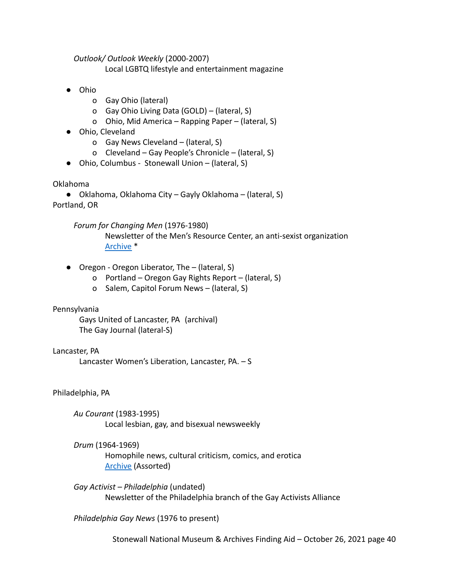*Outlook/ Outlook Weekly* (2000-2007)

Local LGBTQ lifestyle and entertainment magazine

- Ohio
	- o Gay Ohio (lateral)
	- o Gay Ohio Living Data (GOLD) (lateral, S)
	- o Ohio, Mid America Rapping Paper (lateral, S)
- Ohio, Cleveland
	- o Gay News Cleveland (lateral, S)
	- o Cleveland Gay People's Chronicle (lateral, S)
- Ohio, Columbus Stonewall Union (lateral, S)

Oklahoma

● Oklahoma, Oklahoma City – Gayly Oklahoma – (lateral, S) Portland, OR

*Forum for Changing Men* (1976-1980)

Newsletter of the Men's Resource Center, an anti-sexist organization [Archive](https://search.alexanderstreet.com/preview/work/bibliographic_entity%7Cbibliographic_details%7C3235345) \*

- Oregon Oregon Liberator, The (lateral, S)
	- o Portland Oregon Gay Rights Report (lateral, S)
	- o Salem, Capitol Forum News (lateral, S)

# Pennsylvania

Gays United of Lancaster, PA (archival) The Gay Journal (lateral-S)

# Lancaster, PA

Lancaster Women's Liberation, Lancaster, PA. – S

Philadelphia, PA

*Au Courant* (1983-1995) Local lesbian, gay, and bisexual newsweekly

*Drum* (1964-1969)

Homophile news, cultural criticism, comics, and erotica [Archive](https://archive.org/search.php?query=creator%3A%22Clark+Polak%22) (Assorted)

*Gay Activist – Philadelphia* (undated) Newsletter of the Philadelphia branch of the Gay Activists Alliance

*Philadelphia Gay News* (1976 to present)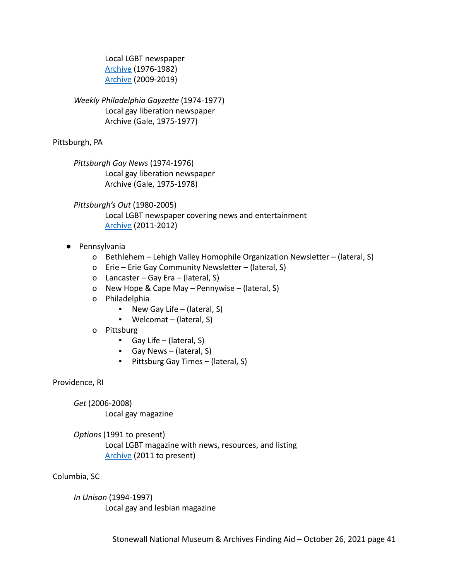Local LGBT newspaper [Archive](https://voices.revealdigital.org/?a=cl&cl=CL1&sp=JDJAJHJJF&ai=1&e=-------en-20--1--txt-txIN---------------1) (1976-1982) [Archive](https://issuu.com/philagaynews) (2009-2019)

# *Weekly Philadelphia Gayzette* (1974-1977) Local gay liberation newspaper Archive (Gale, 1975-1977)

Pittsburgh, PA

*Pittsburgh Gay News* (1974-1976) Local gay liberation newspaper Archive (Gale, 1975-1978)

*Pittsburgh's Out* (1980-2005) Local LGBT newspaper covering news and entertainment [Archive](https://issuu.com/pittsburghsout) (2011-2012)

- Pennsylvania
	- o Bethlehem Lehigh Valley Homophile Organization Newsletter (lateral, S)
	- o Erie Erie Gay Community Newsletter (lateral, S)
	- o Lancaster Gay Era (lateral, S)
	- o New Hope & Cape May Pennywise (lateral, S)
	- o Philadelphia
		- **•** New Gay Life (lateral, S)
		- Welcomat (lateral, S)
	- o Pittsburg
		- Gay Life (lateral, S)
		- Gay News (lateral, S)
		- Pittsburg Gay Times (lateral, S)

Providence, RI

*Get* (2006-2008) Local gay magazine

*Options* (1991 to present) Local LGBT magazine with news, resources, and listing [Archive](https://issuu.com/optionsri) (2011 to present)

Columbia, SC

*In Unison* (1994-1997) Local gay and lesbian magazine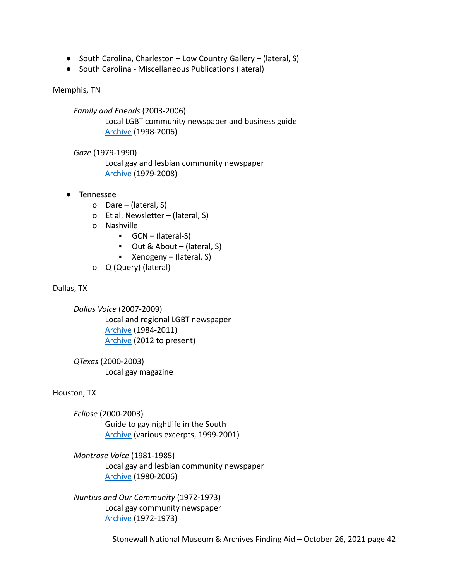- South Carolina, Charleston Low Country Gallery (lateral, S)
- South Carolina Miscellaneous Publications (lateral)

### Memphis, TN

*Family and Friends* (2003-2006) Local LGBT community newspaper and business guide [Archive](https://dlynx.rhodes.edu/jspui/handle/10267/31328/browse?type=title&sort_by=2&order=ASC&rpp=20&etal=0&submit_browse=Update) (1998-2006)

*Gaze* (1979-1990)

Local gay and lesbian community newspaper [Archive](https://dlynx.rhodes.edu/jspui/handle/10267/31330/browse?type=dateissued&submit_browse=Issue+Date) (1979-2008)

- Tennessee
	- o Dare (lateral, S)
	- o Et al. Newsletter (lateral, S)
	- o Nashville
		- GCN (lateral-S)
		- Out & About (lateral, S)
		- Xenogeny (lateral, S)
	- o Q (Query) (lateral)

Dallas, TX

*Dallas Voice* (2007-2009) Local and regional LGBT newspaper [Archive](https://digital.library.unt.edu/search/?q=%22dallas+voice%22&t=fulltext&fq=dc_type%3Atext_newspaper&fq=str_title_serial%3ADallas+Voice&sort=date_a) (1984-2011) [Archive](https://dallasvoice.com/download-issue-pdf/) (2012 to present)

*QTexas* (2000-2003) Local gay magazine

## Houston, TX

*Eclipse* (2000-2003) Guide to gay nightlife in the South [Archive](http://www.houstonlgbthistory.org/assorted2.html) (various excerpts, 1999-2001)

# *Montrose Voice* (1981-1985) Local gay and lesbian community newspaper [Archive](https://digital.lib.uh.edu/collection/montrose) (1980-2006)

*Nuntius and Our Community* (1972-1973) Local gay community newspaper [Archive](https://digital.lib.uh.edu/search/query:%22Nuntius%20and%20Our%20Community%22!newspapers/fields:all!format/mode:all!all/op:and!and/alias:all) (1972-1973)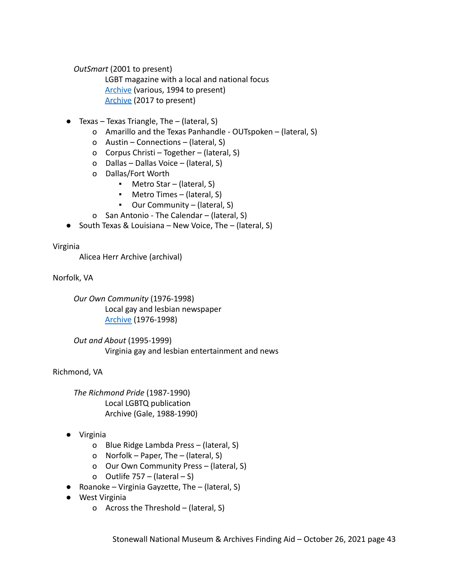*OutSmart* (2001 to present)

LGBT magazine with a local and national focus [Archive](http://www.houstonlgbthistory.org/assorted2.html) (various, 1994 to present) [Archive](https://issuu.com/outsmartmagazine) (2017 to present)

- $\bullet$  Texas Texas Triangle, The (lateral, S)
	- o Amarillo and the Texas Panhandle OUTspoken (lateral, S)
	- o Austin Connections (lateral, S)
	- o Corpus Christi Together (lateral, S)
	- o Dallas Dallas Voice (lateral, S)
	- o Dallas/Fort Worth
		- Metro Star (lateral, S)
		- Metro Times (lateral, S)
		- Our Community (lateral, S)
	- o San Antonio The Calendar (lateral, S)
- South Texas & Louisiana New Voice, The (lateral, S)

Virginia

Alicea Herr Archive (archival)

Norfolk, VA

*Our Own Community* (1976-1998) Local gay and lesbian newspaper [Archive](https://dc.lib.odu.edu/digital/collection/ourown) (1976-1998)

*Out and About* (1995-1999) Virginia gay and lesbian entertainment and news

Richmond, VA

*The Richmond Pride* (1987-1990) Local LGBTQ publication Archive (Gale, 1988-1990)

- Virginia
	- o Blue Ridge Lambda Press (lateral, S)
	- o Norfolk Paper, The (lateral, S)
	- o Our Own Community Press (lateral, S)
	- o Outlife 757 (lateral S)
- $\bullet$  Roanoke Virginia Gayzette, The (lateral, S)
- West Virginia
	- o Across the Threshold (lateral, S)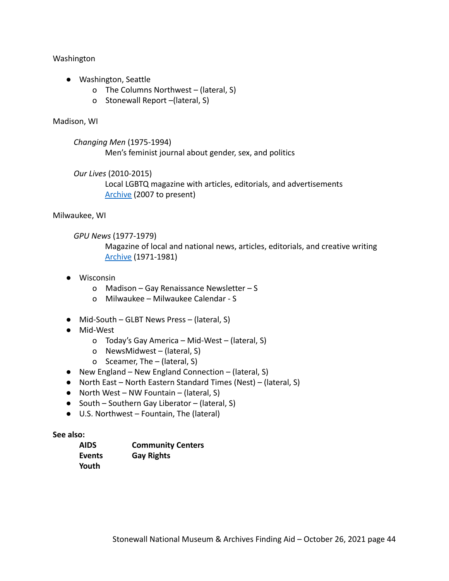Washington

- Washington, Seattle
	- o The Columns Northwest (lateral, S)
	- o Stonewall Report –(lateral, S)

### Madison, WI

*Changing Men* (1975-1994) Men's feminist journal about gender, sex, and politics

*Our Lives* (2010-2015)

Local LGBTQ magazine with articles, editorials, and advertisements [Archive](https://ourlivesmadison.com/magazine/) (2007 to present)

## Milwaukee, WI

*GPU News* (1977-1979)

Magazine of local and national news, articles, editorials, and creative writing [Archive](https://search.library.wisc.edu/digital/AVTGBQNYT5NWRD85) (1971-1981)

- Wisconsin
	- o Madison Gay Renaissance Newsletter S
	- o Milwaukee Milwaukee Calendar S
- Mid-South GLBT News Press (lateral, S)
- Mid-West
	- o Today's Gay America Mid-West (lateral, S)
	- o NewsMidwest (lateral, S)
	- o Sceamer, The (lateral, S)
- New England New England Connection (lateral, S)
- North East North Eastern Standard Times (Nest) (lateral, S)
- $\bullet$  North West NW Fountain (lateral, S)
- South Southern Gay Liberator (lateral, S)
- U.S. Northwest Fountain, The (lateral)

## **See also:**

| <b>AIDS</b> | <b>Community Centers</b> |
|-------------|--------------------------|
| Events      | <b>Gay Rights</b>        |
| Youth       |                          |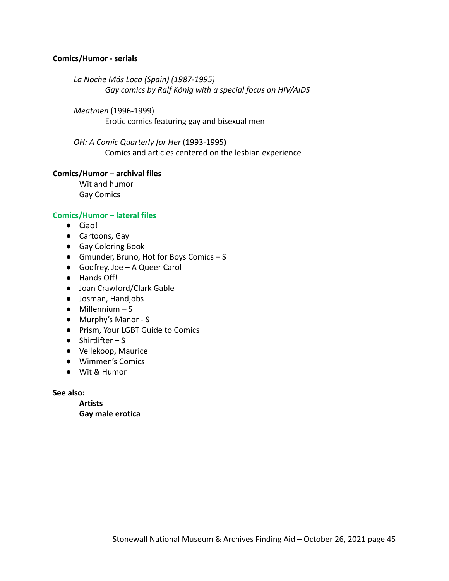## **Comics/Humor - serials**

*La Noche Más Loca (Spain) (1987-1995) Gay comics by Ralf König with a special focus on HIV/AIDS*

*Meatmen* (1996-1999) Erotic comics featuring gay and bisexual men

*OH: A Comic Quarterly for Her* (1993-1995) Comics and articles centered on the lesbian experience

### **Comics/Humor – archival files**

Wit and humor Gay Comics

### **Comics/Humor – lateral files**

- Ciao!
- Cartoons, Gay
- Gay Coloring Book
- Gmunder, Bruno, Hot for Boys Comics S
- Godfrey, Joe A Queer Carol
- Hands Off!
- Joan Crawford/Clark Gable
- Josman, Handjobs
- $\bullet$  Millennium S
- Murphy's Manor S
- Prism, Your LGBT Guide to Comics
- $\bullet$  Shirtlifter S
- Vellekoop, Maurice
- Wimmen's Comics
- Wit & Humor

**See also:**

**Artists Gay male erotica**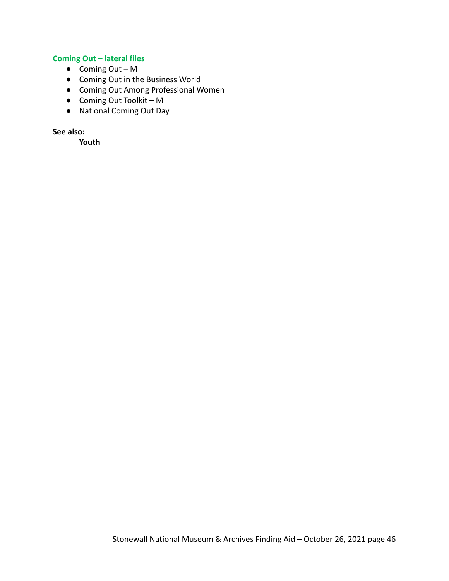# **Coming Out – lateral files**

- $\bullet$  Coming Out M
- Coming Out in the Business World
- Coming Out Among Professional Women
- Coming Out Toolkit M
- National Coming Out Day

**See also:**

**Youth**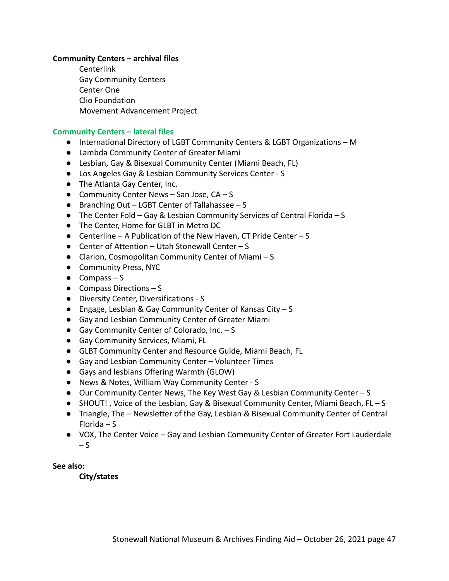## **Community Centers – archival files**

Centerlink Gay Community Centers Center One Clio Foundation Movement Advancement Project

#### **Community Centers – lateral files**

- International Directory of LGBT Community Centers & LGBT Organizations M
- Lambda Community Center of Greater Miami
- Lesbian, Gay & Bisexual Community Center (Miami Beach, FL)
- Los Angeles Gay & Lesbian Community Services Center S
- The Atlanta Gay Center, Inc.
- Community Center News San Jose,  $CA S$
- Branching Out LGBT Center of Tallahassee S
- The Center Fold Gay & Lesbian Community Services of Central Florida S
- The Center, Home for GLBT in Metro DC
- Centerline A Publication of the New Haven, CT Pride Center S
- Center of Attention Utah Stonewall Center S
- Clarion, Cosmopolitan Community Center of Miami S
- Community Press, NYC
- $\bullet$  Compass S
- Compass Directions S
- Diversity Center, Diversifications S
- Engage, Lesbian & Gay Community Center of Kansas City S
- Gay and Lesbian Community Center of Greater Miami
- Gay Community Center of Colorado, Inc. S
- Gay Community Services, Miami, FL
- GLBT Community Center and Resource Guide, Miami Beach, FL
- Gay and Lesbian Community Center Volunteer Times
- Gays and lesbians Offering Warmth (GLOW)
- News & Notes, William Way Community Center S
- Our Community Center News, The Key West Gay & Lesbian Community Center S
- SHOUT!, Voice of the Lesbian, Gay & Bisexual Community Center, Miami Beach, FL S
- Triangle, The Newsletter of the Gay, Lesbian & Bisexual Community Center of Central Florida – S
- VOX, The Center Voice Gay and Lesbian Community Center of Greater Fort Lauderdale  $-S$

**See also:**

**City/states**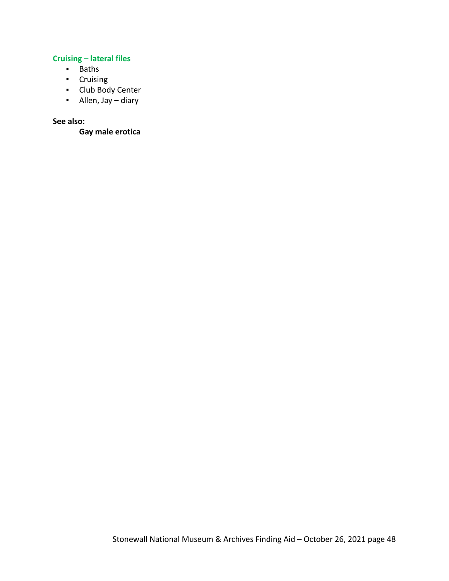# **Cruising – lateral files**

- Baths
- Cruising
- Club Body Center
- Allen, Jay diary

## **See also:**

**Gay male erotica**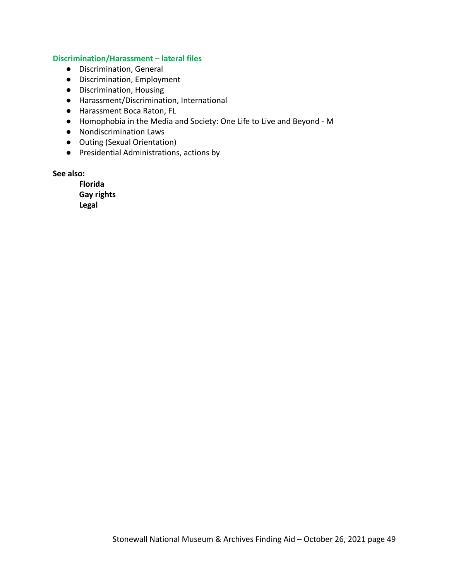#### **Discrimination/Harassment – lateral files**

- Discrimination, General
- Discrimination, Employment
- Discrimination, Housing
- Harassment/Discrimination, International
- Harassment Boca Raton, FL
- Homophobia in the Media and Society: One Life to Live and Beyond M
- Nondiscrimination Laws
- Outing (Sexual Orientation)
- Presidential Administrations, actions by

# **See also:**

**Florida Gay rights Legal**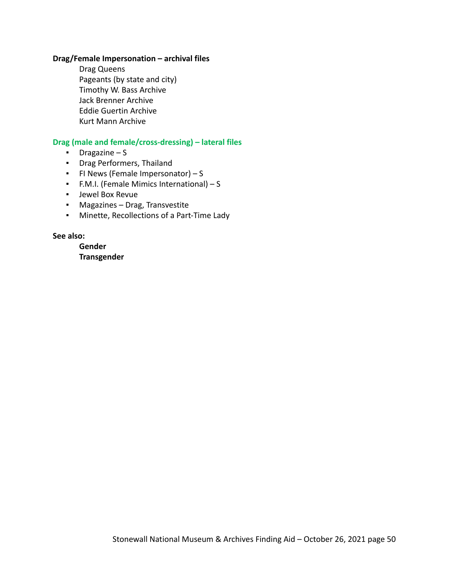### **Drag/Female Impersonation – archival files**

Drag Queens Pageants (by state and city) Timothy W. Bass Archive Jack Brenner Archive Eddie Guertin Archive Kurt Mann Archive

### **Drag (male and female/cross-dressing) – lateral files**

- Dragazine S
- Drag Performers, Thailand
- FI News (Female Impersonator) S
- F.M.I. (Female Mimics International) S
- Jewel Box Revue
- Magazines Drag, Transvestite
- Minette, Recollections of a Part-Time Lady

**See also:**

**Gender Transgender**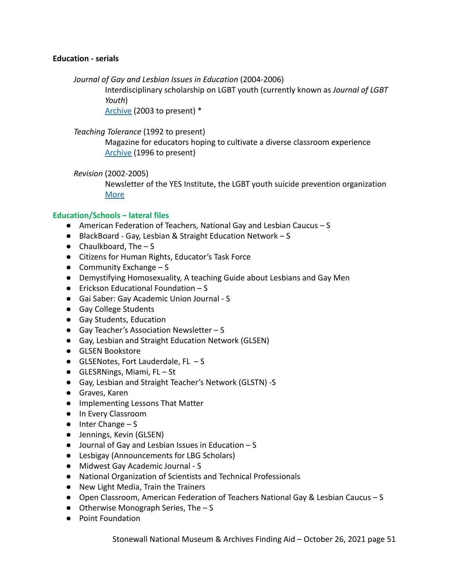## **Education - serials**

*Journal of Gay and Lesbian Issues in Education* (2004-2006)

Interdisciplinary scholarship on LGBT youth (currently known as *Journal of LGBT Youth*)

[Archive](https://www.tandfonline.com/loi/wjly20) (2003 to present) \*

*Teaching Tolerance* (1992 to present)

Magazine for educators hoping to cultivate a diverse classroom experience [Archive](https://www.tolerance.org/magazine/archive) (1996 to present)

*Revision* (2002-2005)

Newsletter of the YES Institute, the LGBT youth suicide prevention organization [More](https://yesinstitute.org/)

# **Education/Schools – lateral files**

- American Federation of Teachers, National Gay and Lesbian Caucus S
- BlackBoard Gay, Lesbian & Straight Education Network S
- $\bullet$  Chaulkboard, The  $-$  S
- Citizens for Human Rights, Educator's Task Force
- $\bullet$  Community Exchange S
- Demystifying Homosexuality, A teaching Guide about Lesbians and Gay Men
- $\bullet$  Erickson Educational Foundation S
- Gai Saber: Gay Academic Union Journal S
- Gay College Students
- Gay Students, Education
- $\bullet$  Gay Teacher's Association Newsletter S
- Gay, Lesbian and Straight Education Network (GLSEN)
- GLSEN Bookstore
- $\bullet$  GLSENotes, Fort Lauderdale, FL  $-$  S
- GLESRNings, Miami, FL St
- Gay, Lesbian and Straight Teacher's Network (GLSTN) -S
- Graves, Karen
- **●** Implementing Lessons That Matter
- **●** In Every Classroom
- **●** Inter Change S
- Jennings, Kevin (GLSEN)
- Journal of Gay and Lesbian Issues in Education S
- Lesbigay (Announcements for LBG Scholars)
- Midwest Gay Academic Journal S
- National Organization of Scientists and Technical Professionals
- New Light Media, Train the Trainers
- Open Classroom, American Federation of Teachers National Gay & Lesbian Caucus S
- $\bullet$  Otherwise Monograph Series, The  $-$  S
- Point Foundation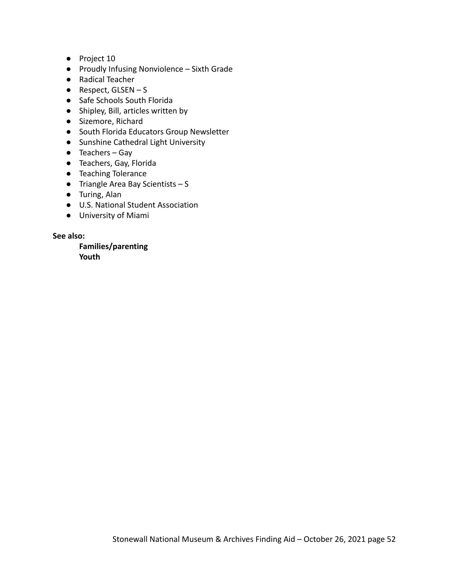- Project 10
- Proudly Infusing Nonviolence Sixth Grade
- Radical Teacher
- $\bullet$  Respect, GLSEN S
- Safe Schools South Florida
- Shipley, Bill, articles written by
- Sizemore, Richard
- South Florida Educators Group Newsletter
- Sunshine Cathedral Light University
- Teachers Gay
- Teachers, Gay, Florida
- Teaching Tolerance
- $\bullet$  Triangle Area Bay Scientists S
- Turing, Alan
- U.S. National Student Association
- University of Miami

**See also:**

**Families/parenting Youth**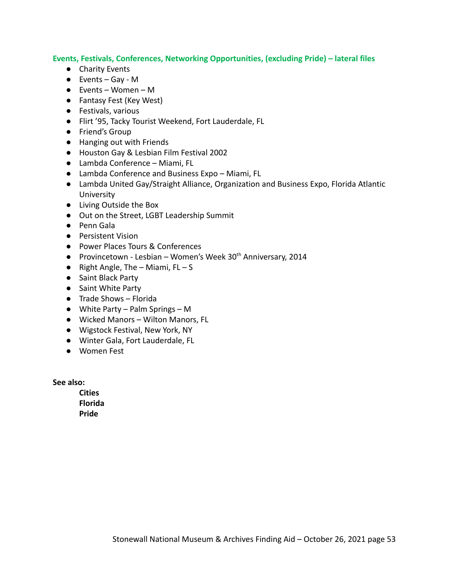## **Events, Festivals, Conferences, Networking Opportunities, (excluding Pride) – lateral files**

- Charity Events
- Events Gay M
- Events Women M
- Fantasy Fest (Key West)
- Festivals, various
- Flirt '95, Tacky Tourist Weekend, Fort Lauderdale, FL
- Friend's Group
- Hanging out with Friends
- Houston Gay & Lesbian Film Festival 2002
- Lambda Conference Miami, FL
- Lambda Conference and Business Expo Miami, FL
- Lambda United Gay/Straight Alliance, Organization and Business Expo, Florida Atlantic University
- Living Outside the Box
- Out on the Street, LGBT Leadership Summit
- Penn Gala
- Persistent Vision
- Power Places Tours & Conferences
- Provincetown Lesbian Women's Week  $30<sup>th</sup>$  Anniversary, 2014
- $\bullet$  Right Angle, The Miami, FL S
- Saint Black Party
- Saint White Party
- Trade Shows Florida
- White Party Palm Springs M
- Wicked Manors Wilton Manors, FL
- Wigstock Festival, New York, NY
- Winter Gala, Fort Lauderdale, FL
- Women Fest

**See also:**

**Cities Florida Pride**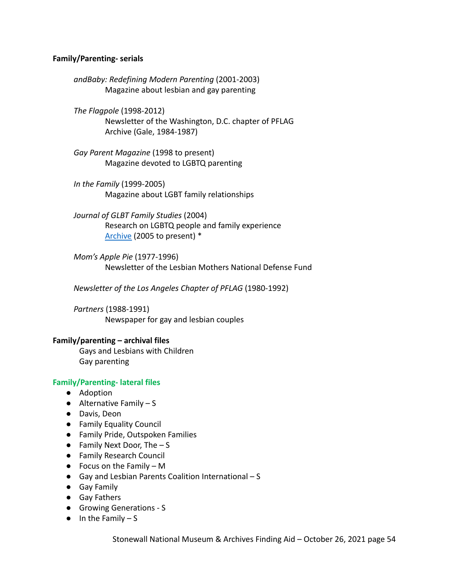## **Family/Parenting- serials**

*andBaby: Redefining Modern Parenting* (2001-2003) Magazine about lesbian and gay parenting

*The Flagpole* (1998-2012) Newsletter of the Washington, D.C. chapter of PFLAG Archive (Gale, 1984-1987)

*Gay Parent Magazine* (1998 to present) Magazine devoted to LGBTQ parenting

*In the Family* (1999-2005) Magazine about LGBT family relationships

*Journal of GLBT Family Studies* (2004) Research on LGBTQ people and family experience [Archive](https://www.tandfonline.com/loi/wgfs20) (2005 to present) \*

*Mom's Apple Pie* (1977-1996) Newsletter of the Lesbian Mothers National Defense Fund

*Newsletter of the Los Angeles Chapter of PFLAG* (1980-1992)

*Partners* (1988-1991) Newspaper for gay and lesbian couples

#### **Family/parenting – archival files**

Gays and Lesbians with Children Gay parenting

## **Family/Parenting- lateral files**

- Adoption
- $\bullet$  Alternative Family S
- Davis, Deon
- Family Equality Council
- Family Pride, Outspoken Families
- $\bullet$  Family Next Door, The  $-$  S
- Family Research Council
- $\bullet$  Focus on the Family M
- Gay and Lesbian Parents Coalition International S
- Gay Family
- Gay Fathers
- Growing Generations S
- $\bullet$  In the Family  $-S$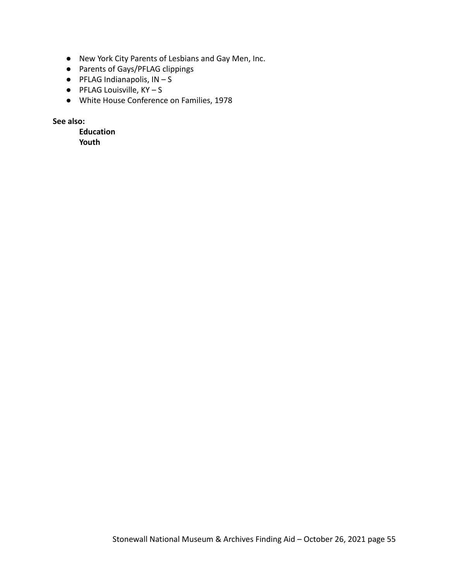- New York City Parents of Lesbians and Gay Men, Inc.
- Parents of Gays/PFLAG clippings
- $\bullet$  PFLAG Indianapolis,  $IN-S$
- $\bullet$  PFLAG Louisville,  $KY-S$
- White House Conference on Families, 1978

**See also:**

**Education Youth**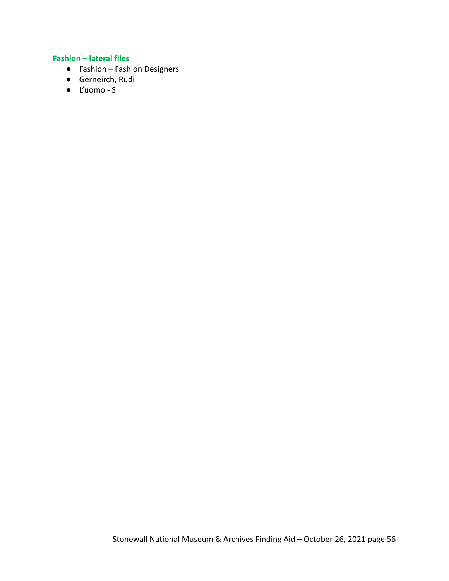# **Fashion – lateral files**

- Fashion Fashion Designers
- Gerneirch, Rudi
- L'uomo S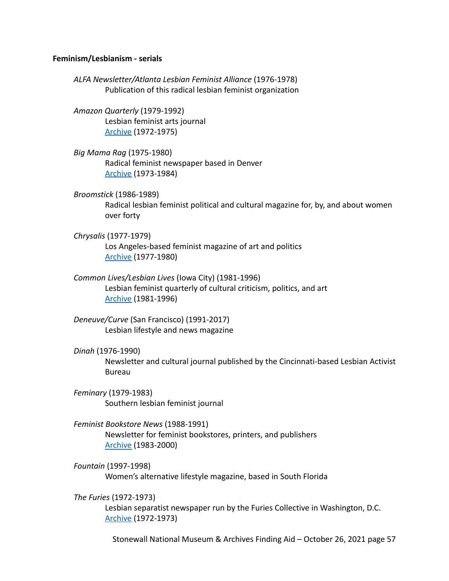#### **Feminism/Lesbianism - serials**

*ALFA Newsletter/Atlanta Lesbian Feminist Alliance* (1976-1978) Publication of this radical lesbian feminist organization

*Amazon Quarterly* (1979-1992) Lesbian feminist arts journal [Archive](https://voices.revealdigital.org/?a=cl&cl=CL1&sp=CHFAFHB&ai=1&e=-------en-20--1--txt-txIN---------------1) (1972-1975)

*Big Mama Rag* (1975-1980) Radical feminist newspaper based in Denver [Archive](https://voices.revealdigital.org/?a=cl&cl=CL1&sp=CDCABBEE&ai=1&) (1973-1984)

*Broomstick* (1986-1989) Radical lesbian feminist political and cultural magazine for, by, and about women over forty

- *Chrysalis* (1977-1979) Los Angeles-based feminist magazine of art and politics [Archive](https://voices.revealdigital.org/?a=cl&cl=CL1&sp=DBCIDBB&ai=1&e=-------en-20--1--txt-txIN---------------1) (1977-1980)
- *Common Lives/Lesbian Lives* (Iowa City) (1981-1996) Lesbian feminist quarterly of cultural criticism, politics, and art [Archive](https://voices.revealdigital.org/?a=cl&cl=CL1&sp=ICDEABE&ai=1&) (1981-1996)
- *Deneuve/Curve* (San Francisco) (1991-2017) Lesbian lifestyle and news magazine
- *Dinah* (1976-1990)

Newsletter and cultural journal published by the Cincinnati-based Lesbian Activist Bureau

*Feminary* (1979-1983) Southern lesbian feminist journal

*Feminist Bookstore News* (1988-1991) Newsletter for feminist bookstores, printers, and publishers [Archive](https://voices.revealdigital.org/?a=cl&cl=CL1&sp=BABJGEEA&ai=1&e=-------en-20--1--txt-txIN---------------1) (1983-2000)

*Fountain* (1997-1998) Women's alternative lifestyle magazine, based in South Florida

*The Furies* (1972-1973) Lesbian separatist newspaper run by the Furies Collective in Washington, D.C. [Archive](https://voices.revealdigital.org/cgi-bin/independentvoices?a=cl&cl=CL1&sp=CDDEJEE&ai=1&e=-------en-20--1--txt-txIN---------------1) (1972-1973)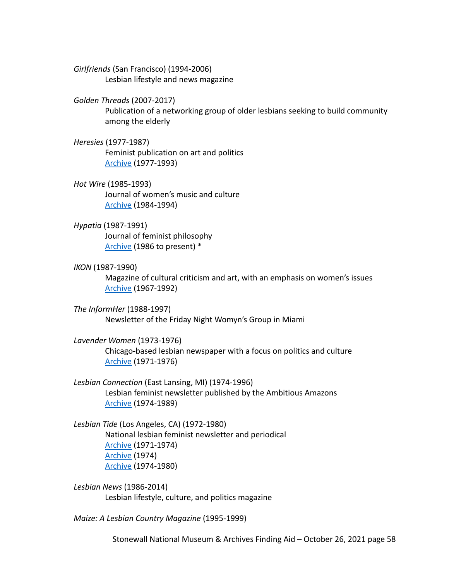*Girlfriends* (San Francisco) (1994-2006) Lesbian lifestyle and news magazine

### *Golden Threads* (2007-2017)

Publication of a networking group of older lesbians seeking to build community among the elderly

## *Heresies* (1977-1987) Feminist publication on art and politics [Archive](https://voices.revealdigital.org/?a=cl&cl=CL1&sp=CJBHGII&ai=1&e=-------en-20--1--txt-txIN---------------1) (1977-1993)

*Hot Wire* (1985-1993) Journal of women's music and culture [Archive](http://www.hotwirejournal.com/hwmag.html) (1984-1994)

## *Hypatia* (1987-1991)

Journal of feminist philosophy [Archive](https://www.cambridge.org/core/journals/hypatia/all-issues) (1986 to present) \*

#### *IKON* (1987-1990)

Magazine of cultural criticism and art, with an emphasis on women's issues [Archive](https://voices.revealdigital.org/?a=cl&cl=CL1&sp=BDEGAECD&ai=1&e=-------en-20--1--txt-txIN---------------1) (1967-1992)

*The InformHer* (1988-1997) Newsletter of the Friday Night Womyn's Group in Miami

## *Lavender Women* (1973-1976)

Chicago-based lesbian newspaper with a focus on politics and culture [Archive](https://voices.revealdigital.org/?a=cl&cl=CL1&sp=CIIJGIFA&ai=1&e=-------en-20--1--txt-txIN---------------1) (1971-1976)

*Lesbian Connection* (East Lansing, MI) (1974-1996) Lesbian feminist newsletter published by the Ambitious Amazons [Archive](https://voices.revealdigital.org/?a=cl&cl=CL1&sp=BAHDEACD&ai=1&e=-------en-20--1--txt-txIN---------------1) (1974-1989)

# *Lesbian Tide* (Los Angeles, CA) (1972-1980) National lesbian feminist newsletter and periodical [Archive](https://voices.revealdigital.org/cgi-bin/independentvoices?a=cl&cl=CL1&sp=DBDHFED&ai=1&e=-------en-20--1--txt-txIN---------------1) (1971-1974) [Archive](https://voices.revealdigital.org/cgi-bin/independentvoices?a=cl&cl=CL1&sp=EFGABGF&ai=1&e=-------en-20--1--txt-txIN---------------1) (1974) [Archive](https://voices.revealdigital.org/?a=cl&cl=CL1&sp=EFGABHD&ai=1&e=-------en-20--1--txt-txIN---------------1) (1974-1980)

*Lesbian News* (1986-2014) Lesbian lifestyle, culture, and politics magazine

*Maize: A Lesbian Country Magazine* (1995-1999)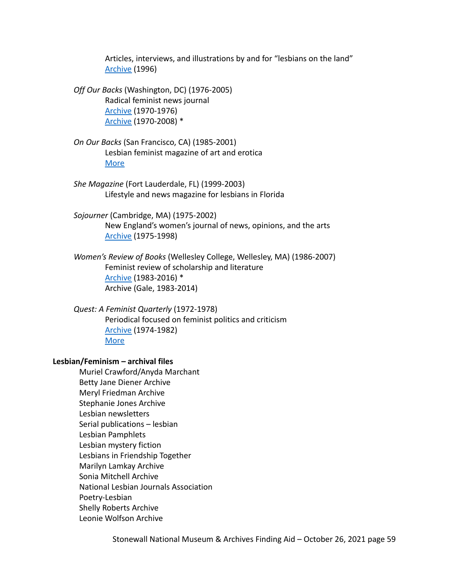Articles, interviews, and illustrations by and for "lesbians on the land" [Archive](http://www.lesbianpoetryarchive.org/sites/default/files/MaizeNumber49Spring1996.pdf) (1996)

*Off Our Backs* (Washington, DC) (1976-2005) Radical feminist news journal [Archive](https://voices.revealdigital.org/?a=cl&cl=CL1&sp=BADICEB&ai=1&) (1970-1976) [Archive](https://www.jstor.org/journal/offourbacks) (1970-2008) \*

*On Our Backs* (San Francisco, CA) (1985-2001) Lesbian feminist magazine of art and erotica [More](https://susiebright.blogs.com/history_of_oob.pdf)

*She Magazine* (Fort Lauderdale, FL) (1999-2003) Lifestyle and news magazine for lesbians in Florida

*Sojourner* (Cambridge, MA) (1975-2002) New England's women's journal of news, opinions, and the arts [Archive](https://voices.revealdigital.org/?a=cl&cl=CL1&sp=EGFGCHH&ai=1&e=-------en-20--1--txt-txIN---------------1) (1975-1998)

*Women's Review of Books* (Wellesley College, Wellesley, MA) (1986-2007) Feminist review of scholarship and literature [Archive](https://www.jstor.org/journal/womesrevibook) (1983-2016) \* Archive (Gale, 1983-2014)

*Quest: A Feminist Quarterly* (1972-1978) Periodical focused on feminist politics and criticism [Archive](https://archive.org/details/questquarterly) (1974-1982) [More](https://hollisarchives.lib.harvard.edu/repositories/8/resources/5117)

#### **Lesbian/Feminism – archival files**

Muriel Crawford/Anyda Marchant Betty Jane Diener Archive Meryl Friedman Archive Stephanie Jones Archive Lesbian newsletters Serial publications – lesbian Lesbian Pamphlets Lesbian mystery fiction Lesbians in Friendship Together Marilyn Lamkay Archive Sonia Mitchell Archive National Lesbian Journals Association Poetry-Lesbian Shelly Roberts Archive Leonie Wolfson Archive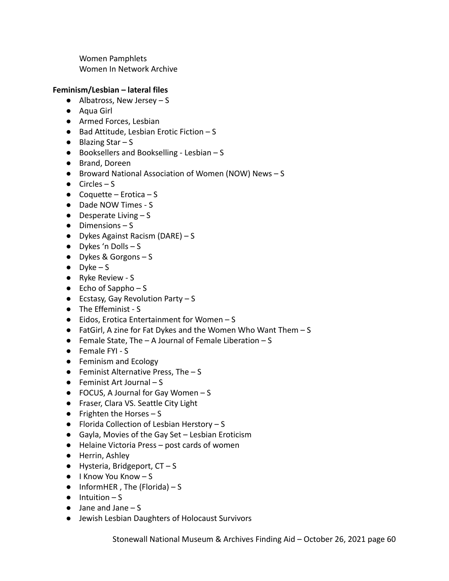Women Pamphlets Women In Network Archive

# **Feminism/Lesbian – lateral files**

- $\bullet$  Albatross, New Jersey S
- Aqua Girl
- Armed Forces, Lesbian
- Bad Attitude, Lesbian Erotic Fiction S
- $\bullet$  Blazing Star S
- $\bullet$  Booksellers and Bookselling Lesbian  $S$
- **●** Brand, Doreen
- Broward National Association of Women (NOW) News S
- $\bullet$  Circles S
- $\bullet$  Coquette Erotica S
- Dade NOW Times S
- $\bullet$  Desperate Living  $-S$
- $\bullet$  Dimensions S
- Dykes Against Racism (DARE) S
- Dykes 'n Dolls S
- Dykes & Gorgons S
- $\bullet$  Dyke S
- Ryke Review S
- $\bullet$  Echo of Sappho S
- $\bullet$  Ecstasy, Gay Revolution Party S
- The Effeminist S
- Eidos, Erotica Entertainment for Women S
- FatGirl, A zine for Fat Dykes and the Women Who Want Them S
- Female State, The A Journal of Female Liberation S
- Female FYI S
- Feminism and Ecology
- **•** Feminist Alternative Press, The  $S$
- $\bullet$  Feminist Art Journal S
- $\bullet$  FOCUS, A Journal for Gay Women S
- Fraser, Clara VS. Seattle City Light
- $\bullet$  Frighten the Horses S
- Florida Collection of Lesbian Herstory S
- Gayla, Movies of the Gay Set Lesbian Eroticism
- Helaine Victoria Press post cards of women
- Herrin, Ashley
- $\bullet$  Hysteria, Bridgeport,  $CT S$
- I Know You Know S
- $\bullet$  InformHER, The (Florida) S
- $\bullet$  Intuition S
- Jane and Jane S
- Jewish Lesbian Daughters of Holocaust Survivors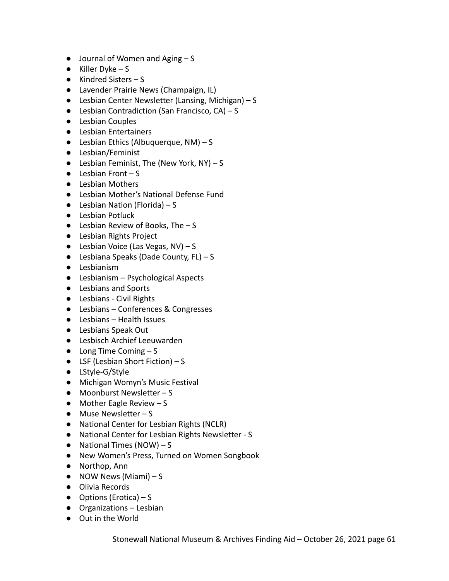- $\bullet$  Journal of Women and Aging  $-S$
- $\bullet$  Killer Dyke S
- Kindred Sisters S
- Lavender Prairie News (Champaign, IL)
- Lesbian Center Newsletter (Lansing, Michigan) S
- $\bullet$  Lesbian Contradiction (San Francisco, CA) S
- Lesbian Couples
- Lesbian Entertainers
- $\bullet$  Lesbian Ethics (Albuquerque, NM) S
- Lesbian/Feminist
- $\bullet$  Lesbian Feminist, The (New York, NY) S
- $\bullet$  Lesbian Front S
- Lesbian Mothers
- Lesbian Mother's National Defense Fund
- $\bullet$  Lesbian Nation (Florida) S
- Lesbian Potluck
- $\bullet$  Lesbian Review of Books, The  $-$  S
- Lesbian Rights Project
- $\bullet$  Lesbian Voice (Las Vegas, NV) S
- $\bullet$  Lesbiana Speaks (Dade County, FL) S
- Lesbianism
- Lesbianism Psychological Aspects
- Lesbians and Sports
- Lesbians Civil Rights
- Lesbians Conferences & Congresses
- Lesbians Health Issues
- Lesbians Speak Out
- Lesbisch Archief Leeuwarden
- $\bullet$  Long Time Coming  $-S$
- $\bullet$  LSF (Lesbian Short Fiction) S
- LStyle-G/Style
- Michigan Womyn's Music Festival
- Moonburst Newsletter S
- $\bullet$  Mother Eagle Review S
- Muse Newsletter S
- National Center for Lesbian Rights (NCLR)
- National Center for Lesbian Rights Newsletter S
- $\bullet$  National Times (NOW) S
- New Women's Press, Turned on Women Songbook
- Northop, Ann
- $\bullet$  NOW News (Miami) S
- Olivia Records
- $\bullet$  Options (Erotica) S
- Organizations Lesbian
- Out in the World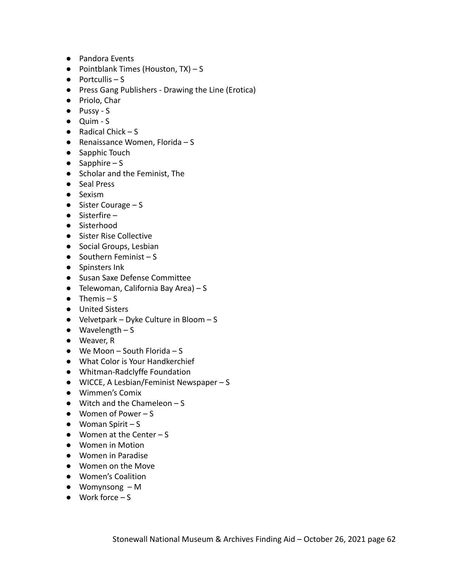- Pandora Events
- Pointblank Times (Houston, TX) S
- $\bullet$  Portcullis S
- Press Gang Publishers Drawing the Line (Erotica)
- Priolo, Char
- Pussy S
- Quim S
- $\bullet$  Radical Chick S
- Renaissance Women, Florida S
- Sapphic Touch
- $\bullet$  Sapphire S
- Scholar and the Feminist, The
- Seal Press
- Sexism
- Sister Courage S
- Sisterfire –
- Sisterhood
- Sister Rise Collective
- Social Groups, Lesbian
- $\bullet$  Southern Feminist S
- Spinsters Ink
- Susan Saxe Defense Committee
- $\bullet$  Telewoman, California Bay Area) S
- $\bullet$  Themis S
- United Sisters
- Velvetpark Dyke Culture in Bloom S
- $\bullet$  Wavelength S
- Weaver, R
- $\bullet$  We Moon South Florida S
- What Color is Your Handkerchief
- Whitman-Radclyffe Foundation
- WICCE, A Lesbian/Feminist Newspaper S
- Wimmen's Comix
- $\bullet$  Witch and the Chameleon  $-S$
- Women of Power S
- $\bullet$  Woman Spirit S
- $\bullet$  Women at the Center S
- Women in Motion
- Women in Paradise
- Women on the Move
- Women's Coalition
- $\bullet$  Womynsong  $-M$
- $\bullet$  Work force S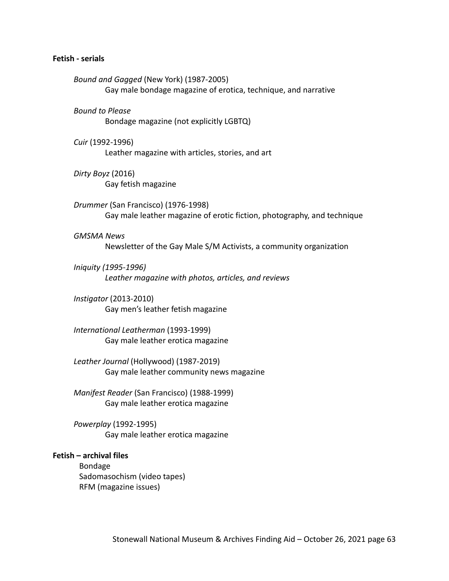#### **Fetish - serials**

*Bound and Gagged* (New York) (1987-2005) Gay male bondage magazine of erotica, technique, and narrative *Bound to Please* Bondage magazine (not explicitly LGBTQ) *Cuir* (1992-1996) Leather magazine with articles, stories, and art *Dirty Boyz* (2016) Gay fetish magazine *Drummer* (San Francisco) (1976-1998) Gay male leather magazine of erotic fiction, photography, and technique *GMSMA News* Newsletter of the Gay Male S/M Activists, a community organization *Iniquity (1995-1996) Leather magazine with photos, articles, and reviews Instigator* (2013-2010) Gay men's leather fetish magazine *International Leatherman* (1993-1999) Gay male leather erotica magazine *Leather Journal* (Hollywood) (1987-2019) Gay male leather community news magazine *Manifest Reader* (San Francisco) (1988-1999) Gay male leather erotica magazine *Powerplay* (1992-1995) Gay male leather erotica magazine **Fetish – archival files** Bondage Sadomasochism (video tapes) RFM (magazine issues)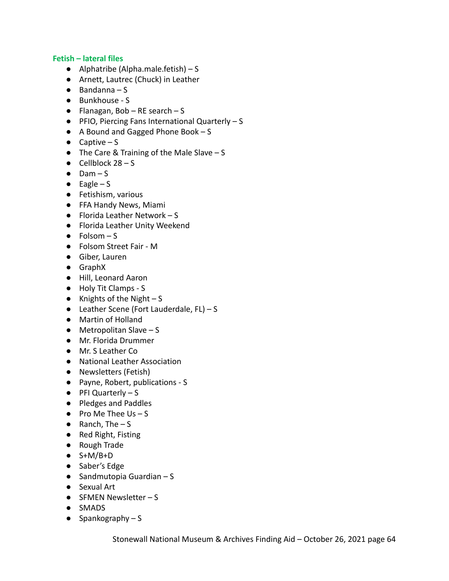## **Fetish – lateral files**

- $\bullet$  Alphatribe (Alpha.male.fetish) S
- Arnett, Lautrec (Chuck) in Leather
- $\bullet$  Bandanna S
- Bunkhouse S
- $\bullet$  Flanagan, Bob RE search S
- PFIO, Piercing Fans International Quarterly S
- A Bound and Gagged Phone Book S
- $\bullet$  Captive S
- $\bullet$  The Care & Training of the Male Slave S
- $\bullet$  Cellblock 28 S
- $\bullet$  Dam S
- $\bullet$  Eagle S
- Fetishism, various
- FFA Handy News, Miami
- $\bullet$  Florida Leather Network S
- Florida Leather Unity Weekend
- $\bullet$  Folsom S
- Folsom Street Fair M
- Giber, Lauren
- GraphX
- Hill, Leonard Aaron
- Holy Tit Clamps S
- $\bullet$  Knights of the Night S
- $\bullet$  Leather Scene (Fort Lauderdale, FL) S
- Martin of Holland
- $\bullet$  Metropolitan Slave S
- Mr. Florida Drummer
- Mr. S Leather Co
- National Leather Association
- Newsletters (Fetish)
- Payne, Robert, publications S
- PFI Quarterly S
- Pledges and Paddles
- $\bullet$  Pro Me Thee Us  $-$  S
- $\bullet$  Ranch, The  $-$  S
- Red Right, Fisting
- Rough Trade
- $\bullet$  S+M/B+D
- Saber's Edge
- $\bullet$  Sandmutopia Guardian S
- Sexual Art
- SFMEN Newsletter S
- SMADS
- $\bullet$  Spankography S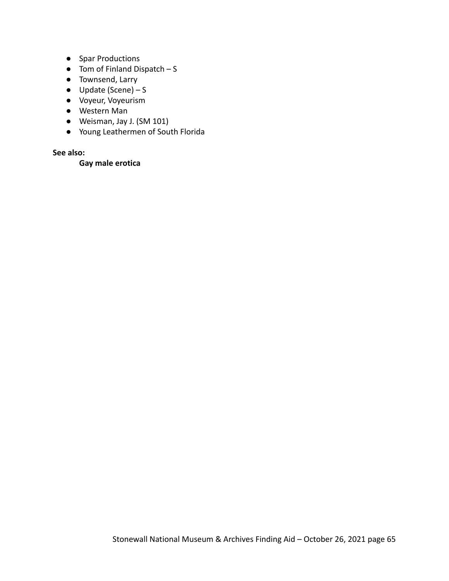- Spar Productions
- $\bullet$  Tom of Finland Dispatch S
- Townsend, Larry
- $\bullet$  Update (Scene) S
- Voyeur, Voyeurism
- Western Man
- Weisman, Jay J. (SM 101)
- Young Leathermen of South Florida

## **See also:**

# **Gay male erotica**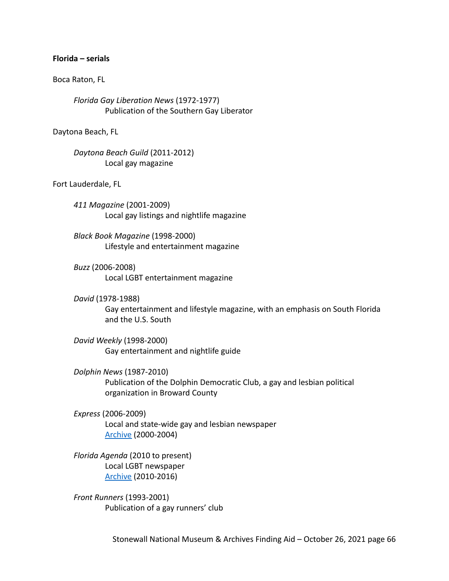#### **Florida – serials**

#### Boca Raton, FL

*Florida Gay Liberation News* (1972-1977) Publication of the Southern Gay Liberator

Daytona Beach, FL

*Daytona Beach Guild* (2011-2012) Local gay magazine

Fort Lauderdale, FL

*411 Magazine* (2001-2009) Local gay listings and nightlife magazine

*Black Book Magazine* (1998-2000) Lifestyle and entertainment magazine

*Buzz* (2006-2008) Local LGBT entertainment magazine

*David* (1978-1988)

Gay entertainment and lifestyle magazine, with an emphasis on South Florida and the U.S. South

*David Weekly* (1998-2000) Gay entertainment and nightlife guide

*Dolphin News* (1987-2010) Publication of the Dolphin Democratic Club, a gay and lesbian political organization in Broward County

*Express* (2006-2009) Local and state-wide gay and lesbian newspaper [Archive](http://www.originalexpressgaynews.com/) (2000-2004)

*Florida Agenda* (2010 to present) Local LGBT newspaper [Archive](https://issuu.com/floridaagenda) (2010-2016)

*Front Runners* (1993-2001) Publication of a gay runners' club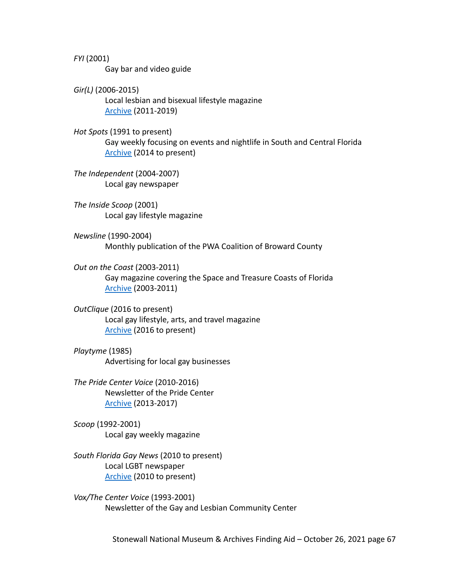*FYI* (2001) Gay bar and video guide

*Gir(L)* (2006-2015) Local lesbian and bisexual lifestyle magazine [Archive](https://issuu.com/girlmagazine) (2011-2019)

*Hot Spots* (1991 to present) Gay weekly focusing on events and nightlife in South and Central Florida [Archive](https://issuu.com/hotspotsmediagroup) (2014 to present)

*The Independent* (2004-2007) Local gay newspaper

*The Inside Scoop* (2001) Local gay lifestyle magazine

*Newsline* (1990-2004) Monthly publication of the PWA Coalition of Broward County

*Out on the Coast* (2003-2011) Gay magazine covering the Space and Treasure Coasts of Florida [Archive](http://ootcmag.com/) (2003-2011)

*OutClique* (2016 to present) Local gay lifestyle, arts, and travel magazine [Archive](https://issuu.com/outclique) (2016 to present)

*Playtyme* (1985) Advertising for local gay businesses

*The Pride Center Voice* (2010-2016) Newsletter of the Pride Center [Archive](https://www.pridecenterflorida.org/voice-newsletter/) (2013-2017)

*Scoop* (1992-2001) Local gay weekly magazine

*South Florida Gay News* (2010 to present) Local LGBT newspaper [Archive](https://issuu.com/sfgnissues/docs) (2010 to present)

*Vox/The Center Voice* (1993-2001) Newsletter of the Gay and Lesbian Community Center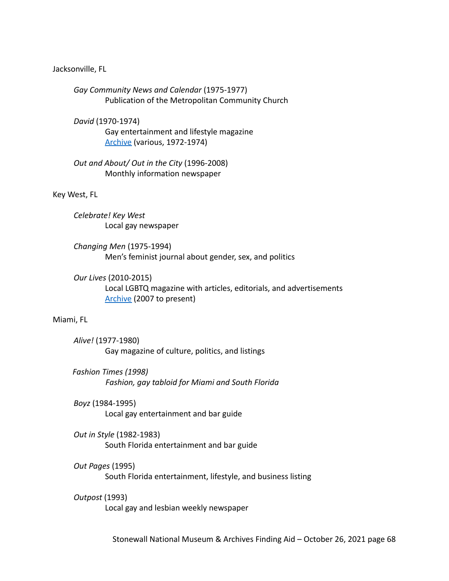#### Jacksonville, FL

*Gay Community News and Calendar* (1975-1977) Publication of the Metropolitan Community Church

*David* (1970-1974)

Gay entertainment and lifestyle magazine [Archive](http://www.houstonlgbthistory.org/assorted3.html) (various, 1972-1974)

*Out and About/ Out in the City* (1996-2008) Monthly information newspaper

Key West, FL

*Celebrate! Key West* Local gay newspaper

*Changing Men* (1975-1994) Men's feminist journal about gender, sex, and politics

*Our Lives* (2010-2015) Local LGBTQ magazine with articles, editorials, and advertisements [Archive](https://ourlivesmadison.com/magazine/) (2007 to present)

#### Miami, FL

*Alive!* (1977-1980) Gay magazine of culture, politics, and listings

*Fashion Times (1998) Fashion, gay tabloid for Miami and South Florida*

*Boyz* (1984-1995) Local gay entertainment and bar guide

*Out in Style* (1982-1983) South Florida entertainment and bar guide

#### *Out Pages* (1995)

South Florida entertainment, lifestyle, and business listing

#### *Outpost* (1993)

Local gay and lesbian weekly newspaper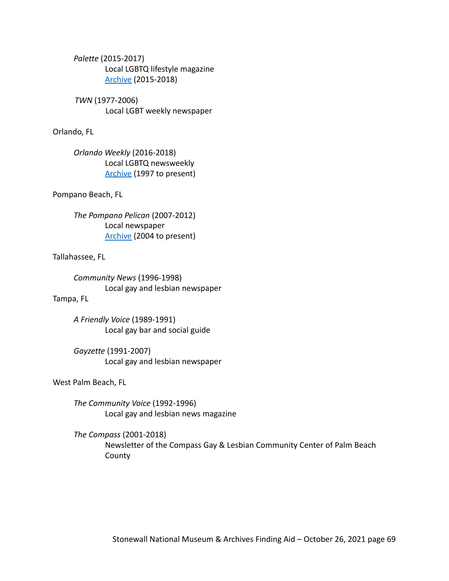*Palette* (2015-2017) Local LGBTQ lifestyle magazine [Archive](https://ufdc.ufl.edu/AA00063932/00007/allvolumes) (2015-2018)

*TWN* (1977-2006) Local LGBT weekly newspaper

### Orlando, FL

*Orlando Weekly* (2016-2018) Local LGBTQ newsweekly [Archive](https://www.orlandoweekly.com/orlando/IssueArchives) (1997 to present)

### Pompano Beach, FL

*The Pompano Pelican* (2007-2012) Local newspaper [Archive](https://ufdc.ufl.edu/UF00090900/00549/allvolumes) (2004 to present)

### Tallahassee, FL

*Community News* (1996-1998) Local gay and lesbian newspaper

# Tampa, FL

*A Friendly Voice* (1989-1991) Local gay bar and social guide

*Gayzette* (1991-2007) Local gay and lesbian newspaper

West Palm Beach, FL

*The Community Voice* (1992-1996) Local gay and lesbian news magazine

*The Compass* (2001-2018) Newsletter of the Compass Gay & Lesbian Community Center of Palm Beach County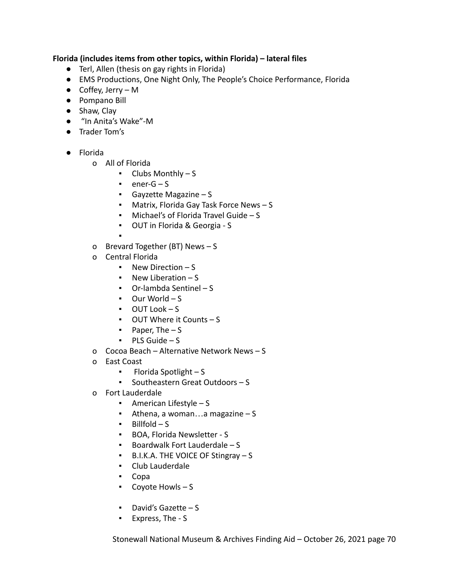## **Florida (includes items from other topics, within Florida) – lateral files**

- Terl, Allen (thesis on gay rights in Florida)
- EMS Productions, One Night Only, The People's Choice Performance, Florida
- Coffey, Jerry M
- Pompano Bill
- Shaw, Clay
- "In Anita's Wake"-M
- Trader Tom's
- Florida
	- o All of Florida
		- Clubs Monthly S
		- $\cdot$  ener-G S
		- Gayzette Magazine S
		- Matrix, Florida Gay Task Force News S
		- Michael's of Florida Travel Guide S
		- OUT in Florida & Georgia S
		- ▪
	- o Brevard Together (BT) News S
	- o Central Florida
		- New Direction S
		- New Liberation S
		- Or-lambda Sentinel S
		- Our World S
		- OUT Look S
		- OUT Where it Counts S
		- $\blacksquare$  Paper, The  $\blacksquare$  S
		- $PLS$  Guide S
	- o Cocoa Beach Alternative Network News S
	- o East Coast
		- Florida Spotlight S
		- Southeastern Great Outdoors S
	- o Fort Lauderdale
		- American Lifestyle S
		- Athena, a woman...a magazine  $S$
		- Billfold S
		- BOA, Florida Newsletter S
		- Boardwalk Fort Lauderdale S
		- B.I.K.A. THE VOICE OF Stingray S
		- Club Lauderdale
		- Copa
		- Coyote Howls S
		- David's Gazette S
		- Express, The S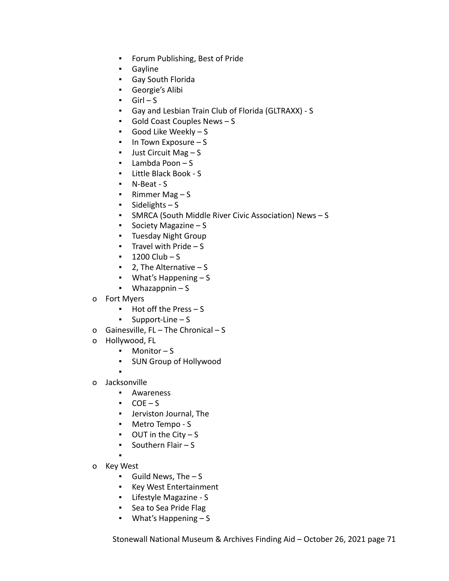- Forum Publishing, Best of Pride
- Gayline
- Gay South Florida
- Georgie's Alibi
- $-$  Girl S
- Gay and Lesbian Train Club of Florida (GLTRAXX) S
- Gold Coast Couples News S
- Good Like Weekly S
- In Town Exposure S
- Just Circuit Mag S
- Lambda Poon  $S$
- Little Black Book S
- N-Beat S
- Rimmer Mag S
- $\blacksquare$  Sidelights S
- SMRCA (South Middle River Civic Association) News S
- Society Magazine S
- Tuesday Night Group
- **•** Travel with Pride  $S$
- $1200$  Club S
- $\blacksquare$  2. The Alternative  $-$  S
- What's Happening S
- $\bullet$  Whazappnin S
- o Fort Myers
	- Hot off the Press S
	- Support-Line S
- o Gainesville, FL The Chronical S
- o Hollywood, FL
	- Monitor S
	- SUN Group of Hollywood
- o Jacksonville
	- Awareness
	- $\text{COE} \text{S}$
	- Jerviston Journal, The
	- Metro Tempo S
	- OUT in the City S
	- Southern Flair S
	- ▪
- o Key West
	- $\blacksquare$  Guild News, The  $-$  S
	- Key West Entertainment
	- Lifestyle Magazine S
	- Sea to Sea Pride Flag
	- What's Happening S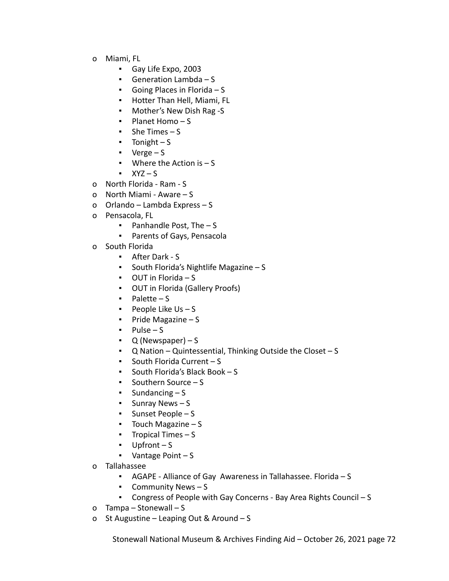- o Miami, FL
	- Gay Life Expo, 2003
	- Generation Lambda S
	- Going Places in Florida S
	- Hotter Than Hell, Miami, FL
	- Mother's New Dish Rag -S
	- Planet Homo S
	- $\blacksquare$  She Times S
	- $\blacksquare$  Tonight S
	- $\bullet$  Verge S
	- $\blacksquare$  Where the Action is  $\lightharpoonup$  S
	- $\blacksquare$  XYZ S
- o North Florida Ram S
- o North Miami Aware S
- o Orlando Lambda Express S
- o Pensacola, FL
	- Panhandle Post, The S
	- Parents of Gays, Pensacola
- o South Florida
	- After Dark S
	- South Florida's Nightlife Magazine S
	- OUT in Florida S
	- OUT in Florida (Gallery Proofs)
	- Palette S
	- **•** People Like  $Us S$
	- Pride Magazine S
	- Pulse S
	- $\bullet$  Q (Newspaper) S
	- Q Nation Quintessential, Thinking Outside the Closet S
	- South Florida Current S
	- South Florida's Black Book S
	- Southern Source S
	- $\blacksquare$  Sundancing  $\blacksquare$  S
	- Sunray News S
	- Sunset People S
	- Touch Magazine S
	- **•** Tropical Times  $S$
	- Upfront S
	- Vantage Point S
- o Tallahassee
	- AGAPE Alliance of Gay Awareness in Tallahassee. Florida S
	- Community News S
	- Congress of People with Gay Concerns Bay Area Rights Council S
- o Tampa Stonewall S
- o St Augustine Leaping Out & Around S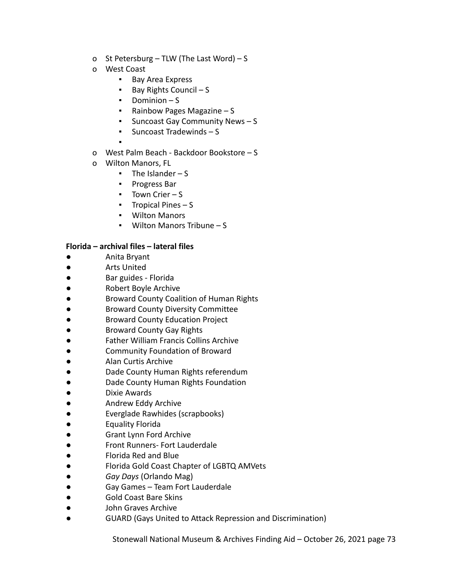- o St Petersburg TLW (The Last Word) S
- o West Coast
	- Bay Area Express
	- Bay Rights Council S
	- Dominion S
	- Rainbow Pages Magazine S
	- Suncoast Gay Community News S
	- Suncoast Tradewinds S
	- ▪
- o West Palm Beach Backdoor Bookstore S
- o Wilton Manors, FL
	- $\blacksquare$  The Islander S
	- Progress Bar
	- Town Crier S
	- Tropical Pines S
	- Wilton Manors
	- Wilton Manors Tribune S

# **Florida – archival files – lateral files**

- Anita Bryant
- Arts United
- Bar guides Florida
- **Robert Boyle Archive**
- Broward County Coalition of Human Rights
- **Broward County Diversity Committee**
- **Broward County Education Project**
- Broward County Gay Rights
- **Father William Francis Collins Archive**
- Community Foundation of Broward
- Alan Curtis Archive
- Dade County Human Rights referendum
- Dade County Human Rights Foundation
- Dixie Awards
- Andrew Eddy Archive
- **Everglade Rawhides (scrapbooks)**
- **Equality Florida**
- **Grant Lynn Ford Archive**
- **Front Runners- Fort Lauderdale**
- Florida Red and Blue
- Florida Gold Coast Chapter of LGBTQ AMVets
- *Gay Days* (Orlando Mag)
- Gay Games Team Fort Lauderdale
- Gold Coast Bare Skins
- John Graves Archive
- GUARD (Gays United to Attack Repression and Discrimination)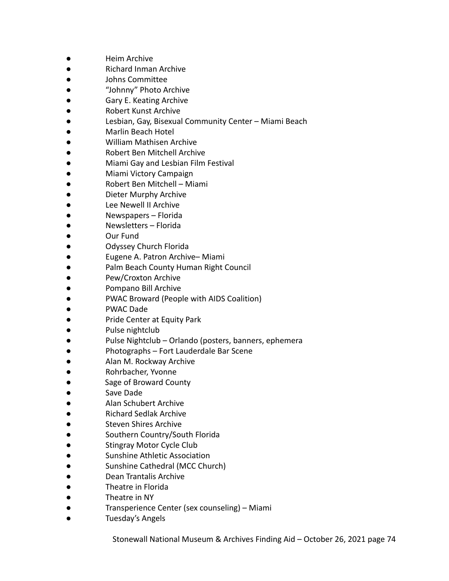- Heim Archive
- **Richard Inman Archive**
- Johns Committee
- "Johnny" Photo Archive
- **Gary E. Keating Archive**
- Robert Kunst Archive
- Lesbian, Gay, Bisexual Community Center Miami Beach
- Marlin Beach Hotel
- William Mathisen Archive
- Robert Ben Mitchell Archive
- Miami Gay and Lesbian Film Festival
- Miami Victory Campaign
- Robert Ben Mitchell Miami
- Dieter Murphy Archive
- Lee Newell II Archive
- Newspapers Florida
- Newsletters Florida
- Our Fund
- Odyssey Church Florida
- Eugene A. Patron Archive– Miami
- Palm Beach County Human Right Council
- Pew/Croxton Archive
- Pompano Bill Archive
- PWAC Broward (People with AIDS Coalition)
- PWAC Dade
- Pride Center at Equity Park
- Pulse nightclub
- Pulse Nightclub Orlando (posters, banners, ephemera
- Photographs Fort Lauderdale Bar Scene
- Alan M. Rockway Archive
- Rohrbacher, Yvonne
- Sage of Broward County
- Save Dade
- Alan Schubert Archive
- **Richard Sedlak Archive**
- **Steven Shires Archive**
- Southern Country/South Florida
- **Stingray Motor Cycle Club**
- Sunshine Athletic Association
- Sunshine Cathedral (MCC Church)
- Dean Trantalis Archive
- Theatre in Florida
- Theatre in NY
- Transperience Center (sex counseling) Miami
- Tuesday's Angels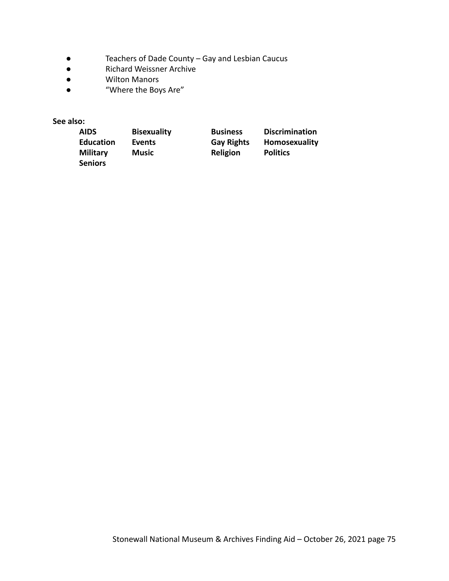- Teachers of Dade County Gay and Lesbian Caucus<br>● Richard Weissner Archive
- Richard Weissner Archive<br>● Wilton Manors
- **Wilton Manors**
- "Where the Boys Are"

**See also:**

| <b>AIDS</b>      | <b>Bisexuality</b> | <b>Business</b>   | <b>Discrimination</b> |
|------------------|--------------------|-------------------|-----------------------|
| <b>Education</b> | Events             | <b>Gay Rights</b> | Homosexuality         |
| <b>Military</b>  | <b>Music</b>       | Religion          | <b>Politics</b>       |
| <b>Seniors</b>   |                    |                   |                       |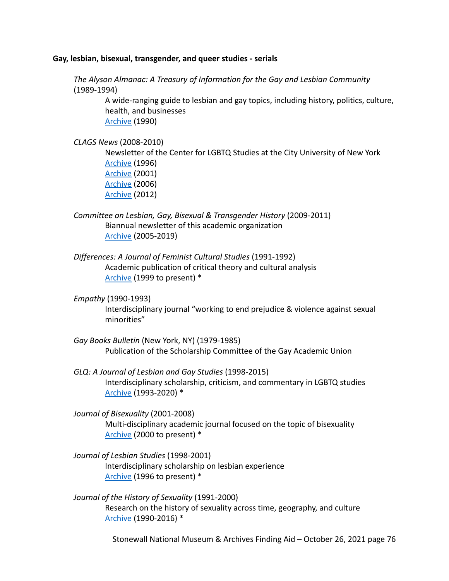#### **Gay, lesbian, bisexual, transgender, and queer studies - serials**

*The Alyson Almanac: A Treasury of Information for the Gay and Lesbian Community* (1989-1994)

> A wide-ranging guide to lesbian and gay topics, including history, politics, culture, health, and businesses [Archive](https://archive.org/details/alysonalmanactr00alys) (1990)

#### *CLAGS News* (2008-2010)

Newsletter of the Center for LGBTQ Studies at the City University of New York [Archive](https://cdha.cuny.edu/files/original/c1cc86b35ad05fa5c988b8fd2ad0bfd0.pdf) (1996) [Archive](http://bcrw.barnard.edu/archive/education/CLAGSnews.pdf) (2001) [Archive](https://cdn.atria.nl/ezines/email/CLAGnews/2006/No1.pdf) (2006) [Archive](http://www.westerling.nu/wp-content/uploads/2015/05/CLAGS-Newsletter-Fall-2012.pdf) (2012)

*Committee on Lesbian, Gay, Bisexual & Transgender History* (2009-2011) Biannual newsletter of this academic organization [Archive](http://clgbthistory.org/newsletter) (2005-2019)

- *Differences: A Journal of Feminist Cultural Studies* (1991-1992) Academic publication of critical theory and cultural analysis [Archive](https://read.dukeupress.edu/differences/issue) (1999 to present) \*
- *Empathy* (1990-1993)

Interdisciplinary journal "working to end prejudice & violence against sexual minorities"

- *Gay Books Bulletin* (New York, NY) (1979-1985) Publication of the Scholarship Committee of the Gay Academic Union
- *GLQ: A Journal of Lesbian and Gay Studies* (1998-2015) Interdisciplinary scholarship, criticism, and commentary in LGBTQ studies [Archive](https://read.dukeupress.edu/glq/issue) (1993-2020) \*
- *Journal of Bisexuality* (2001-2008) Multi-disciplinary academic journal focused on the topic of bisexuality [Archive](https://www.tandfonline.com/loi/wjbi20) (2000 to present) \*
- *Journal of Lesbian Studies* (1998-2001) Interdisciplinary scholarship on lesbian experience [Archive](https://www.tandfonline.com/loi/wjls20) (1996 to present) \*
- *Journal of the History of Sexuality* (1991-2000) Research on the history of sexuality across time, geography, and culture [Archive](https://www.jstor.org/journal/jhistsexu) (1990-2016) \*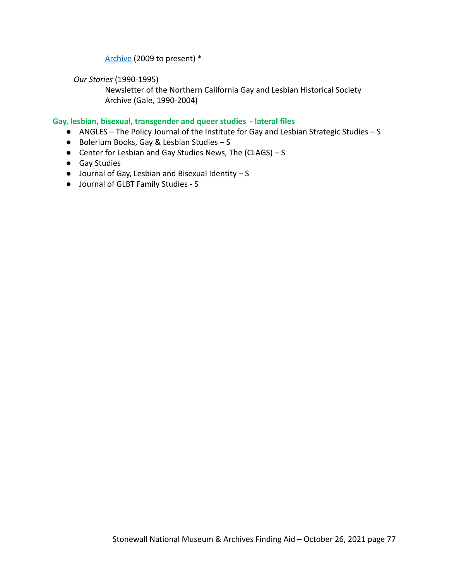# [Archive](https://www.utexaspressjournals.org/loi/jhs) (2009 to present) \*

*Our Stories* (1990-1995)

Newsletter of the Northern California Gay and Lesbian Historical Society Archive (Gale, 1990-2004)

### **Gay, lesbian, bisexual, transgender and queer studies - lateral files**

- ANGLES The Policy Journal of the Institute for Gay and Lesbian Strategic Studies S
- Bolerium Books, Gay & Lesbian Studies S
- Center for Lesbian and Gay Studies News, The (CLAGS) S
- Gay Studies
- $\bullet$  Journal of Gay, Lesbian and Bisexual Identity S
- Journal of GLBT Family Studies S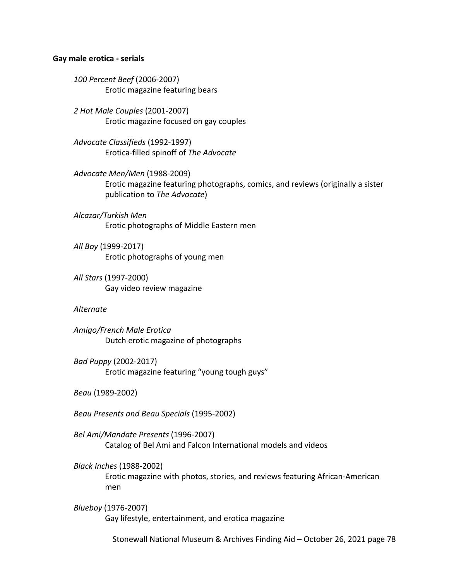#### **Gay male erotica - serials**

*100 Percent Beef* (2006-2007) Erotic magazine featuring bears

*2 Hot Male Couples* (2001-2007) Erotic magazine focused on gay couples

*Advocate Classifieds* (1992-1997) Erotica-filled spinoff of *The Advocate*

*Advocate Men/Men* (1988-2009) Erotic magazine featuring photographs, comics, and reviews (originally a sister publication to *The Advocate*)

*Alcazar/Turkish Men* Erotic photographs of Middle Eastern men

*All Boy* (1999-2017) Erotic photographs of young men

*All Stars* (1997-2000) Gay video review magazine

#### *Alternate*

*Amigo/French Male Erotica* Dutch erotic magazine of photographs

*Bad Puppy* (2002-2017) Erotic magazine featuring "young tough guys"

*Beau* (1989-2002)

*Beau Presents and Beau Specials* (1995-2002)

*Bel Ami/Mandate Presents* (1996-2007) Catalog of Bel Ami and Falcon International models and videos

*Black Inches* (1988-2002)

Erotic magazine with photos, stories, and reviews featuring African-American men

*Blueboy* (1976-2007) Gay lifestyle, entertainment, and erotica magazine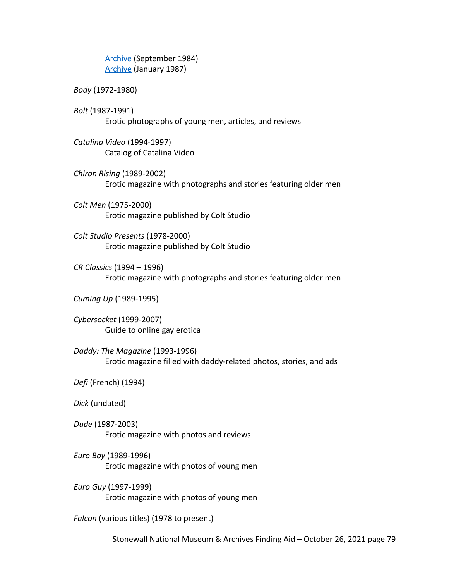[Archive](https://archive.org/details/BlueboySept1984Vol91) (September 1984) [Archive](https://archive.org/details/BlueboyVol10No6/mode/2up) (January 1987)

*Body* (1972-1980)

*Bolt* (1987-1991) Erotic photographs of young men, articles, and reviews

*Catalina Video* (1994-1997) Catalog of Catalina Video

*Chiron Rising* (1989-2002) Erotic magazine with photographs and stories featuring older men

*Colt Men* (1975-2000) Erotic magazine published by Colt Studio

*Colt Studio Presents* (1978-2000) Erotic magazine published by Colt Studio

*CR Classics* (1994 – 1996) Erotic magazine with photographs and stories featuring older men

*Cuming Up* (1989-1995)

*Cybersocket* (1999-2007) Guide to online gay erotica

*Daddy: The Magazine* (1993-1996) Erotic magazine filled with daddy-related photos, stories, and ads

*Defi* (French) (1994)

*Dick* (undated)

*Dude* (1987-2003) Erotic magazine with photos and reviews

*Euro Boy* (1989-1996) Erotic magazine with photos of young men

*Euro Guy* (1997-1999) Erotic magazine with photos of young men

*Falcon* (various titles) (1978 to present)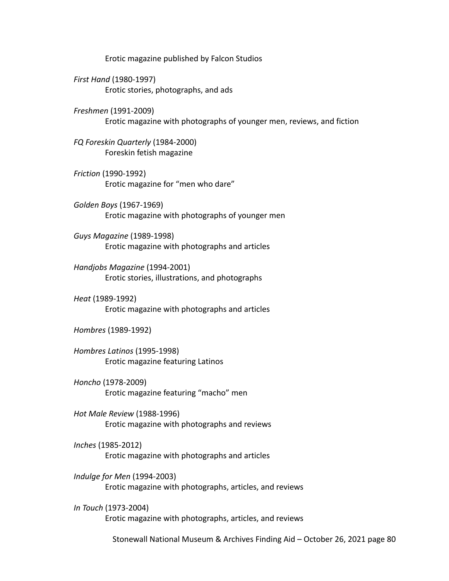Erotic magazine published by Falcon Studios

*First Hand* (1980-1997) Erotic stories, photographs, and ads

*Freshmen* (1991-2009) Erotic magazine with photographs of younger men, reviews, and fiction

*FQ Foreskin Quarterly* (1984-2000) Foreskin fetish magazine

*Friction* (1990-1992) Erotic magazine for "men who dare"

*Golden Boys* (1967-1969) Erotic magazine with photographs of younger men

*Guys Magazine* (1989-1998) Erotic magazine with photographs and articles

*Handjobs Magazine* (1994-2001) Erotic stories, illustrations, and photographs

*Heat* (1989-1992) Erotic magazine with photographs and articles

*Hombres* (1989-1992)

*Hombres Latinos* (1995-1998) Erotic magazine featuring Latinos

*Honcho* (1978-2009) Erotic magazine featuring "macho" men

*Hot Male Review* (1988-1996) Erotic magazine with photographs and reviews

*Inches* (1985-2012) Erotic magazine with photographs and articles

*Indulge for Men* (1994-2003) Erotic magazine with photographs, articles, and reviews

*In Touch* (1973-2004) Erotic magazine with photographs, articles, and reviews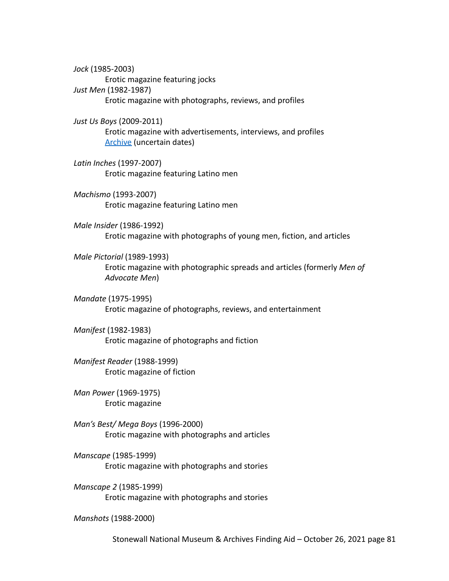*Jock* (1985-2003) Erotic magazine featuring jocks *Just Men* (1982-1987) Erotic magazine with photographs, reviews, and profiles

*Just Us Boys* (2009-2011) Erotic magazine with advertisements, interviews, and profiles [Archive](https://www.justusboys.com/magazine.html) (uncertain dates)

*Latin Inches* (1997-2007) Erotic magazine featuring Latino men

*Machismo* (1993-2007) Erotic magazine featuring Latino men

*Male Insider* (1986-1992) Erotic magazine with photographs of young men, fiction, and articles

*Male Pictorial* (1989-1993) Erotic magazine with photographic spreads and articles (formerly *Men of Advocate Men*)

*Mandate* (1975-1995) Erotic magazine of photographs, reviews, and entertainment

*Manifest* (1982-1983) Erotic magazine of photographs and fiction

*Manifest Reader* (1988-1999) Erotic magazine of fiction

*Man Power* (1969-1975) Erotic magazine

*Man's Best/ Mega Boys* (1996-2000) Erotic magazine with photographs and articles

*Manscape* (1985-1999) Erotic magazine with photographs and stories

*Manscape 2* (1985-1999) Erotic magazine with photographs and stories

*Manshots* (1988-2000)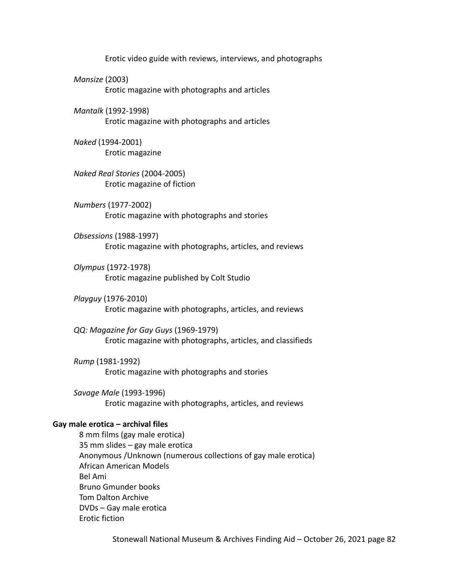Erotic video guide with reviews, interviews, and photographs

*Mansize* (2003) Erotic magazine with photographs and articles

*Mantalk* (1992-1998) Erotic magazine with photographs and articles

*Naked* (1994-2001) Erotic magazine

*Naked Real Stories* (2004-2005) Erotic magazine of fiction

*Numbers* (1977-2002) Erotic magazine with photographs and stories

*Obsessions* (1988-1997) Erotic magazine with photographs, articles, and reviews

*Olympus* (1972-1978) Erotic magazine published by Colt Studio

*Playguy* (1976-2010) Erotic magazine with photographs, articles, and reviews

*QQ: Magazine for Gay Guys* (1969-1979) Erotic magazine with photographs, articles, and classifieds

*Rump* (1981-1992) Erotic magazine with photographs and stories

*Savage Male* (1993-1996) Erotic magazine with photographs, articles, and reviews

#### **Gay male erotica – archival files**

8 mm films (gay male erotica) 35 mm slides – gay male erotica Anonymous /Unknown (numerous collections of gay male erotica) African American Models Bel Ami Bruno Gmunder books Tom Dalton Archive DVDs – Gay male erotica Erotic fiction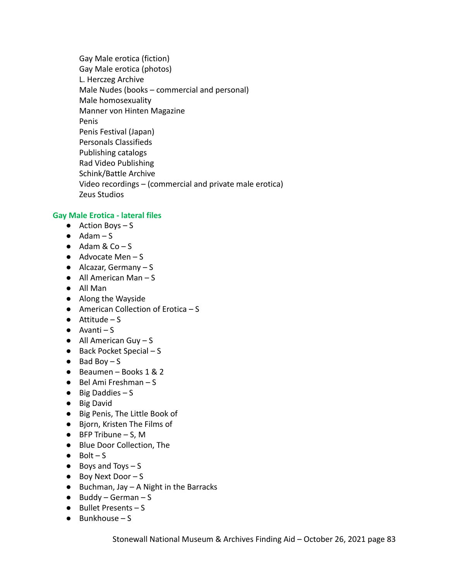Gay Male erotica (fiction) Gay Male erotica (photos) L. Herczeg Archive Male Nudes (books – commercial and personal) Male homosexuality Manner von Hinten Magazine Penis Penis Festival (Japan) Personals Classifieds Publishing catalogs Rad Video Publishing Schink/Battle Archive Video recordings – (commercial and private male erotica) Zeus Studios

# **Gay Male Erotica - lateral files**

- $\bullet$  Action Boys S
- $\bullet$  Adam S
- $\bullet$  Adam & Co S
- Advocate Men S
- $\bullet$  Alcazar, Germany S
- $\bullet$  All American Man S
- All Man
- Along the Wayside
- $\bullet$  American Collection of Erotica S
- $\bullet$  Attitude S
- $\bullet$  Avanti S
- $\bullet$  All American Guy S
- $\bullet$  Back Pocket Special S
- $\bullet$  Bad Boy S
- Beaumen Books 1 & 2
- $\bullet$  Bel Ami Freshman S
- $\bullet$  Big Daddies S
- Big David
- Big Penis, The Little Book of
- Bjorn, Kristen The Films of
- $\bullet$  BFP Tribune S, M
- Blue Door Collection, The
- $\bullet$  Bolt S
- $\bullet$  Boys and Toys  $-$  S
- Boy Next Door S
- $\bullet$  Buchman, Jay A Night in the Barracks
- $\bullet$  Buddy German S
- Bullet Presents S
- $\bullet$  Bunkhouse S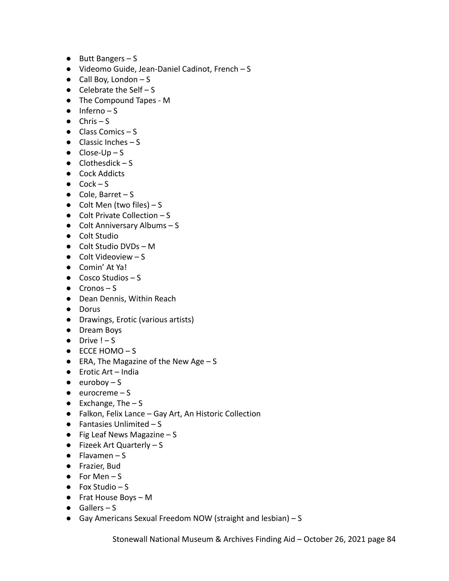- Butt Bangers S
- Videomo Guide, Jean-Daniel Cadinot, French S
- $\bullet$  Call Boy, London S
- $\bullet$  Celebrate the Self S
- The Compound Tapes M
- $\bullet$  Inferno S
- $\bullet$  Chris S
- $\bullet$  Class Comics S
- $\bullet$  Classic Inches S
- $\bullet$  Close-Up S
- $\bullet$  Clothesdick S
- Cock Addicts
- $\bullet$  Cock S
- $\bullet$  Cole, Barret S
- $\bullet$  Colt Men (two files) S
- $\bullet$  Colt Private Collection S
- Colt Anniversary Albums S
- Colt Studio
- Colt Studio DVDs M
- Colt Videoview S
- Comin' At Ya!
- Cosco Studios S
- $\bullet$  Cronos S
- Dean Dennis, Within Reach
- Dorus
- Drawings, Erotic (various artists)
- Dream Boys
- $\bullet$  Drive  $! S$
- $\bullet$  ECCE HOMO S
- $\bullet$  ERA, The Magazine of the New Age S
- Erotic Art India
- $\bullet$  euroboy S
- $\bullet$  eurocreme S
- $\bullet$  Exchange, The  $-$  S
- Falkon, Felix Lance Gay Art, An Historic Collection
- $\bullet$  Fantasies Unlimited S
- $\bullet$  Fig Leaf News Magazine S
- Fizeek Art Quarterly S
- $\bullet$  Flavamen S
- Frazier, Bud
- $\bullet$  For Men S
- $\bullet$  Fox Studio S
- Frat House Boys M
- $\bullet$  Gallers S
- Gay Americans Sexual Freedom NOW (straight and lesbian) S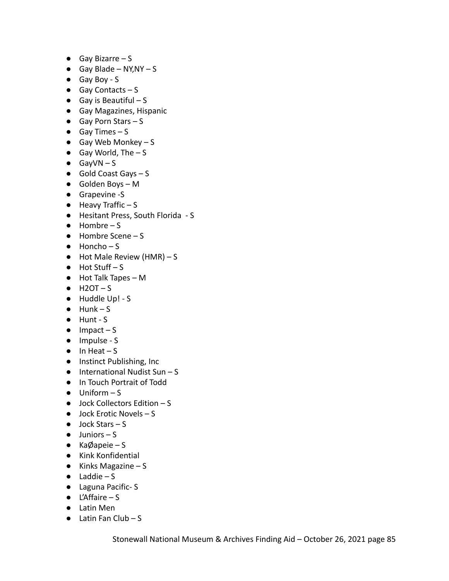- $\bullet$  Gay Bizarre S
- $\bullet$  Gay Blade NY, NY S
- Gay Boy S
- $\bullet$  Gay Contacts S
- $\bullet$  Gay is Beautiful S
- Gay Magazines, Hispanic
- $\bullet$  Gay Porn Stars S
- $\bullet$  Gay Times S
- $\bullet$  Gay Web Monkey S
- $\bullet$  Gay World, The  $-$  S
- $\bullet$  GayVN S
- $\bullet$  Gold Coast Gays  $-S$
- Golden Boys M
- Grapevine -S
- Heavy Traffic S
- Hesitant Press, South Florida S
- $\bullet$  Hombre S
- Hombre Scene S
- $\bullet$  Honcho S
- $\bullet$  Hot Male Review (HMR) S
- $\bullet$  Hot Stuff S
- Hot Talk Tapes M
- $\bullet$  H2OT-S
- Huddle Up! S
- $\bullet$  Hunk S
- Hunt S
- $\bullet$  Impact S
- Impulse S
- $\bullet$  In Heat S
- Instinct Publishing, Inc
- $\bullet$  International Nudist Sun S
- In Touch Portrait of Todd
- $\bullet$  Uniform S
- $\bullet$  Jock Collectors Edition S
- $\bullet$  Jock Erotic Novels S
- $\bullet$  Jock Stars S
- $\bullet$  Juniors S
- KaØapeie S
- Kink Konfidential
- $\bullet$  Kinks Magazine S
- $\bullet$  Laddie S
- Laguna Pacific- S
- L'Affaire S
- Latin Men
- $\bullet$  Latin Fan Club S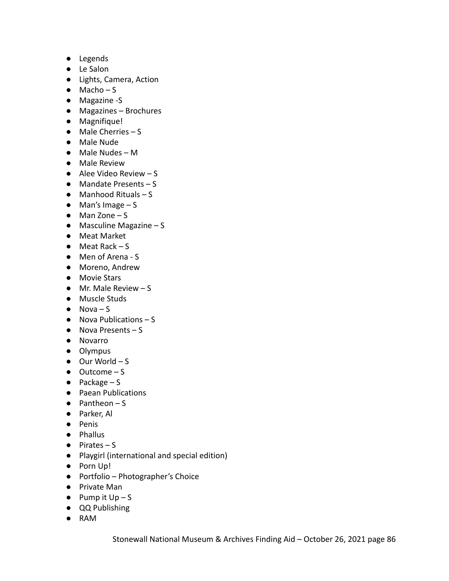- Legends
- Le Salon
- Lights, Camera, Action
- $\bullet$  Macho S
- Magazine -S
- Magazines Brochures
- Magnifique!
- Male Cherries S
- Male Nude
- Male Nudes M
- Male Review
- $\bullet$  Alee Video Review S
- Mandate Presents S
- $\bullet$  Manhood Rituals S
- $\bullet$  Man's Image S
- $\bullet$  Man Zone S
- $\bullet$  Masculine Magazine S
- Meat Market
- $\bullet$  Meat Rack S
- Men of Arena S
- Moreno, Andrew
- Movie Stars
- Mr. Male Review S
- Muscle Studs
- $\bullet$  Nova S
- Nova Publications S
- Nova Presents S
- Novarro
- Olympus
- $\bullet$  Our World S
- Outcome S
- $\bullet$  Package S
- Paean Publications
- $\bullet$  Pantheon S
- Parker, Al
- Penis
- Phallus
- Pirates S
- Playgirl (international and special edition)
- Porn Up!
- Portfolio Photographer's Choice
- Private Man
- $\bullet$  Pump it Up S
- QQ Publishing
- RAM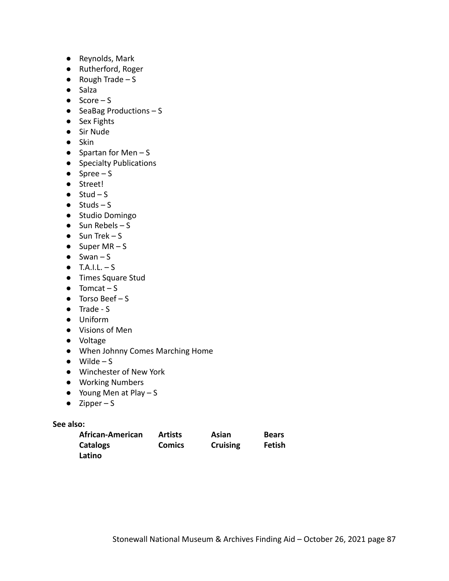- Reynolds, Mark
- Rutherford, Roger
- $\bullet$  Rough Trade S
- Salza
- $\bullet$  Score S
- $\bullet$  SeaBag Productions  $-S$
- Sex Fights
- Sir Nude
- Skin
- $\bullet$  Spartan for Men S
- Specialty Publications
- $\bullet$  Spree S
- Street!
- $\bullet$  Stud S
- $\bullet$  Studs S
- Studio Domingo
- $\bullet$  Sun Rebels S
- $\bullet$  Sun Trek S
- $\bullet$  Super MR S
- $\bullet$  Swan S
- $\bullet$  T.A.I.L. S
- Times Square Stud
- $\bullet$  Tomcat S
- $\bullet$  Torso Beef S
- Trade S
- Uniform
- Visions of Men
- Voltage
- When Johnny Comes Marching Home
- $\bullet$  Wilde S
- Winchester of New York
- Working Numbers
- $\bullet$  Young Men at Play S
- $\bullet$  Zipper S

**See also:**

| African-American | <b>Artists</b> | Asian           | <b>Bears</b>  |
|------------------|----------------|-----------------|---------------|
| Catalogs         | <b>Comics</b>  | <b>Cruising</b> | <b>Fetish</b> |
| Latino           |                |                 |               |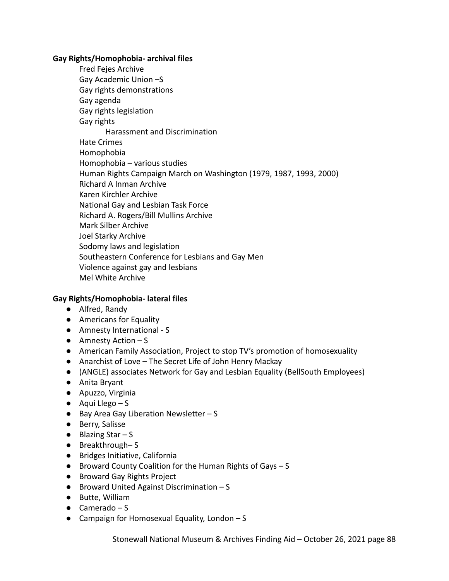### **Gay Rights/Homophobia- archival files**

Fred Fejes Archive Gay Academic Union –S Gay rights demonstrations Gay agenda Gay rights legislation Gay rights Harassment and Discrimination Hate Crimes Homophobia Homophobia – various studies Human Rights Campaign March on Washington (1979, 1987, 1993, 2000) Richard A Inman Archive Karen Kirchler Archive National Gay and Lesbian Task Force Richard A. Rogers/Bill Mullins Archive Mark Silber Archive Joel Starky Archive Sodomy laws and legislation Southeastern Conference for Lesbians and Gay Men Violence against gay and lesbians Mel White Archive

# **Gay Rights/Homophobia- lateral files**

- Alfred, Randy
- Americans for Equality
- Amnesty International S
- Amnesty Action S
- American Family Association, Project to stop TV's promotion of homosexuality
- Anarchist of Love The Secret Life of John Henry Mackay
- (ANGLE) associates Network for Gay and Lesbian Equality (BellSouth Employees)
- Anita Bryant
- Apuzzo, Virginia
- $\bullet$  Aqui Llego S
- Bay Area Gay Liberation Newsletter S
- Berry, Salisse
- $\bullet$  Blazing Star S
- Breakthrough–S
- Bridges Initiative, California
- Broward County Coalition for the Human Rights of Gays S
- Broward Gay Rights Project
- Broward United Against Discrimination S
- Butte, William
- Camerado S
- Campaign for Homosexual Equality, London S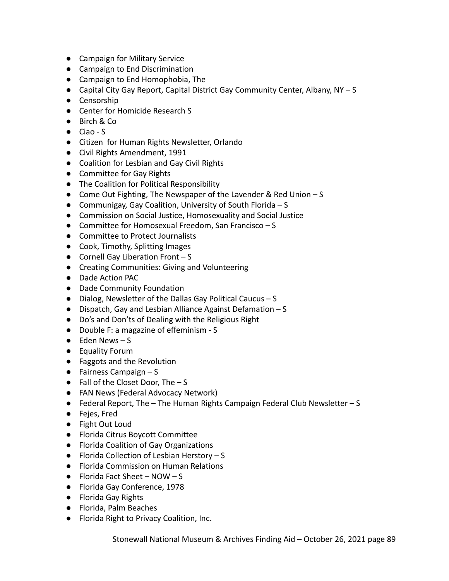- Campaign for Military Service
- Campaign to End Discrimination
- Campaign to End Homophobia, The
- Capital City Gay Report, Capital District Gay Community Center, Albany, NY S
- Censorship
- Center for Homicide Research S
- Birch & Co
- Ciao S
- Citizen for Human Rights Newsletter, Orlando
- Civil Rights Amendment, 1991
- Coalition for Lesbian and Gay Civil Rights
- Committee for Gay Rights
- The Coalition for Political Responsibility
- Come Out Fighting, The Newspaper of the Lavender & Red Union S
- Communigay, Gay Coalition, University of South Florida S
- Commission on Social Justice, Homosexuality and Social Justice
- Committee for Homosexual Freedom, San Francisco S
- Committee to Protect Journalists
- Cook, Timothy, Splitting Images
- $\bullet$  Cornell Gay Liberation Front  $-S$
- Creating Communities: Giving and Volunteering
- Dade Action PAC
- Dade Community Foundation
- Dialog, Newsletter of the Dallas Gay Political Caucus S
- Dispatch, Gay and Lesbian Alliance Against Defamation S
- Do's and Don'ts of Dealing with the Religious Right
- Double F: a magazine of effeminism S
- $\bullet$  Eden News  $-S$
- Equality Forum
- Faggots and the Revolution
- $\bullet$  Fairness Campaign S
- $\bullet$  Fall of the Closet Door, The  $-S$
- FAN News (Federal Advocacy Network)
- Federal Report, The The Human Rights Campaign Federal Club Newsletter S
- Fejes, Fred
- Fight Out Loud
- Florida Citrus Boycott Committee
- Florida Coalition of Gay Organizations
- Florida Collection of Lesbian Herstory S
- Florida Commission on Human Relations
- $\bullet$  Florida Fact Sheet NOW S
- Florida Gay Conference, 1978
- Florida Gay Rights
- Florida, Palm Beaches
- Florida Right to Privacy Coalition, Inc.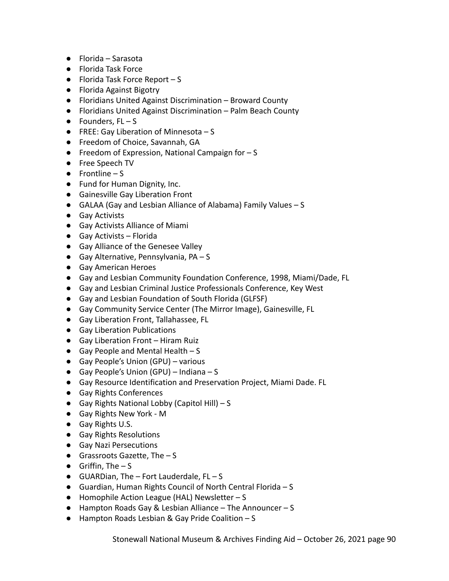- Florida Sarasota
- Florida Task Force
- $\bullet$  Florida Task Force Report S
- Florida Against Bigotry
- Floridians United Against Discrimination Broward County
- Floridians United Against Discrimination Palm Beach County
- $\bullet$  Founders, FL S
- **•** FREE: Gay Liberation of Minnesota  $S$
- Freedom of Choice, Savannah, GA
- Freedom of Expression, National Campaign for S
- Free Speech TV
- $\bullet$  Frontline S
- Fund for Human Dignity, Inc.
- Gainesville Gay Liberation Front
- GALAA (Gay and Lesbian Alliance of Alabama) Family Values S
- Gay Activists
- Gay Activists Alliance of Miami
- Gay Activists Florida
- Gay Alliance of the Genesee Valley
- $\bullet$  Gay Alternative, Pennsylvania, PA S
- Gay American Heroes
- Gay and Lesbian Community Foundation Conference, 1998, Miami/Dade, FL
- Gay and Lesbian Criminal Justice Professionals Conference, Key West
- Gay and Lesbian Foundation of South Florida (GLFSF)
- Gay Community Service Center (The Mirror Image), Gainesville, FL
- Gay Liberation Front, Tallahassee, FL
- Gay Liberation Publications
- Gay Liberation Front Hiram Ruiz
- $\bullet$  Gay People and Mental Health S
- Gay People's Union (GPU) various
- $\bullet$  Gay People's Union (GPU) Indiana S
- Gay Resource Identification and Preservation Project, Miami Dade. FL
- Gay Rights Conferences
- $\bullet$  Gay Rights National Lobby (Capitol Hill) S
- Gay Rights New York M
- Gay Rights U.S.
- Gay Rights Resolutions
- Gay Nazi Persecutions
- $\bullet$  Grassroots Gazette, The  $-$  S
- $\bullet$  Griffin, The  $-S$
- $\bullet$  GUARDian, The Fort Lauderdale, FL S
- Guardian, Human Rights Council of North Central Florida S
- Homophile Action League (HAL) Newsletter S
- Hampton Roads Gay & Lesbian Alliance The Announcer S
- Hampton Roads Lesbian & Gay Pride Coalition S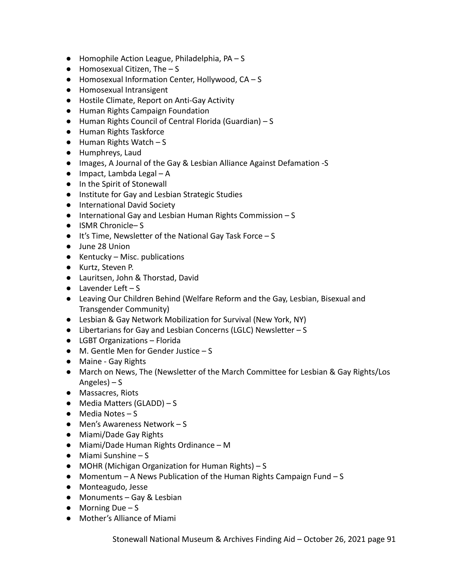- Homophile Action League, Philadelphia, PA S
- $\bullet$  Homosexual Citizen, The  $-$  S
- Homosexual Information Center, Hollywood, CA S
- Homosexual Intransigent
- Hostile Climate, Report on Anti-Gay Activity
- Human Rights Campaign Foundation
- Human Rights Council of Central Florida (Guardian) S
- Human Rights Taskforce
- $\bullet$  Human Rights Watch S
- Humphreys, Laud
- Images, A Journal of the Gay & Lesbian Alliance Against Defamation -S
- Impact, Lambda Legal A
- In the Spirit of Stonewall
- Institute for Gay and Lesbian Strategic Studies
- International David Society
- International Gay and Lesbian Human Rights Commission S
- ISMR Chronicle– S
- It's Time, Newsletter of the National Gay Task Force S
- June 28 Union
- $\bullet$  Kentucky Misc. publications
- Kurtz, Steven P.
- Lauritsen, John & Thorstad, David
- $\bullet$  Lavender Left S
- Leaving Our Children Behind (Welfare Reform and the Gay, Lesbian, Bisexual and Transgender Community)
- Lesbian & Gay Network Mobilization for Survival (New York, NY)
- Libertarians for Gay and Lesbian Concerns (LGLC) Newsletter S
- LGBT Organizations Florida
- M. Gentle Men for Gender Justice S
- Maine Gay Rights
- March on News, The (Newsletter of the March Committee for Lesbian & Gay Rights/Los Angeles) – S
- Massacres, Riots
- Media Matters (GLADD) S
- $\bullet$  Media Notes S
- Men's Awareness Network S
- Miami/Dade Gay Rights
- Miami/Dade Human Rights Ordinance M
- Miami Sunshine S
- MOHR (Michigan Organization for Human Rights) S
- $\bullet$  Momentum A News Publication of the Human Rights Campaign Fund S
- Monteagudo, Jesse
- Monuments Gay & Lesbian
- $\bullet$  Morning Due S
- Mother's Alliance of Miami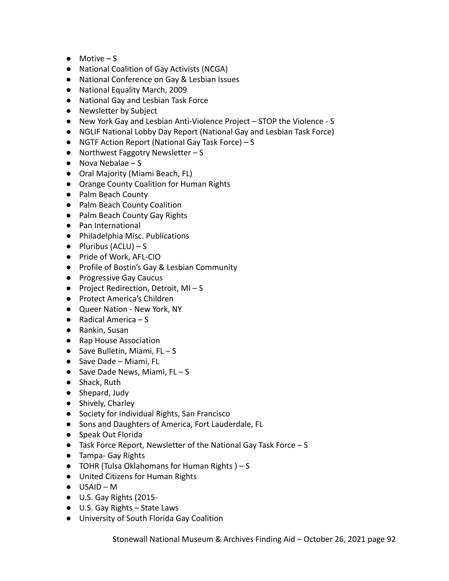- $\bullet$  Motive S
- National Coalition of Gay Activists (NCGA)
- National Conference on Gay & Lesbian Issues
- National Equality March, 2009
- National Gay and Lesbian Task Force
- Newsletter by Subject
- New York Gay and Lesbian Anti-Violence Project STOP the Violence S
- NGLIF National Lobby Day Report (National Gay and Lesbian Task Force)
- NGTF Action Report (National Gay Task Force) S
- $\bullet$  Northwest Faggotry Newsletter S
- $\bullet$  Nova Nebalae S
- Oral Majority (Miami Beach, FL)
- Orange County Coalition for Human Rights
- Palm Beach County
- Palm Beach County Coalition
- Palm Beach County Gay Rights
- Pan International
- Philadelphia Misc. Publications
- $\bullet$  Pluribus (ACLU) S
- Pride of Work, AFL-CIO
- Profile of Bostin's Gay & Lesbian Community
- Progressive Gay Caucus
- Project Redirection, Detroit, MI-S
- Protect America's Children
- Queer Nation New York, NY
- $\bullet$  Radical America S
- Rankin, Susan
- Rap House Association
- $\bullet$  Save Bulletin, Miami, FL S
- Save Dade Miami, FL
- Save Dade News, Miami,  $FL S$
- Shack, Ruth
- Shepard, Judy
- Shively, Charley
- Society for Individual Rights, San Francisco
- Sons and Daughters of America, Fort Lauderdale, FL
- Speak Out Florida
- Task Force Report, Newsletter of the National Gay Task Force S
- Tampa- Gay Rights
- $\bullet$  TOHR (Tulsa Oklahomans for Human Rights) S
- United Citizens for Human Rights
- USAID M
- U.S. Gay Rights (2015-
- U.S. Gay Rights State Laws
- University of South Florida Gay Coalition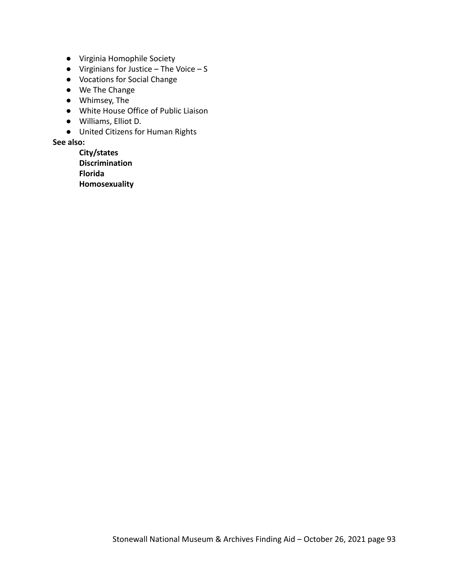- Virginia Homophile Society
- $\bullet$  Virginians for Justice The Voice S
- Vocations for Social Change
- We The Change
- Whimsey, The
- White House Office of Public Liaison
- Williams, Elliot D.
- United Citizens for Human Rights

### **See also:**

**City/states Discrimination Florida Homosexuality**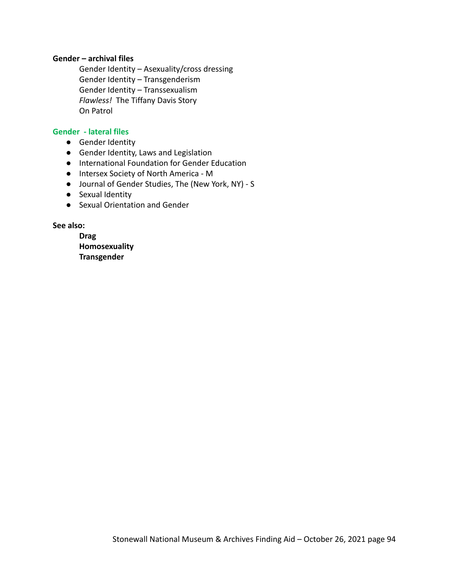### **Gender – archival files**

Gender Identity – Asexuality/cross dressing Gender Identity – Transgenderism Gender Identity – Transsexualism *Flawless!* The Tiffany Davis Story On Patrol

### **Gender - lateral files**

- Gender Identity
- Gender Identity, Laws and Legislation
- International Foundation for Gender Education
- Intersex Society of North America M
- Journal of Gender Studies, The (New York, NY) S
- Sexual Identity
- Sexual Orientation and Gender

### **See also:**

**Drag Homosexuality Transgender**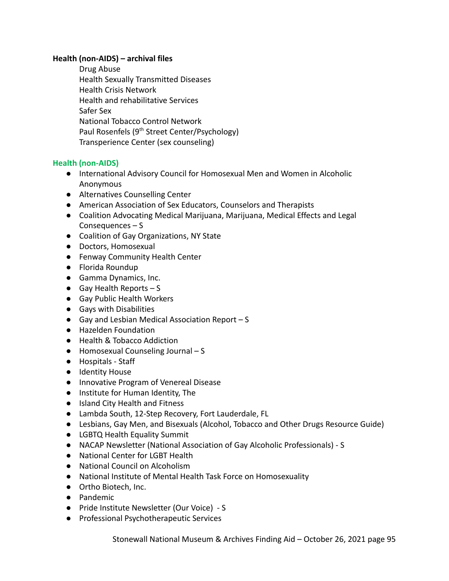### **Health (non-AIDS) – archival files**

Drug Abuse Health Sexually Transmitted Diseases Health Crisis Network Health and rehabilitative Services Safer Sex National Tobacco Control Network Paul Rosenfels (9<sup>th</sup> Street Center/Psychology) Transperience Center (sex counseling)

# **Health (non-AIDS)**

- International Advisory Council for Homosexual Men and Women in Alcoholic Anonymous
- Alternatives Counselling Center
- American Association of Sex Educators, Counselors and Therapists
- Coalition Advocating Medical Marijuana, Marijuana, Medical Effects and Legal Consequences – S
- Coalition of Gay Organizations, NY State
- Doctors, Homosexual
- Fenway Community Health Center
- Florida Roundup
- Gamma Dynamics, Inc.
- $\bullet$  Gay Health Reports  $-S$
- Gay Public Health Workers
- Gays with Disabilities
- $\bullet$  Gay and Lesbian Medical Association Report S
- Hazelden Foundation
- Health & Tobacco Addiction
- Homosexual Counseling Journal S
- Hospitals Staff
- Identity House
- Innovative Program of Venereal Disease
- Institute for Human Identity, The
- Island City Health and Fitness
- Lambda South, 12-Step Recovery, Fort Lauderdale, FL
- Lesbians, Gay Men, and Bisexuals (Alcohol, Tobacco and Other Drugs Resource Guide)
- LGBTQ Health Equality Summit
- NACAP Newsletter (National Association of Gay Alcoholic Professionals) S
- National Center for LGBT Health
- National Council on Alcoholism
- National Institute of Mental Health Task Force on Homosexuality
- Ortho Biotech, Inc.
- Pandemic
- Pride Institute Newsletter (Our Voice) S
- Professional Psychotherapeutic Services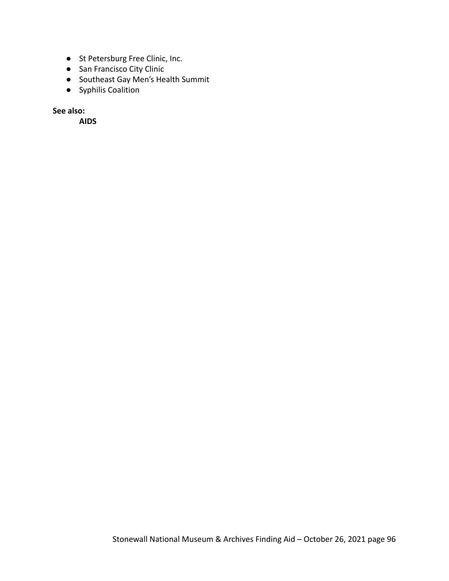- St Petersburg Free Clinic, Inc.
- San Francisco City Clinic
- Southeast Gay Men's Health Summit
- Syphilis Coalition

**See also:**

**AIDS**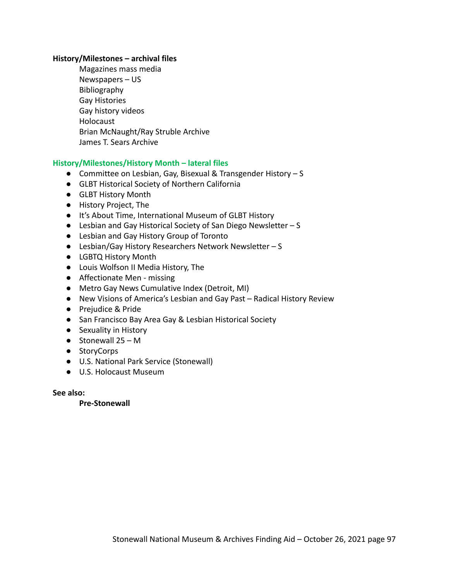#### **History/Milestones – archival files**

Magazines mass media Newspapers – US Bibliography Gay Histories Gay history videos Holocaust Brian McNaught/Ray Struble Archive James T. Sears Archive

### **History/Milestones/History Month – lateral files**

- Committee on Lesbian, Gay, Bisexual & Transgender History S
- GLBT Historical Society of Northern California
- GLBT History Month
- History Project, The
- It's About Time, International Museum of GLBT History
- Lesbian and Gay Historical Society of San Diego Newsletter S
- Lesbian and Gay History Group of Toronto
- Lesbian/Gay History Researchers Network Newsletter S
- LGBTQ History Month
- Louis Wolfson II Media History, The
- Affectionate Men missing
- Metro Gay News Cumulative Index (Detroit, MI)
- New Visions of America's Lesbian and Gay Past Radical History Review
- Prejudice & Pride
- San Francisco Bay Area Gay & Lesbian Historical Society
- Sexuality in History
- $\bullet$  Stonewall 25 M
- StoryCorps
- U.S. National Park Service (Stonewall)
- U.S. Holocaust Museum

**See also:**

**Pre-Stonewall**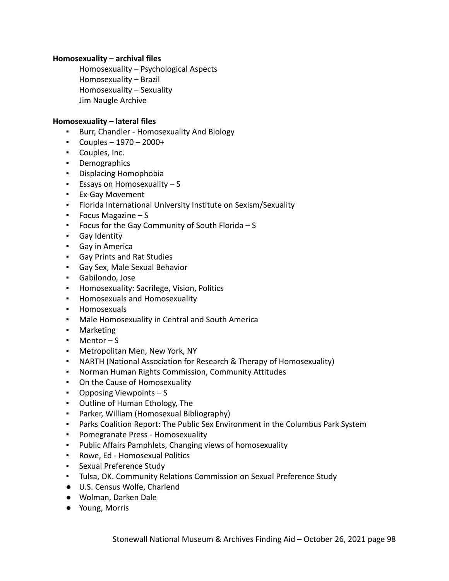### **Homosexuality – archival files**

Homosexuality – Psychological Aspects Homosexuality – Brazil Homosexuality – Sexuality Jim Naugle Archive

#### **Homosexuality – lateral files**

- Burr, Chandler Homosexuality And Biology
- $\text{-}$  Couples 1970 2000+
- Couples, Inc.
- Demographics
- Displacing Homophobia
- Essays on Homosexuality S
- Ex-Gay Movement
- Florida International University Institute on Sexism/Sexuality
- Focus Magazine S
- Focus for the Gay Community of South Florida S
- Gay Identity
- Gay in America
- Gay Prints and Rat Studies
- Gay Sex, Male Sexual Behavior
- Gabilondo, Jose
- Homosexuality: Sacrilege, Vision, Politics
- Homosexuals and Homosexuality
- Homosexuals
- Male Homosexuality in Central and South America
- Marketing
- Mentor S
- Metropolitan Men, New York, NY
- NARTH (National Association for Research & Therapy of Homosexuality)
- Norman Human Rights Commission, Community Attitudes
- On the Cause of Homosexuality
- Opposing Viewpoints S
- Outline of Human Ethology, The
- Parker, William (Homosexual Bibliography)
- Parks Coalition Report: The Public Sex Environment in the Columbus Park System
- Pomegranate Press Homosexuality
- Public Affairs Pamphlets, Changing views of homosexuality
- Rowe, Ed Homosexual Politics
- **EXECUTE:** Sexual Preference Study
- Tulsa, OK. Community Relations Commission on Sexual Preference Study
- U.S. Census Wolfe, Charlend
- Wolman, Darken Dale
- Young, Morris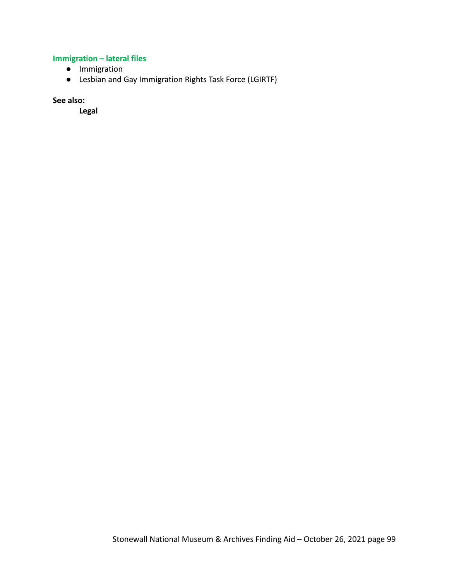# **Immigration – lateral files**

- Immigration
- Lesbian and Gay Immigration Rights Task Force (LGIRTF)

**See also:**

**Legal**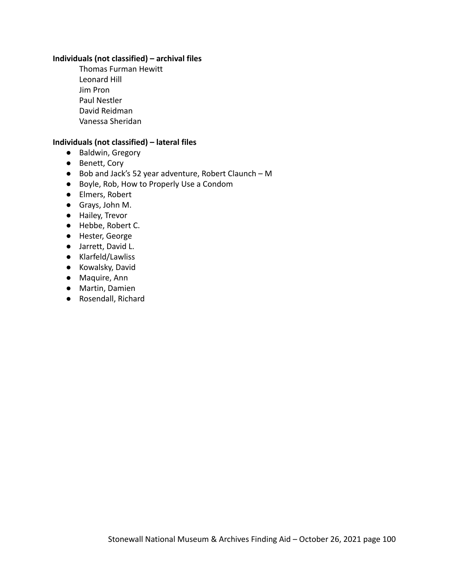### **Individuals (not classified) – archival files**

Thomas Furman Hewitt Leonard Hill Jim Pron Paul Nestler David Reidman Vanessa Sheridan

#### **Individuals (not classified) – lateral files**

- **●** Baldwin, Gregory
- **●** Benett, Cory
- **●** Bob and Jack's 52 year adventure, Robert Claunch M
- **●** Boyle, Rob, How to Properly Use a Condom
- Elmers, Robert
- Grays, John M.
- Hailey, Trevor
- Hebbe, Robert C.
- Hester, George
- Jarrett, David L.
- Klarfeld/Lawliss
- Kowalsky, David
- Maquire, Ann
- Martin, Damien
- Rosendall, Richard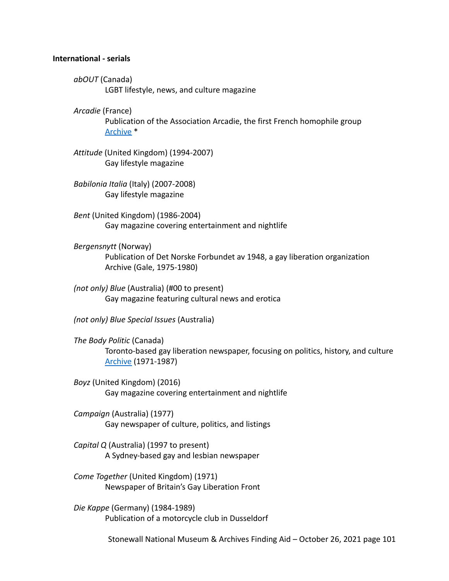#### **International - serials**

- *abOUT* (Canada) LGBT lifestyle, news, and culture magazine
- *Arcadie* (France)

Publication of the Association Arcadie, the first French homophile group [Archive](https://proquest.libguides.com/lgbtmagazinearchive) \*

*Attitude* (United Kingdom) (1994-2007) Gay lifestyle magazine

- *Babilonia Italia* (Italy) (2007-2008) Gay lifestyle magazine
- *Bent* (United Kingdom) (1986-2004) Gay magazine covering entertainment and nightlife
- *Bergensnytt* (Norway) Publication of Det Norske Forbundet av 1948, a gay liberation organization Archive (Gale, 1975-1980)
- *(not only) Blue* (Australia) (#00 to present) Gay magazine featuring cultural news and erotica

*(not only) Blue Special Issues* (Australia)

- *The Body Politic* (Canada) Toronto-based gay liberation newspaper, focusing on politics, history, and culture [Archive](https://archive.org/details/canadianmuseumforhumanrights?and%5B%5D=body+politic&sin=&sort=date) (1971-1987)
- *Boyz* (United Kingdom) (2016) Gay magazine covering entertainment and nightlife

*Campaign* (Australia) (1977) Gay newspaper of culture, politics, and listings

*Capital Q* (Australia) (1997 to present) A Sydney-based gay and lesbian newspaper

*Come Together* (United Kingdom) (1971) Newspaper of Britain's Gay Liberation Front

*Die Kappe* (Germany) (1984-1989) Publication of a motorcycle club in Dusseldorf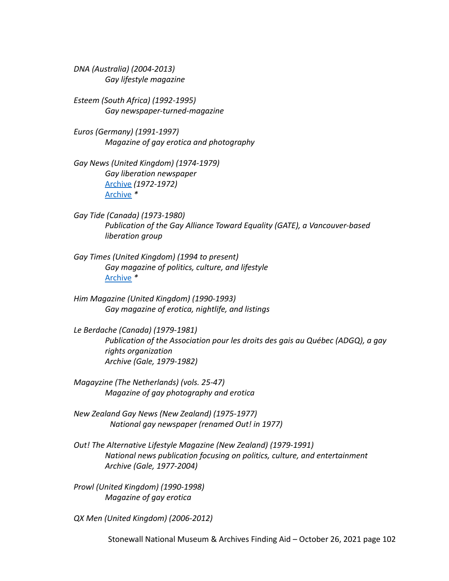*DNA (Australia) (2004-2013) Gay lifestyle magazine*

*Esteem (South Africa) (1992-1995) Gay newspaper-turned-magazine*

*Euros (Germany) (1991-1997) Magazine of gay erotica and photography*

*Gay News (United Kingdom) (1974-1979) Gay liberation newspaper* [Archive](http://gaynews.fighting-words.co.uk/) *(1972-1972)* [Archive](https://proquest.libguides.com/lgbtmagazinearchive) *\**

- *Gay Tide (Canada) (1973-1980) Publication of the Gay Alliance Toward Equality (GATE), a Vancouver-based liberation group*
- *Gay Times (United Kingdom) (1994 to present) Gay magazine of politics, culture, and lifestyle* [Archive](https://proquest.libguides.com/lgbtmagazinearchive) *\**
- *Him Magazine (United Kingdom) (1990-1993) Gay magazine of erotica, nightlife, and listings*

*Le Berdache (Canada) (1979-1981) Publication of the Association pour les droits des gais au Québec (ADGQ), a gay rights organization Archive (Gale, 1979-1982)*

*Magayzine (The Netherlands) (vols. 25-47) Magazine of gay photography and erotica*

*New Zealand Gay News (New Zealand) (1975-1977) National gay newspaper (renamed Out! in 1977)*

*Out! The Alternative Lifestyle Magazine (New Zealand) (1979-1991) National news publication focusing on politics, culture, and entertainment Archive (Gale, 1977-2004)*

*Prowl (United Kingdom) (1990-1998) Magazine of gay erotica*

*QX Men (United Kingdom) (2006-2012)*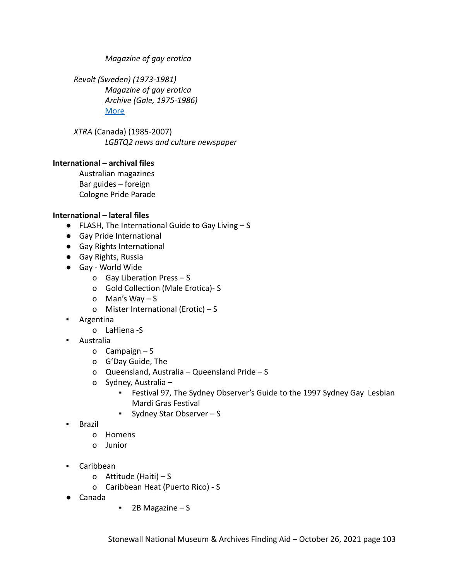*Magazine of gay erotica*

*Revolt (Sweden) (1973-1981) Magazine of gay erotica Archive (Gale, 1975-1986)* [More](https://skeivtarkiv.no/en/skeivopedia/revolt)

*XTRA* (Canada) (1985-2007) *LGBTQ2 news and culture newspaper*

# **International – archival files**

Australian magazines Bar guides – foreign Cologne Pride Parade

# **International – lateral files**

- FLASH, The International Guide to Gay Living S
- Gay Pride International
- Gay Rights International
- Gay Rights, Russia
- Gay World Wide
	- o Gay Liberation Press S
	- o Gold Collection (Male Erotica)- S
	- o Man's Way S
	- o Mister International (Erotic) S
- Argentina
	- o LaHiena -S
- Australia
	- o Campaign S
	- o G'Day Guide, The
	- o Queensland, Australia Queensland Pride S
	- o Sydney, Australia
		- Festival 97, The Sydney Observer's Guide to the 1997 Sydney Gay Lesbian Mardi Gras Festival
		- Sydney Star Observer S
- Brazil
	- o Homens
	- o Junior
- Caribbean
	- o Attitude (Haiti) S
	- o Caribbean Heat (Puerto Rico) S
- Canada
- 2B Magazine S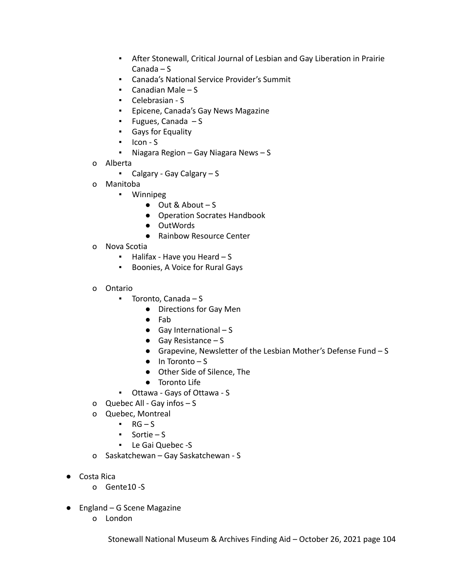- **EXTER 15 After Stonewall, Critical Journal of Lesbian and Gay Liberation in Prairie** Canada – S
- Canada's National Service Provider's Summit
- $\blacksquare$  Canadian Male S
- Celebrasian S
- Epicene, Canada's Gay News Magazine
- Fugues, Canada S
- Gays for Equality
- Icon S
- Niagara Region Gay Niagara News S
- o Alberta
	- Calgary Gay Calgary S
- o Manitoba
	- Winnipeg
		- $\bullet$  Out & About S
		- Operation Socrates Handbook
		- OutWords
		- Rainbow Resource Center
- o Nova Scotia
	- $\blacksquare$  Halifax Have you Heard  $\blacksquare$  S
	- Boonies, A Voice for Rural Gays
- o Ontario
	- Toronto, Canada S
		- Directions for Gay Men
		- Fab
		- $\bullet$  Gay International S
		- Gay Resistance S
		- Grapevine, Newsletter of the Lesbian Mother's Defense Fund S
		- $\bullet$  In Toronto S
		- Other Side of Silence, The
		- Toronto Life
	- Ottawa Gays of Ottawa S
- o Quebec All Gay infos S
- o Quebec, Montreal
	- $\cdot$  RG S
	- Sortie S
	- Le Gai Quebec -S
- o Saskatchewan Gay Saskatchewan S
- Costa Rica
	- o Gente10 -S
- England G Scene Magazine
	- o London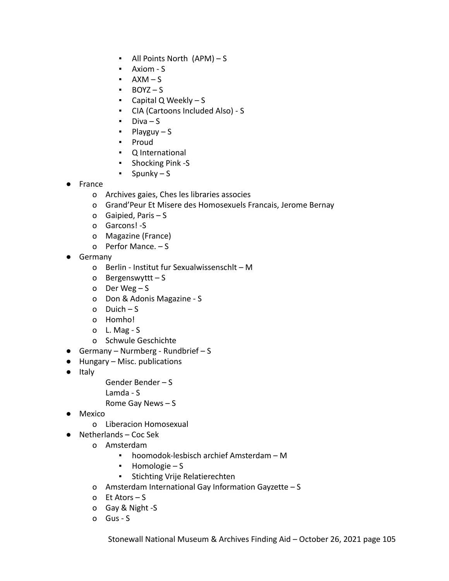- All Points North (APM) S
- Axiom S
- $\blacksquare$   $AXM-S$
- BOYZ S
- $\blacksquare$  Capital Q Weekly S
- CIA (Cartoons Included Also) S
- $\blacksquare$  Diva S
- Playguy S
- Proud
- Q International
- Shocking Pink -S
- Spunky S
- France
	- o Archives gaies, Ches les libraries associes
	- o Grand'Peur Et Misere des Homosexuels Francais, Jerome Bernay
	- o Gaipied, Paris S
	- o Garcons! -S
	- o Magazine (France)
	- o Perfor Mance. S
- Germany
	- o Berlin Institut fur Sexualwissenschlt M
	- o Bergenswyttt S
	- o Der Weg S
	- o Don & Adonis Magazine S
	- o Duich S
	- o Homho!
	- o L. Mag S
	- o Schwule Geschichte
- **•** Germany Nurmberg Rundbrief S
- Hungary Misc. publications
- Italy
- Gender Bender S
- Lamda S

Rome Gay News – S

- Mexico
	- o Liberacion Homosexual
- Netherlands Coc Sek
	- o Amsterdam
		- hoomodok-lesbisch archief Amsterdam M
		- Homologie S
		- **•** Stichting Vrije Relatierechten
	- o Amsterdam International Gay Information Gayzette S
	- o Et Ators S
	- o Gay & Night -S
	- o Gus S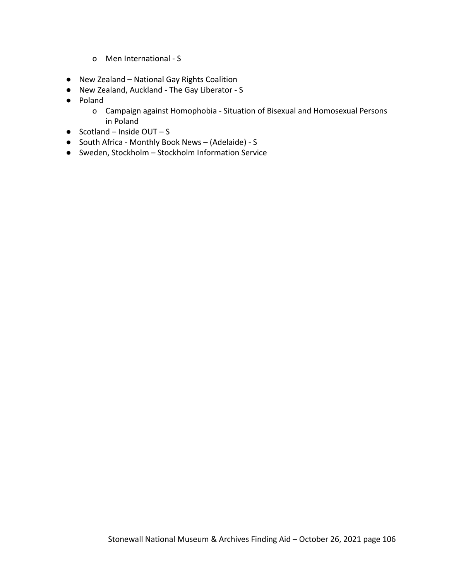- o Men International S
- New Zealand National Gay Rights Coalition
- New Zealand, Auckland The Gay Liberator S
- Poland
	- o Campaign against Homophobia Situation of Bisexual and Homosexual Persons in Poland
- $\bullet$  Scotland Inside OUT S
- South Africa Monthly Book News (Adelaide) S
- Sweden, Stockholm Stockholm Information Service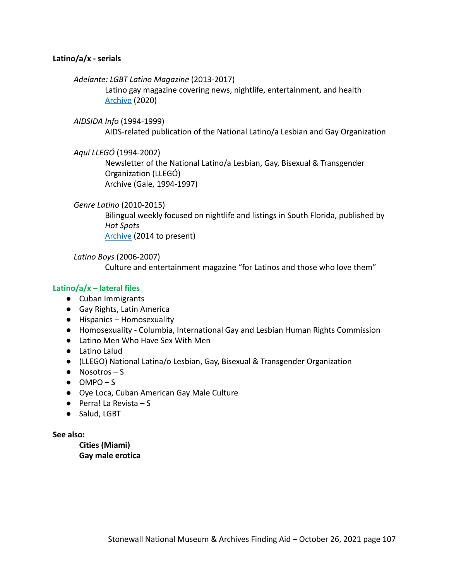### **Latino/a/x - serials**

#### *Adelante: LGBT Latino Magazine* (2013-2017)

Latino gay magazine covering news, nightlife, entertainment, and health [Archive](http://adelantemagazine.com/magazines/) (2020)

#### *AIDSIDA Info* (1994-1999)

AIDS-related publication of the National Latino/a Lesbian and Gay Organization

*Aquí LLEGÓ* (1994-2002)

Newsletter of the National Latino/a Lesbian, Gay, Bisexual & Transgender Organization (LLEGÓ) Archive (Gale, 1994-1997)

#### *Genre Latino* (2010-2015)

Bilingual weekly focused on nightlife and listings in South Florida, published by *Hot Spots* [Archive](https://issuu.com/hotspotsmediagroup) (2014 to present)

*Latino Boys* (2006-2007) Culture and entertainment magazine "for Latinos and those who love them"

### **Latino/a/x – lateral files**

- Cuban Immigrants
- Gay Rights, Latin America
- Hispanics Homosexuality
- Homosexuality Columbia, International Gay and Lesbian Human Rights Commission
- Latino Men Who Have Sex With Men
- Latino Lalud
- (LLEGO) National Latina/o Lesbian, Gay, Bisexual & Transgender Organization
- $\bullet$  Nosotros S
- $\bullet$  OMPO S
- Oye Loca, Cuban American Gay Male Culture
- $\bullet$  Perra! La Revista S
- Salud, LGBT

### **See also:**

**Cities (Miami) Gay male erotica**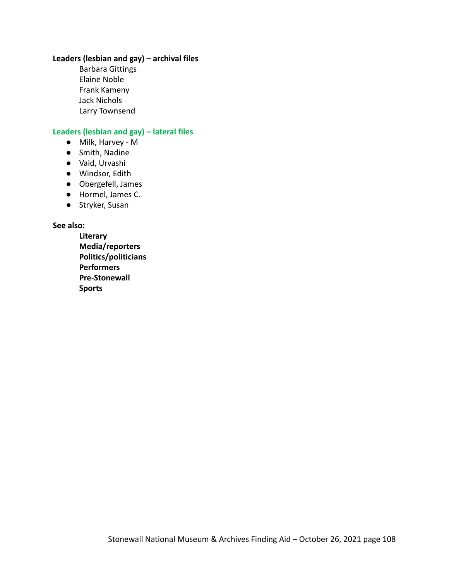# **Leaders (lesbian and gay) – archival files**

Barbara Gittings Elaine Noble Frank Kameny Jack Nichols Larry Townsend

# **Leaders (lesbian and gay) – lateral files**

- Milk, Harvey M
- Smith, Nadine
- Vaid, Urvashi
- Windsor, Edith
- Obergefell, James
- Hormel, James C.
- Stryker, Susan

#### **See also:**

**Literary Media/reporters Politics/politicians Performers Pre-Stonewall Sports**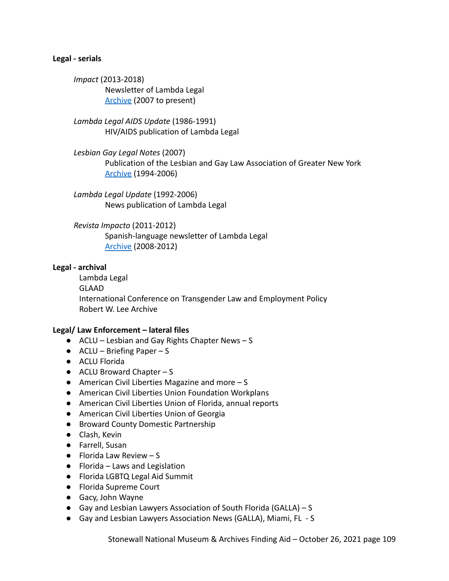#### **Legal - serials**

*Impact* (2013-2018) Newsletter of Lambda Legal [Archive](https://www.lambdalegal.org/publications/impact) (2007 to present)

*Lambda Legal AIDS Update* (1986-1991) HIV/AIDS publication of Lambda Legal

*Lesbian Gay Legal Notes* (2007) Publication of the Lesbian and Gay Law Association of Greater New York [Archive](http://www.qrd.org/qrd/www/legal/lgln/) (1994-2006)

*Lambda Legal Update* (1992-2006) News publication of Lambda Legal

*Revista Impacto* (2011-2012) Spanish-language newsletter of Lambda Legal [Archive](https://www.lambdalegal.org/es/publicaciones) (2008-2012)

#### **Legal - archival**

Lambda Legal GLAAD International Conference on Transgender Law and Employment Policy Robert W. Lee Archive

#### **Legal/ Law Enforcement – lateral files**

- ACLU Lesbian and Gay Rights Chapter News S
- $\bullet$  ACLU Briefing Paper S
- ACLU Florida
- $\bullet$  ACLU Broward Chapter S
- American Civil Liberties Magazine and more S
- American Civil Liberties Union Foundation Workplans
- American Civil Liberties Union of Florida, annual reports
- American Civil Liberties Union of Georgia
- Broward County Domestic Partnership
- Clash, Kevin
- Farrell, Susan
- $\bullet$  Florida Law Review S
- Florida Laws and Legislation
- Florida LGBTQ Legal Aid Summit
- Florida Supreme Court
- Gacy, John Wayne
- Gay and Lesbian Lawyers Association of South Florida (GALLA) S
- Gay and Lesbian Lawyers Association News (GALLA), Miami, FL S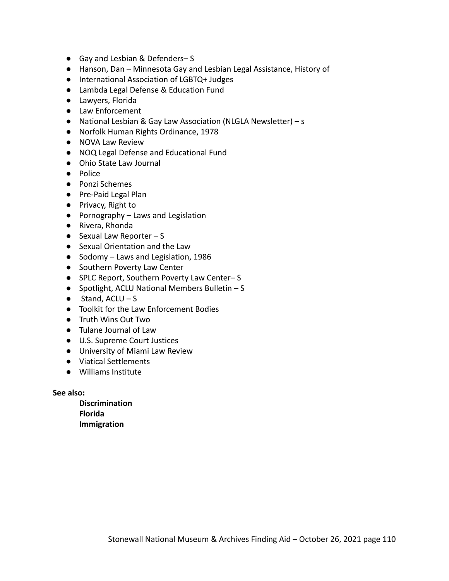- Gay and Lesbian & Defenders-S
- Hanson, Dan Minnesota Gay and Lesbian Legal Assistance, History of
- International Association of LGBTQ+ Judges
- Lambda Legal Defense & Education Fund
- Lawyers, Florida
- Law Enforcement
- National Lesbian & Gay Law Association (NLGLA Newsletter) s
- Norfolk Human Rights Ordinance, 1978
- NOVA Law Review
- NOQ Legal Defense and Educational Fund
- Ohio State Law Journal
- Police
- Ponzi Schemes
- Pre-Paid Legal Plan
- Privacy, Right to
- Pornography Laws and Legislation
- Rivera, Rhonda
- $\bullet$  Sexual Law Reporter S
- Sexual Orientation and the Law
- Sodomy Laws and Legislation, 1986
- Southern Poverty Law Center
- SPLC Report, Southern Poverty Law Center–S
- Spotlight, ACLU National Members Bulletin S
- $\bullet$  Stand, ACLU S
- Toolkit for the Law Enforcement Bodies
- Truth Wins Out Two
- Tulane Journal of Law
- U.S. Supreme Court Justices
- University of Miami Law Review
- Viatical Settlements
- Williams Institute

**See also:**

**Discrimination Florida Immigration**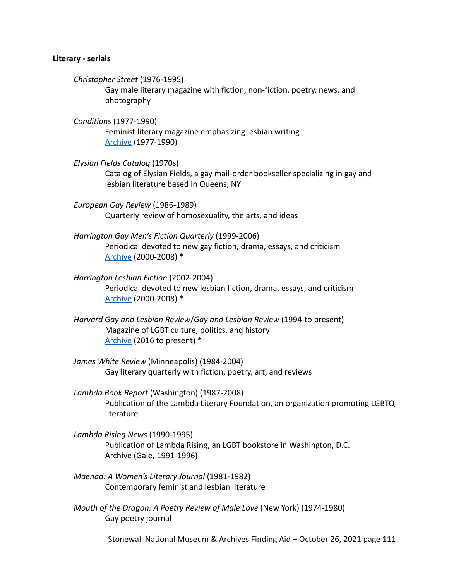#### **Literary - serials**

*Christopher Street* (1976-1995)

Gay male literary magazine with fiction, non-fiction, poetry, news, and photography

*Conditions* (1977-1990) Feminist literary magazine emphasizing lesbian writing [Archive](https://voices.revealdigital.org/?a=cl&cl=CL1&sp=DCDCDIG&ai=1&e=-------en-20--1--txt-txIN---------------1) (1977-1990)

- *Elysian Fields Catalog* (1970s) Catalog of Elysian Fields, a gay mail-order bookseller specializing in gay and lesbian literature based in Queens, NY
- *European Gay Review* (1986-1989) Quarterly review of homosexuality, the arts, and ideas
- *Harrington Gay Men's Fiction Quarterly* (1999-2006) Periodical devoted to new gay fiction, drama, essays, and criticism [Archive](https://www.tandfonline.com/loi/wgmf20) (2000-2008) \*
- *Harrington Lesbian Fiction* (2002-2004) Periodical devoted to new lesbian fiction, drama, essays, and criticism [Archive](https://www.tandfonline.com/loi/wlfq20) (2000-2008) \*
- *Harvard Gay and Lesbian Review*/*Gay and Lesbian Review* (1994-to present) Magazine of LGBT culture, politics, and history [Archive](https://glreview.org/digital-edition/) (2016 to present) \*
- *James White Review* (Minneapolis) (1984-2004) Gay literary quarterly with fiction, poetry, art, and reviews
- *Lambda Book Report* (Washington) (1987-2008) Publication of the Lambda Literary Foundation, an organization promoting LGBTQ literature
- *Lambda Rising News* (1990-1995) Publication of Lambda Rising, an LGBT bookstore in Washington, D.C. Archive (Gale, 1991-1996)
- *Maenad: A Women's Literary Journal* (1981-1982) Contemporary feminist and lesbian literature
- *Mouth of the Dragon: A Poetry Review of Male Love* (New York) (1974-1980) Gay poetry journal

Stonewall National Museum & Archives Finding Aid – October 26, 2021 page 111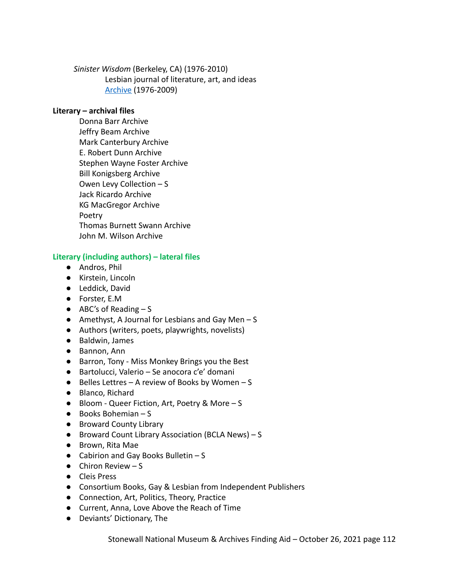*Sinister Wisdom* (Berkeley, CA) (1976-2010) Lesbian journal of literature, art, and ideas [Archive](http://sinisterwisdom.org/archive) (1976-2009)

# **Literary – archival files**

Donna Barr Archive Jeffry Beam Archive Mark Canterbury Archive E. Robert Dunn Archive Stephen Wayne Foster Archive Bill Konigsberg Archive Owen Levy Collection – S Jack Ricardo Archive KG MacGregor Archive Poetry Thomas Burnett Swann Archive John M. Wilson Archive

# **Literary (including authors) – lateral files**

- Andros, Phil
- Kirstein, Lincoln
- Leddick, David
- Forster, E.M
- $\bullet$  ABC's of Reading  $-S$
- $\bullet$  Amethyst, A Journal for Lesbians and Gay Men S
- Authors (writers, poets, playwrights, novelists)
- Baldwin, James
- Bannon, Ann
- Barron, Tony Miss Monkey Brings you the Best
- Bartolucci, Valerio Se anocora c'e' domani
- $\bullet$  Belles Lettres A review of Books by Women S
- Blanco, Richard
- Bloom Queer Fiction, Art, Poetry & More S
- Books Bohemian S
- Broward County Library
- Broward Count Library Association (BCLA News) S
- Brown, Rita Mae
- $\bullet$  Cabirion and Gay Books Bulletin S
- $\bullet$  Chiron Review  $-S$
- Cleis Press
- Consortium Books, Gay & Lesbian from Independent Publishers
- Connection, Art, Politics, Theory, Practice
- Current, Anna, Love Above the Reach of Time
- Deviants' Dictionary, The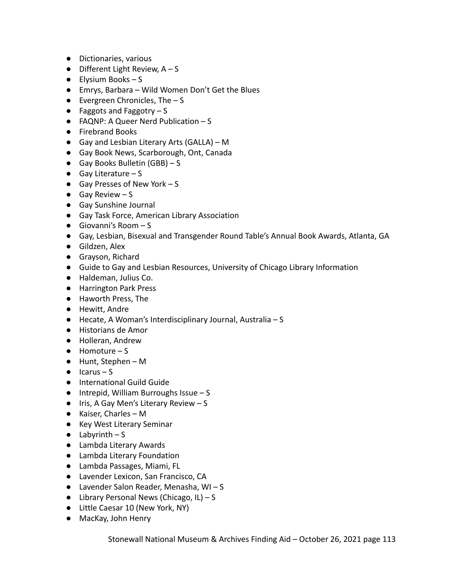- Dictionaries, various
- $\bullet$  Different Light Review, A S
- Elysium Books S
- Emrys, Barbara Wild Women Don't Get the Blues
- $\bullet$  Evergreen Chronicles, The  $-$  S
- $\bullet$  Faggots and Faggotry  $-$  S
- FAQNP: A Queer Nerd Publication S
- Firebrand Books
- $\bullet$  Gay and Lesbian Literary Arts (GALLA) M
- Gay Book News, Scarborough, Ont, Canada
- $\bullet$  Gay Books Bulletin (GBB) S
- $\bullet$  Gay Literature S
- $\bullet$  Gay Presses of New York S
- $\bullet$  Gay Review S
- Gay Sunshine Journal
- Gay Task Force, American Library Association
- $\bullet$  Giovanni's Room  $-S$
- Gay, Lesbian, Bisexual and Transgender Round Table's Annual Book Awards, Atlanta, GA
- Gildzen, Alex
- Grayson, Richard
- Guide to Gay and Lesbian Resources, University of Chicago Library Information
- Haldeman, Julius Co.
- Harrington Park Press
- Haworth Press, The
- Hewitt, Andre
- Hecate, A Woman's Interdisciplinary Journal, Australia S
- Historians de Amor
- Holleran, Andrew
- $\bullet$  Homoture S
- Hunt, Stephen M
- $\bullet$  Icarus S
- International Guild Guide
- $\bullet$  Intrepid, William Burroughs Issue S
- $\bullet$  Iris, A Gay Men's Literary Review S
- Kaiser, Charles M
- Key West Literary Seminar
- $\bullet$  Labyrinth S
- Lambda Literary Awards
- Lambda Literary Foundation
- Lambda Passages, Miami, FL
- Lavender Lexicon, San Francisco, CA
- $\bullet$  Lavender Salon Reader, Menasha, WI-S
- $\bullet$  Library Personal News (Chicago, IL) S
- Little Caesar 10 (New York, NY)
- MacKay, John Henry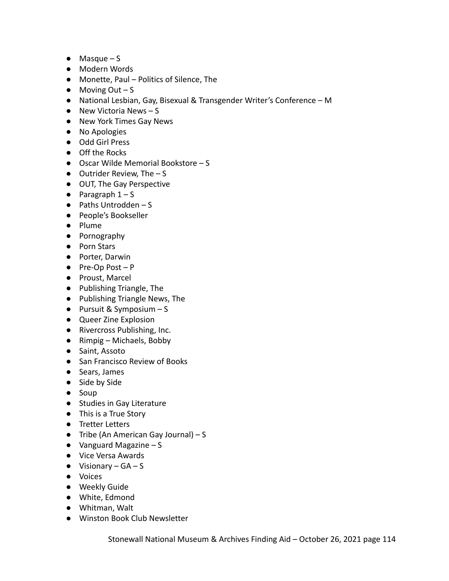- $\bullet$  Masque S
- Modern Words
- Monette, Paul Politics of Silence, The
- $\bullet$  Moving Out S
- National Lesbian, Gay, Bisexual & Transgender Writer's Conference M
- $\bullet$  New Victoria News S
- New York Times Gay News
- No Apologies
- Odd Girl Press
- Off the Rocks
- Oscar Wilde Memorial Bookstore S
- $\bullet$  Outrider Review, The  $-$  S
- OUT, The Gay Perspective
- $\bullet$  Paragraph  $1-S$
- Paths Untrodden S
- People's Bookseller
- Plume
- Pornography
- Porn Stars
- Porter, Darwin
- Pre-Op Post P
- Proust, Marcel
- Publishing Triangle, The
- Publishing Triangle News, The
- $\bullet$  Pursuit & Symposium S
- Queer Zine Explosion
- Rivercross Publishing, Inc.
- Rimpig Michaels, Bobby
- Saint, Assoto
- San Francisco Review of Books
- Sears, James
- Side by Side
- Soup
- Studies in Gay Literature
- This is a True Story
- Tretter Letters
- $\bullet$  Tribe (An American Gay Journal) S
- $\bullet$  Vanguard Magazine S
- Vice Versa Awards
- $\bullet$  Visionary GA S
- Voices
- Weekly Guide
- White, Edmond
- Whitman, Walt
- Winston Book Club Newsletter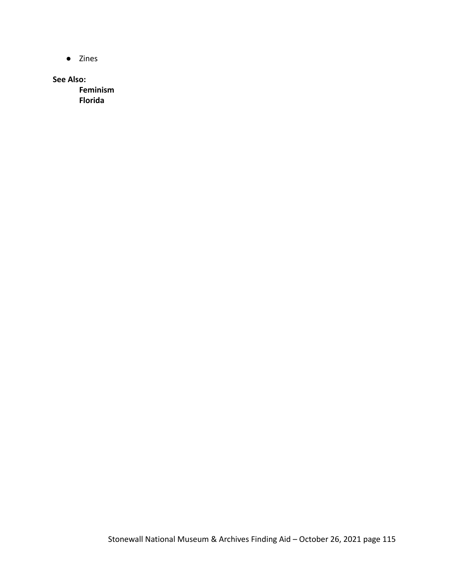● Zines

**See Also:**

**Feminism Florida**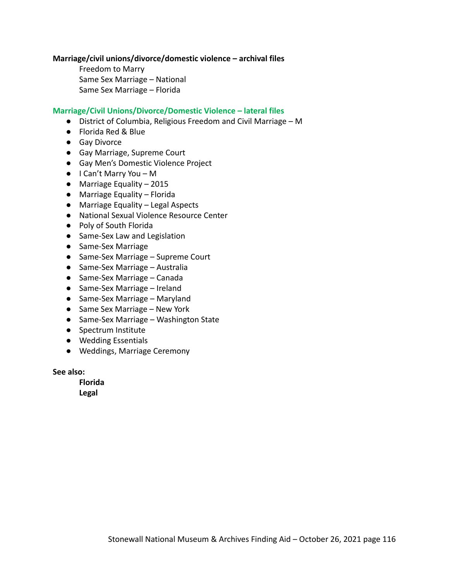#### **Marriage/civil unions/divorce/domestic violence – archival files**

Freedom to Marry Same Sex Marriage – National Same Sex Marriage – Florida

#### **Marriage/Civil Unions/Divorce/Domestic Violence – lateral files**

- District of Columbia, Religious Freedom and Civil Marriage M
- Florida Red & Blue
- Gay Divorce
- Gay Marriage, Supreme Court
- Gay Men's Domestic Violence Project
- I Can't Marry You M
- Marriage Equality 2015
- Marriage Equality Florida
- Marriage Equality Legal Aspects
- National Sexual Violence Resource Center
- Poly of South Florida
- Same-Sex Law and Legislation
- Same-Sex Marriage
- Same-Sex Marriage Supreme Court
- Same-Sex Marriage Australia
- Same-Sex Marriage Canada
- Same-Sex Marriage Ireland
- Same-Sex Marriage Maryland
- Same Sex Marriage New York
- Same-Sex Marriage Washington State
- Spectrum Institute
- Wedding Essentials
- Weddings, Marriage Ceremony

**See also:**

**Florida**

**Legal**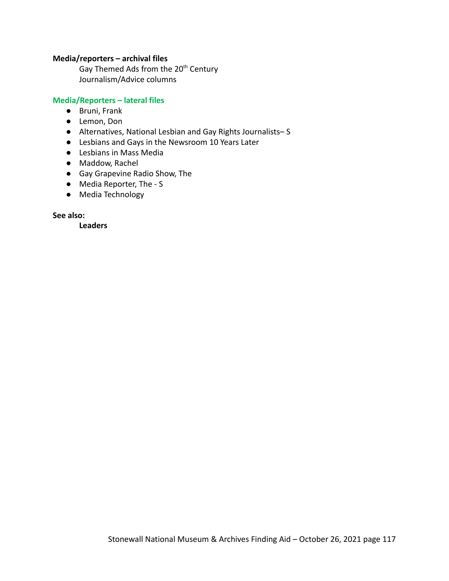### **Media/reporters – archival files**

Gay Themed Ads from the 20<sup>th</sup> Century Journalism/Advice columns

## **Media/Reporters – lateral files**

- Bruni, Frank
- Lemon, Don
- Alternatives, National Lesbian and Gay Rights Journalists– S
- Lesbians and Gays in the Newsroom 10 Years Later
- Lesbians in Mass Media
- Maddow, Rachel
- Gay Grapevine Radio Show, The
- Media Reporter, The S
- Media Technology

**See also:**

**Leaders**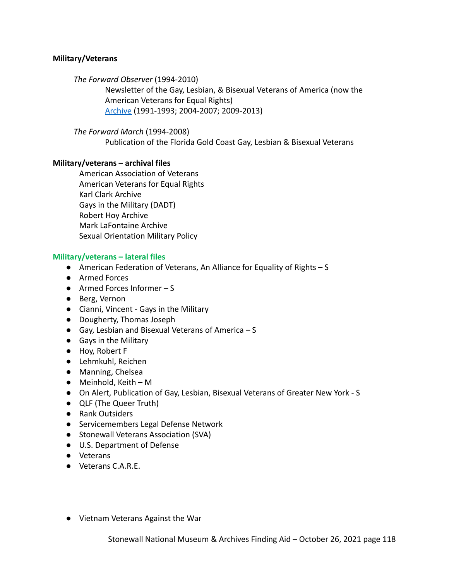## **Military/Veterans**

*The Forward Observer* (1994-2010)

Newsletter of the Gay, Lesbian, & Bisexual Veterans of America (now the American Veterans for Equal Rights) [Archive](http://aver.us/about/digital-national-archive) (1991-1993; 2004-2007; 2009-2013)

*The Forward March* (1994-2008)

Publication of the Florida Gold Coast Gay, Lesbian & Bisexual Veterans

### **Military/veterans – archival files**

American Association of Veterans American Veterans for Equal Rights Karl Clark Archive Gays in the Military (DADT) Robert Hoy Archive Mark LaFontaine Archive Sexual Orientation Military Policy

### **Military/veterans – lateral files**

- American Federation of Veterans, An Alliance for Equality of Rights S
- Armed Forces
- Armed Forces Informer S
- Berg, Vernon
- Cianni, Vincent Gays in the Military
- Dougherty, Thomas Joseph
- $\bullet$  Gay, Lesbian and Bisexual Veterans of America  $S$
- Gays in the Military
- Hoy, Robert F
- Lehmkuhl, Reichen
- Manning, Chelsea
- $\bullet$  Meinhold, Keith M
- On Alert, Publication of Gay, Lesbian, Bisexual Veterans of Greater New York S
- QLF (The Queer Truth)
- Rank Outsiders
- Servicemembers Legal Defense Network
- Stonewall Veterans Association (SVA)
- U.S. Department of Defense
- Veterans
- Veterans C.A.R.E.
- Vietnam Veterans Against the War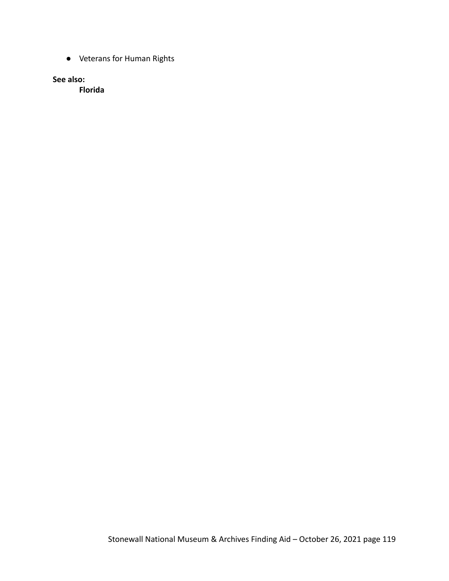● Veterans for Human Rights

**See also:**

**Florida**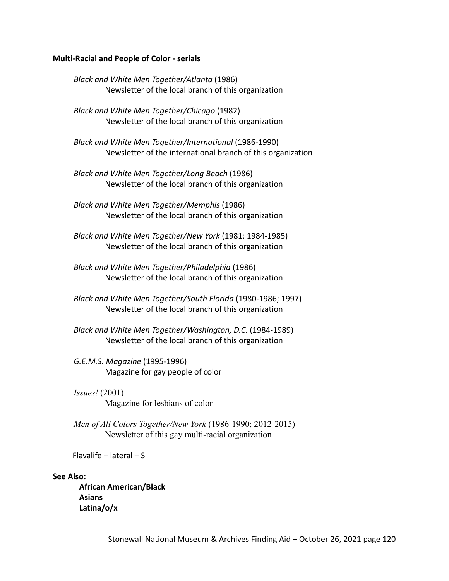#### **Multi-Racial and People of Color - serials**

*Black and White Men Together/Atlanta* (1986) Newsletter of the local branch of this organization

*Black and White Men Together/Chicago* (1982) Newsletter of the local branch of this organization

*Black and White Men Together/International* (1986-1990) Newsletter of the international branch of this organization

*Black and White Men Together/Long Beach* (1986) Newsletter of the local branch of this organization

*Black and White Men Together/Memphis* (1986) Newsletter of the local branch of this organization

*Black and White Men Together/New York* (1981; 1984-1985) Newsletter of the local branch of this organization

*Black and White Men Together/Philadelphia* (1986) Newsletter of the local branch of this organization

*Black and White Men Together/South Florida* (1980-1986; 1997) Newsletter of the local branch of this organization

*Black and White Men Together/Washington, D.C.* (1984-1989) Newsletter of the local branch of this organization

*G.E.M.S. Magazine* (1995-1996) Magazine for gay people of color

*Issues!* (2001) Magazine for lesbians of color

*Men of All Colors Together/New York* (1986-1990; 2012-2015) Newsletter of this gay multi-racial organization

Flavalife – lateral – S

### **See Also:**

**African American/Black Asians Latina/o/x**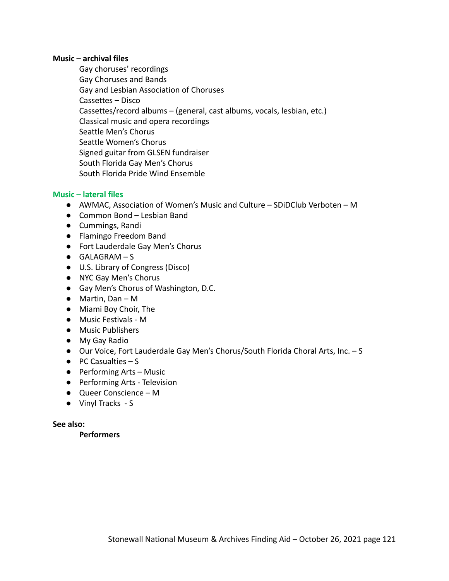#### **Music – archival files**

Gay choruses' recordings Gay Choruses and Bands Gay and Lesbian Association of Choruses Cassettes – Disco Cassettes/record albums – (general, cast albums, vocals, lesbian, etc.) Classical music and opera recordings Seattle Men's Chorus Seattle Women's Chorus Signed guitar from GLSEN fundraiser South Florida Gay Men's Chorus South Florida Pride Wind Ensemble

## **Music – lateral files**

- AWMAC, Association of Women's Music and Culture SDiDClub Verboten M
- Common Bond Lesbian Band
- Cummings, Randi
- Flamingo Freedom Band
- Fort Lauderdale Gay Men's Chorus
- $\bullet$  GALAGRAM S
- U.S. Library of Congress (Disco)
- NYC Gay Men's Chorus
- Gay Men's Chorus of Washington, D.C.
- Martin, Dan M
- Miami Boy Choir, The
- Music Festivals M
- Music Publishers
- My Gay Radio
- Our Voice, Fort Lauderdale Gay Men's Chorus/South Florida Choral Arts, Inc. S
- $\bullet$  PC Casualties  $-S$
- Performing Arts Music
- Performing Arts Television
- Queer Conscience M
- Vinyl Tracks S

#### **See also:**

**Performers**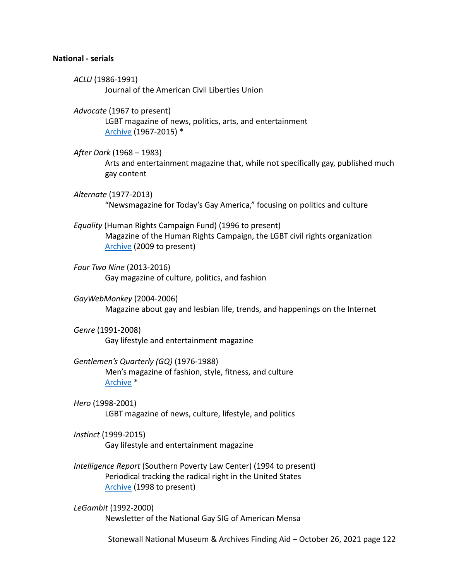#### **National - serials**

*ACLU* (1986-1991) Journal of the American Civil Liberties Union

*Advocate* (1967 to present) LGBT magazine of news, politics, arts, and entertainment [Archive](https://proquest.libguides.com/lgbtmagazinearchive#:~:text=The%20Advocate%20is%20the%20periodical,community%20for%20over%2050%20years.) (1967-2015) \*

*After Dark* (1968 – 1983) Arts and entertainment magazine that, while not specifically gay, published much gay content

*Alternate* (1977-2013) "Newsmagazine for Today's Gay America," focusing on politics and culture

*Equality* (Human Rights Campaign Fund) (1996 to present) Magazine of the Human Rights Campaign, the LGBT civil rights organization [Archive](https://issuu.com/humanrightscampaign/docs) (2009 to present)

*Four Two Nine* (2013-2016) Gay magazine of culture, politics, and fashion

*GayWebMonkey* (2004-2006) Magazine about gay and lesbian life, trends, and happenings on the Internet

*Genre* (1991-2008) Gay lifestyle and entertainment magazine

*Gentlemen's Quarterly (GQ)* (1976-1988) Men's magazine of fashion, style, fitness, and culture [Archive](https://flipster.ebsco.com/magazine/gq-gentlemens-quarterly) \*

*Hero* (1998-2001) LGBT magazine of news, culture, lifestyle, and politics

*Instinct* (1999-2015) Gay lifestyle and entertainment magazine

*Intelligence Report* (Southern Poverty Law Center) (1994 to present) Periodical tracking the radical right in the United States [Archive](https://www.splcenter.org/intelligence-reports) (1998 to present)

*LeGambit* (1992-2000) Newsletter of the National Gay SIG of American Mensa

Stonewall National Museum & Archives Finding Aid – October 26, 2021 page 122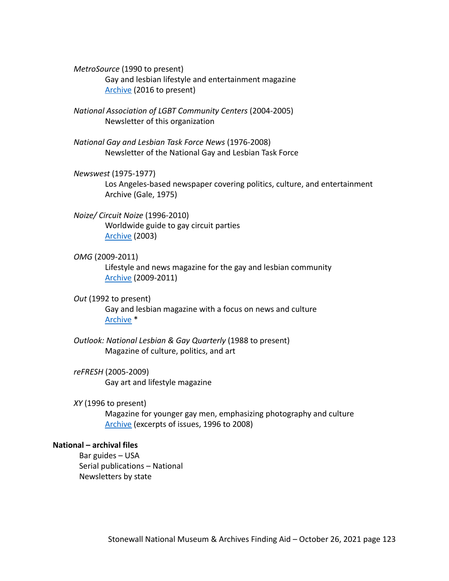*MetroSource* (1990 to present) Gay and lesbian lifestyle and entertainment magazine [Archive](https://issuu.com/metrosource) (2016 to present)

*National Association of LGBT Community Centers* (2004-2005) Newsletter of this organization

*National Gay and Lesbian Task Force News* (1976-2008) Newsletter of the National Gay and Lesbian Task Force

## *Newswest* (1975-1977)

Los Angeles-based newspaper covering politics, culture, and entertainment Archive (Gale, 1975)

### *Noize/ Circuit Noize* (1996-2010)

Worldwide guide to gay circuit parties [Archive](https://noize.buzz/issues/cn35full.pdf) (2003)

#### *OMG* (2009-2011)

Lifestyle and news magazine for the gay and lesbian community [Archive](https://issuu.com/omgmag) (2009-2011)

*Out* (1992 to present)

Gay and lesbian magazine with a focus on news and culture [Archive](https://about.proquest.com/products-services/LGBT-Magazine-Archive.html) \*

*Outlook: National Lesbian & Gay Quarterly* (1988 to present) Magazine of culture, politics, and art

# *reFRESH* (2005-2009)

Gay art and lifestyle magazine

*XY* (1996 to present)

Magazine for younger gay men, emphasizing photography and culture [Archive](https://www.vfiles.com/profile/XYmagazine/vfiles) (excerpts of issues, 1996 to 2008)

#### **National – archival files**

Bar guides – USA Serial publications – National Newsletters by state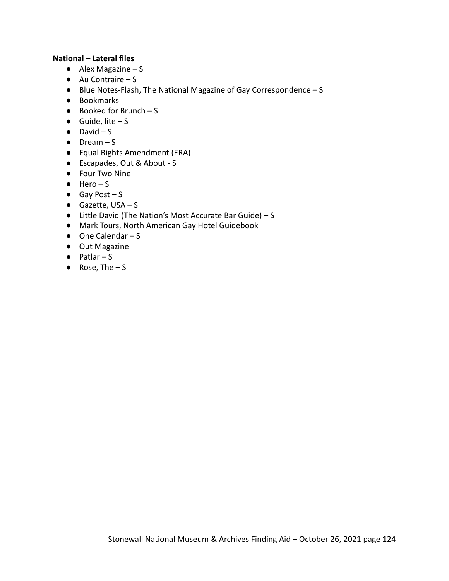## **National – Lateral files**

- $\bullet$  Alex Magazine S
- $\bullet$  Au Contraire S
- Blue Notes-Flash, The National Magazine of Gay Correspondence S
- Bookmarks
- $\bullet$  Booked for Brunch S
- $\bullet$  Guide, lite S
- $\bullet$  David  $-S$
- Dream S
- Equal Rights Amendment (ERA)
- Escapades, Out & About S
- Four Two Nine
- $\bullet$  Hero S
- $\bullet$  Gay Post S
- Gazette, USA S
- Little David (The Nation's Most Accurate Bar Guide) S
- Mark Tours, North American Gay Hotel Guidebook
- $\bullet$  One Calendar S
- Out Magazine
- $\bullet$  Patlar S
- $\bullet$  Rose, The  $-$  S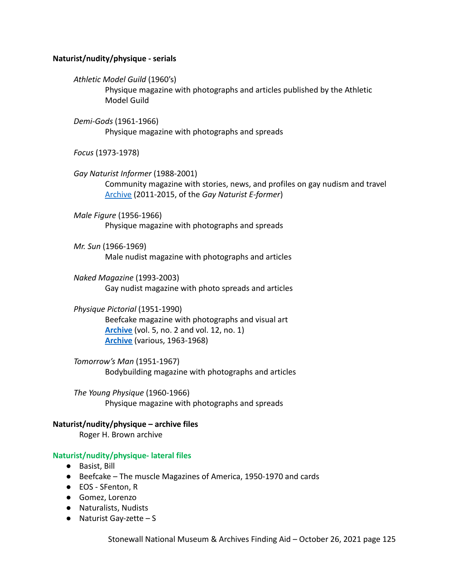## **Naturist/nudity/physique - serials**

*Athletic Model Guild* (1960's)

Physique magazine with photographs and articles published by the Athletic Model Guild

*Demi-Gods* (1961-1966) Physique magazine with photographs and spreads

*Focus* (1973-1978)

*Gay Naturist Informer* (1988-2001) Community magazine with stories, news, and profiles on gay nudism and travel [Archive](https://gaynaturists.org/news/gay-naturist-e-former-overview/back-issues-of-the-gay-naturist-e-former/) (2011-2015, of the *Gay Naturist E-former*)

*Male Figure* (1956-1966) Physique magazine with photographs and spreads

*Mr. Sun* (1966-1969) Male nudist magazine with photographs and articles

*Naked Magazine* (1993-2003) Gay nudist magazine with photo spreads and articles

*Physique Pictorial* (1951-1990) Beefcake magazine with photographs and visual art **[Archive](https://archive.org/search.php?query=creator%3A%22Bob+Mizer%22)** (vol. 5, no. 2 and vol. 12, no. 1) **[Archive](http://www.houstonlgbthistory.org/assorted3.html)** (various, 1963-1968)

*Tomorrow's Man* (1951-1967) Bodybuilding magazine with photographs and articles

*The Young Physique* (1960-1966) Physique magazine with photographs and spreads

#### **Naturist/nudity/physique – archive files**

Roger H. Brown archive

#### **Naturist/nudity/physique- lateral files**

- Basist, Bill
- Beefcake The muscle Magazines of America, 1950-1970 and cards
- EOS SFenton, R
- Gomez, Lorenzo
- Naturalists, Nudists
- $\bullet$  Naturist Gay-zette S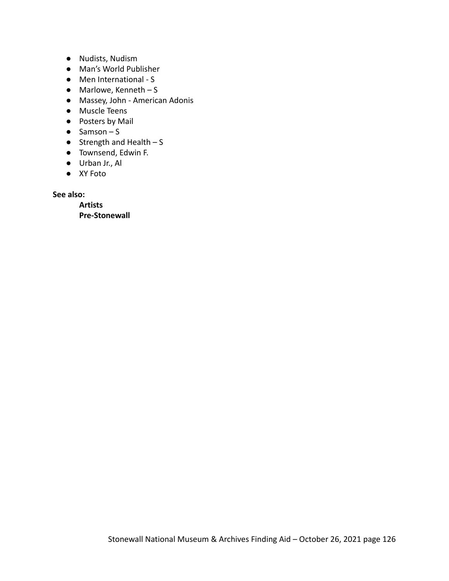- Nudists, Nudism
- Man's World Publisher
- Men International S
- $\bullet$  Marlowe, Kenneth S
- Massey, John American Adonis
- Muscle Teens
- Posters by Mail
- $\bullet$  Samson S
- $\bullet$  Strength and Health S
- Townsend, Edwin F.
- Urban Jr., Al
- XY Foto

**See also:**

**Artists Pre-Stonewall**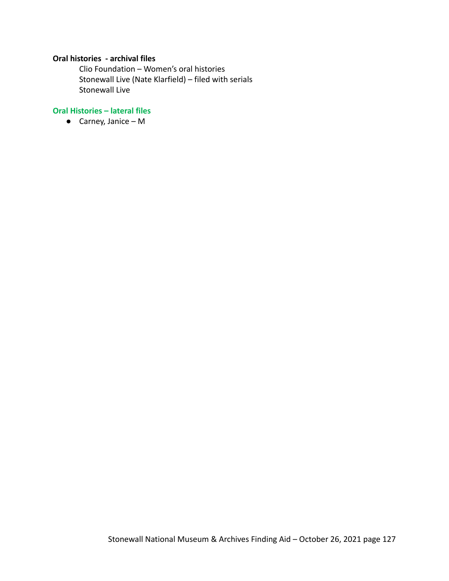# **Oral histories - archival files**

Clio Foundation – Women's oral histories Stonewall Live (Nate Klarfield) – filed with serials Stonewall Live

# **Oral Histories – lateral files**

**●** Carney, Janice – M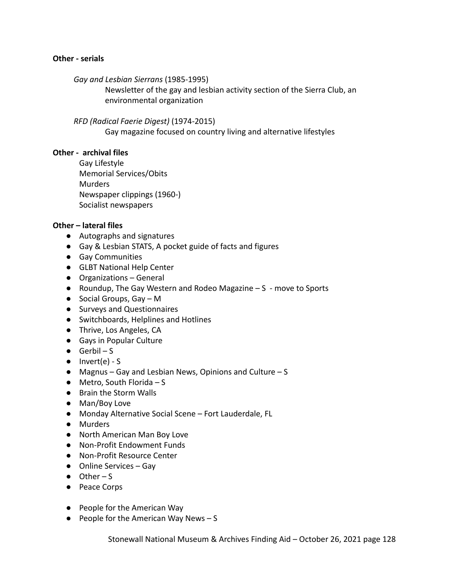#### **Other - serials**

*Gay and Lesbian Sierrans* (1985-1995)

Newsletter of the gay and lesbian activity section of the Sierra Club, an environmental organization

### *RFD (Radical Faerie Digest)* (1974-2015)

Gay magazine focused on country living and alternative lifestyles

### **Other - archival files**

Gay Lifestyle Memorial Services/Obits **Murders** Newspaper clippings (1960-) Socialist newspapers

## **Other – lateral files**

- Autographs and signatures
- Gay & Lesbian STATS, A pocket guide of facts and figures
- Gay Communities
- GLBT National Help Center
- Organizations General
- Roundup, The Gay Western and Rodeo Magazine S move to Sports
- $\bullet$  Social Groups, Gay M
- Surveys and Questionnaires
- Switchboards, Helplines and Hotlines
- Thrive, Los Angeles, CA
- Gays in Popular Culture
- $\bullet$  Gerbil S
- $\bullet$  Invert(e) S
- Magnus Gay and Lesbian News, Opinions and Culture S
- $\bullet$  Metro, South Florida S
- Brain the Storm Walls
- Man/Boy Love
- Monday Alternative Social Scene Fort Lauderdale, FL
- Murders
- North American Man Boy Love
- Non-Profit Endowment Funds
- Non-Profit Resource Center
- Online Services Gay
- $\bullet$  Other S
- Peace Corps
- People for the American Way
- $\bullet$  People for the American Way News S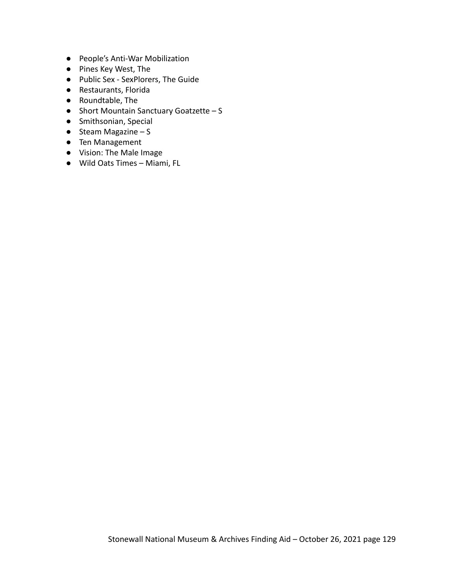- People's Anti-War Mobilization
- Pines Key West, The
- Public Sex SexPlorers, The Guide
- Restaurants, Florida
- Roundtable, The
- Short Mountain Sanctuary Goatzette S
- Smithsonian, Special
- $\bullet$  Steam Magazine S
- Ten Management
- Vision: The Male Image
- Wild Oats Times Miami, FL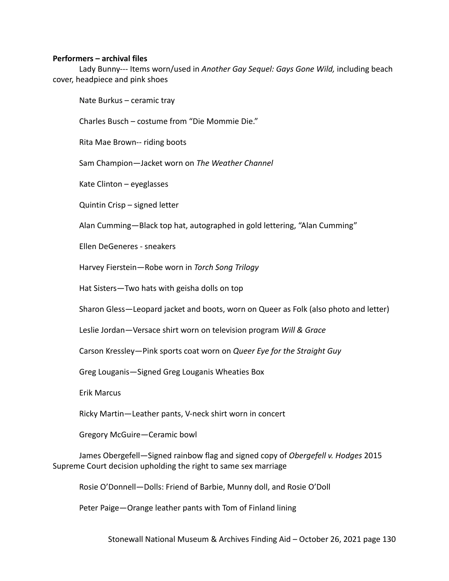## **Performers – archival files**

Lady Bunny--- Items worn/used in *Another Gay Sequel: Gays Gone Wild,* including beach cover, headpiece and pink shoes

Nate Burkus – ceramic tray

Charles Busch – costume from "Die Mommie Die."

Rita Mae Brown-- riding boots

Sam Champion—Jacket worn on *The Weather Channel*

Kate Clinton – eyeglasses

Quintin Crisp – signed letter

Alan Cumming—Black top hat, autographed in gold lettering, "Alan Cumming"

Ellen DeGeneres - sneakers

Harvey Fierstein—Robe worn in *Torch Song Trilogy*

Hat Sisters—Two hats with geisha dolls on top

Sharon Gless—Leopard jacket and boots, worn on Queer as Folk (also photo and letter)

Leslie Jordan—Versace shirt worn on television program *Will & Grace*

Carson Kressley—Pink sports coat worn on *Queer Eye for the Straight Guy*

Greg Louganis—Signed Greg Louganis Wheaties Box

Erik Marcus

Ricky Martin—Leather pants, V-neck shirt worn in concert

Gregory McGuire—Ceramic bowl

James Obergefell—Signed rainbow flag and signed copy of *Obergefell v. Hodges* 2015 Supreme Court decision upholding the right to same sex marriage

Rosie O'Donnell—Dolls: Friend of Barbie, Munny doll, and Rosie O'Doll

Peter Paige—Orange leather pants with Tom of Finland lining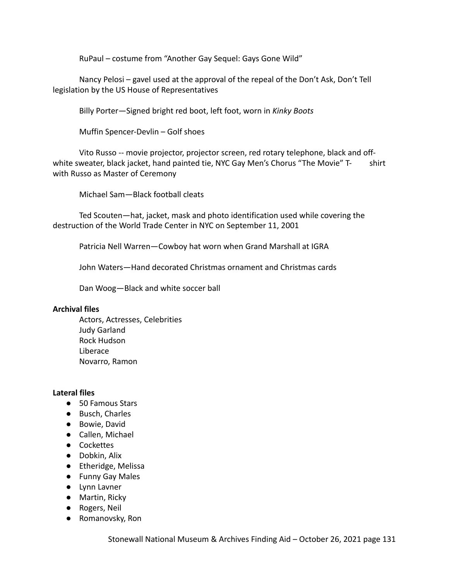RuPaul – costume from "Another Gay Sequel: Gays Gone Wild"

Nancy Pelosi – gavel used at the approval of the repeal of the Don't Ask, Don't Tell legislation by the US House of Representatives

Billy Porter—Signed bright red boot, left foot, worn in *Kinky Boots*

Muffin Spencer-Devlin – Golf shoes

Vito Russo -- movie projector, projector screen, red rotary telephone, black and offwhite sweater, black jacket, hand painted tie, NYC Gay Men's Chorus "The Movie" T- shirt with Russo as Master of Ceremony

Michael Sam—Black football cleats

Ted Scouten—hat, jacket, mask and photo identification used while covering the destruction of the World Trade Center in NYC on September 11, 2001

Patricia Nell Warren—Cowboy hat worn when Grand Marshall at IGRA

John Waters—Hand decorated Christmas ornament and Christmas cards

Dan Woog—Black and white soccer ball

## **Archival files**

Actors, Actresses, Celebrities Judy Garland Rock Hudson Liberace Novarro, Ramon

## **Lateral files**

- 50 Famous Stars
- Busch, Charles
- Bowie, David
- Callen, Michael
- Cockettes
- Dobkin, Alix
- Etheridge, Melissa
- Funny Gay Males
- Lynn Lavner
- Martin, Ricky
- Rogers, Neil
- Romanovsky, Ron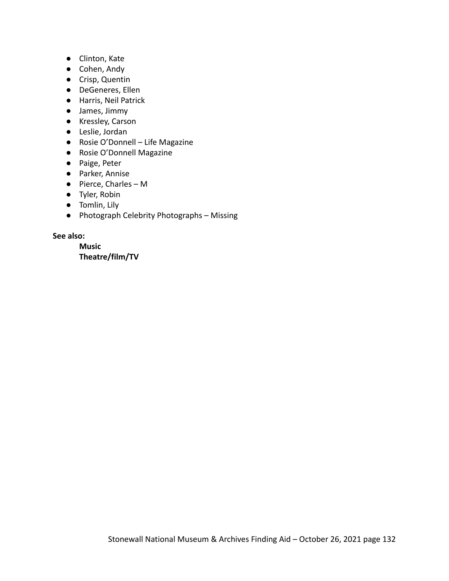- Clinton, Kate
- Cohen, Andy
- Crisp, Quentin
- DeGeneres, Ellen
- Harris, Neil Patrick
- James, Jimmy
- Kressley, Carson
- Leslie, Jordan
- Rosie O'Donnell Life Magazine
- Rosie O'Donnell Magazine
- Paige, Peter
- Parker, Annise
- Pierce, Charles M
- Tyler, Robin
- Tomlin, Lily
- Photograph Celebrity Photographs Missing

**See also:**

**Music Theatre/film/TV**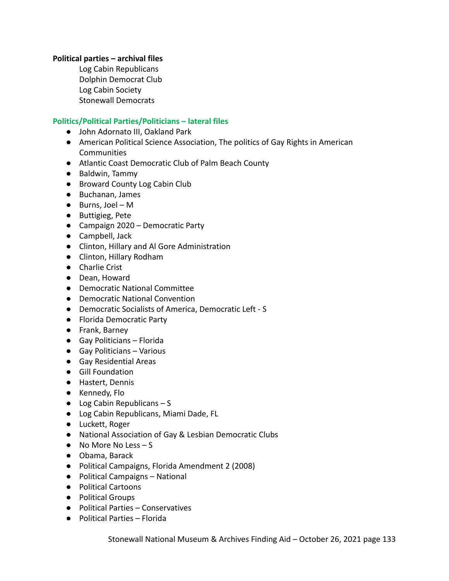## **Political parties – archival files**

Log Cabin Republicans Dolphin Democrat Club Log Cabin Society Stonewall Democrats

# **Politics/Political Parties/Politicians – lateral files**

- John Adornato III, Oakland Park
- American Political Science Association, The politics of Gay Rights in American **Communities**
- Atlantic Coast Democratic Club of Palm Beach County
- Baldwin, Tammy
- Broward County Log Cabin Club
- Buchanan, James
- **●** Burns, Joel M
- Buttigieg, Pete
- Campaign 2020 Democratic Party
- Campbell, Jack
- Clinton, Hillary and Al Gore Administration
- Clinton, Hillary Rodham
- Charlie Crist
- Dean, Howard
- Democratic National Committee
- Democratic National Convention
- Democratic Socialists of America, Democratic Left S
- Florida Democratic Party
- Frank, Barney
- Gay Politicians Florida
- Gay Politicians Various
- Gay Residential Areas
- Gill Foundation
- Hastert, Dennis
- Kennedy, Flo
- $\bullet$  Log Cabin Republicans S
- Log Cabin Republicans, Miami Dade, FL
- Luckett, Roger
- National Association of Gay & Lesbian Democratic Clubs
- No More No Less S
- Obama, Barack
- Political Campaigns, Florida Amendment 2 (2008)
- Political Campaigns National
- Political Cartoons
- Political Groups
- Political Parties Conservatives
- Political Parties Florida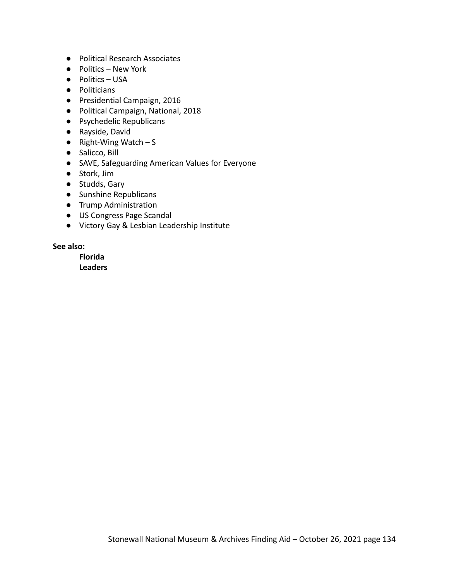- Political Research Associates
- Politics New York
- Politics USA
- Politicians
- Presidential Campaign, 2016
- Political Campaign, National, 2018
- Psychedelic Republicans
- Rayside, David
- $\bullet$  Right-Wing Watch S
- Salicco, Bill
- SAVE, Safeguarding American Values for Everyone
- Stork, Jim
- Studds, Gary
- Sunshine Republicans
- Trump Administration
- US Congress Page Scandal
- Victory Gay & Lesbian Leadership Institute

# **See also:**

**Florida Leaders**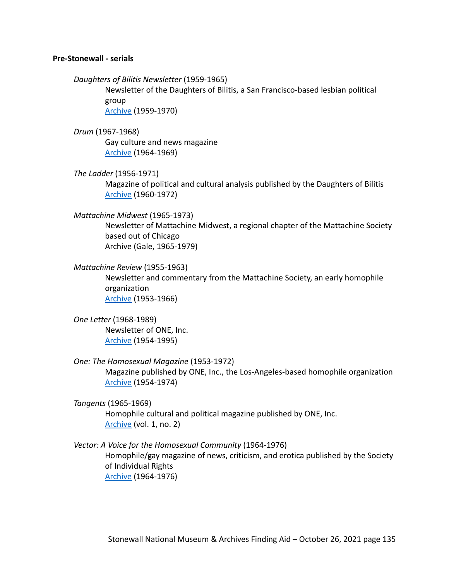#### **Pre-Stonewall - serials**

*Daughters of Bilitis Newsletter* (1959-1965)

Newsletter of the Daughters of Bilitis, a San Francisco-based lesbian political group [Archive](https://digitalassets.lib.berkeley.edu/sfbagals/Daughters_Of_Bilitis/) (1959-1970)

# *Drum* (1967-1968)

Gay culture and news magazine [Archive](http://www.houstonlgbthistory.org/assorted3.html) (1964-1969)

# *The Ladder* (1956-1971)

Magazine of political and cultural analysis published by the Daughters of Bilitis [Archive](https://digitalassets.lib.berkeley.edu/sfbagals/The_Ladder/) (1960-1972)

## *Mattachine Midwest* (1965-1973)

Newsletter of Mattachine Midwest, a regional chapter of the Mattachine Society based out of Chicago Archive (Gale, 1965-1979)

## *Mattachine Review* (1955-1963)

Newsletter and commentary from the Mattachine Society, an early homophile organization [Archive](https://digitalassets.lib.berkeley.edu/sfbagals/Mattachine_Review/) (1953-1966)

# *One Letter* (1968-1989) Newsletter of ONE, Inc. [Archive](https://digitallibrary.usc.edu/CS.aspx?VP3=DamView&VBID=2A3BXZS928U7&SMLS=1&RW=1559&RH=938#/DamView&VBID=2A3BXZS928U7&PN=12&WS=SearchResults) (1954-1995)

## *One: The Homosexual Magazine* (1953-1972)

Magazine published by ONE, Inc., the Los-Angeles-based homophile organization [Archive](https://digitallibrary.usc.edu/CS.aspx?VP3=SearchResult&VBID=2A3BXZS4NT1O&PN=1&WS=SearchResults) (1954-1974)

## *Tangents* (1965-1969)

Homophile cultural and political magazine published by ONE, Inc. [Archive](https://archive.org/details/TangentsVol1No2/mode/2up) (vol. 1, no. 2)

## *Vector: A Voice for the Homosexual Community* (1964-1976)

Homophile/gay magazine of news, criticism, and erotica published by the Society of Individual Rights [Archive](https://digitalassets.lib.berkeley.edu/sfbagals/Vector/) (1964-1976)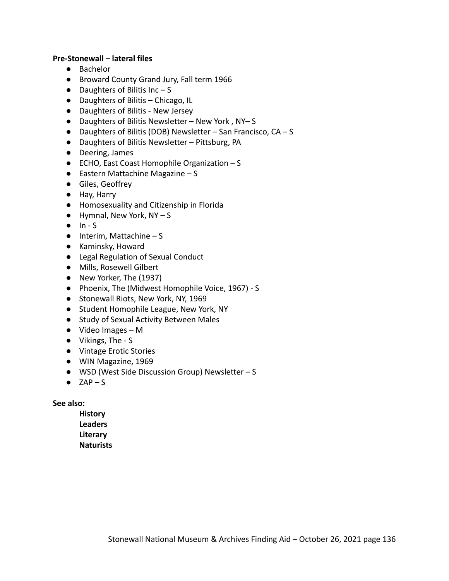## **Pre-Stonewall – lateral files**

- Bachelor
- Broward County Grand Jury, Fall term 1966
- $\bullet$  Daughters of Bilitis Inc S
- Daughters of Bilitis Chicago, IL
- Daughters of Bilitis New Jersey
- Daughters of Bilitis Newsletter New York , NY– S
- $\bullet$  Daughters of Bilitis (DOB) Newsletter San Francisco, CA S
- Daughters of Bilitis Newsletter Pittsburg, PA
- Deering, James
- ECHO, East Coast Homophile Organization S
- $\bullet$  Eastern Mattachine Magazine S
- Giles, Geoffrey
- Hay, Harry
- Homosexuality and Citizenship in Florida
- $\bullet$  Hymnal, New York, NY S
- $\bullet$  In S
- $\bullet$  Interim, Mattachine S
- Kaminsky, Howard
- Legal Regulation of Sexual Conduct
- Mills, Rosewell Gilbert
- New Yorker, The (1937)
- Phoenix, The (Midwest Homophile Voice, 1967) S
- Stonewall Riots, New York, NY, 1969
- Student Homophile League, New York, NY
- Study of Sexual Activity Between Males
- Video Images M
- Vikings, The S
- Vintage Erotic Stories
- WIN Magazine, 1969
- WSD (West Side Discussion Group) Newsletter S
- $\bullet$  ZAP S

### **See also:**

**History Leaders Literary Naturists**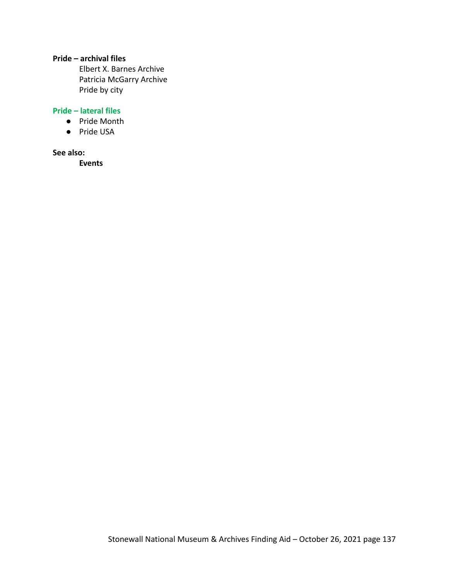# **Pride – archival files**

Elbert X. Barnes Archive Patricia McGarry Archive Pride by city

# **Pride – lateral files**

- Pride Month
- Pride USA

#### **See also:**

**Events**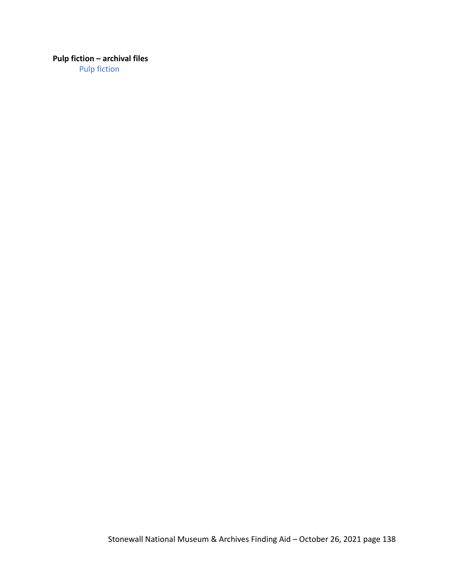# **Pulp fiction – archival files**

Pulp fiction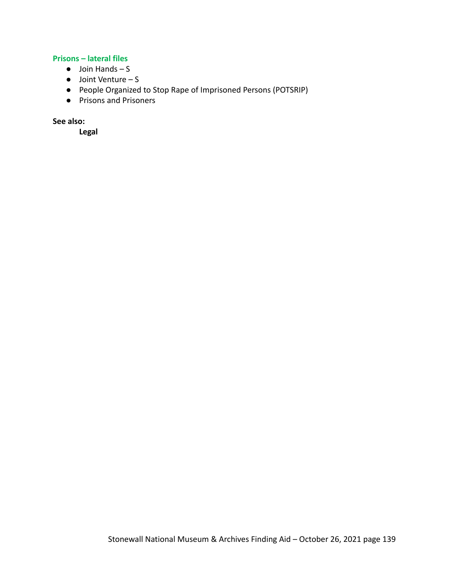# **Prisons – lateral files**

- $\bullet$  Join Hands S
- Joint Venture S
- People Organized to Stop Rape of Imprisoned Persons (POTSRIP)
- Prisons and Prisoners

**See also:**

**Legal**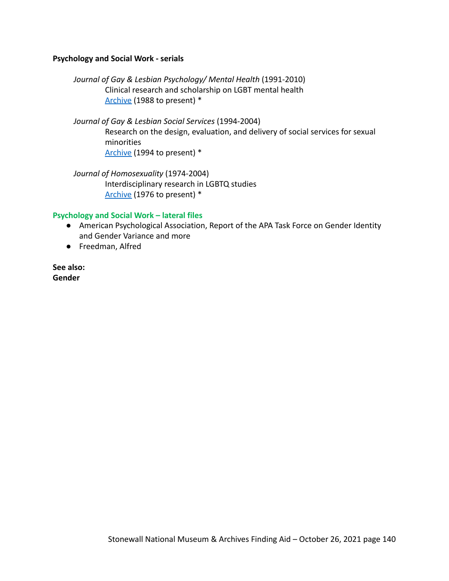## **Psychology and Social Work - serials**

*Journal of Gay & Lesbian Psychology/ Mental Health* (1991-2010) Clinical research and scholarship on LGBT mental health [Archive](https://www.tandfonline.com/loi/wglm20) (1988 to present) \*

*Journal of Gay & Lesbian Social Services* (1994-2004) Research on the design, evaluation, and delivery of social services for sexual minorities [Archive](https://www.tandfonline.com/loi/wgls20) (1994 to present) \*

*Journal of Homosexuality* (1974-2004) Interdisciplinary research in LGBTQ studies [Archive](https://www.tandfonline.com/loi/wjhm20) (1976 to present) \*

#### **Psychology and Social Work – lateral files**

- American Psychological Association, Report of the APA Task Force on Gender Identity and Gender Variance and more
- Freedman, Alfred

**See also: Gender**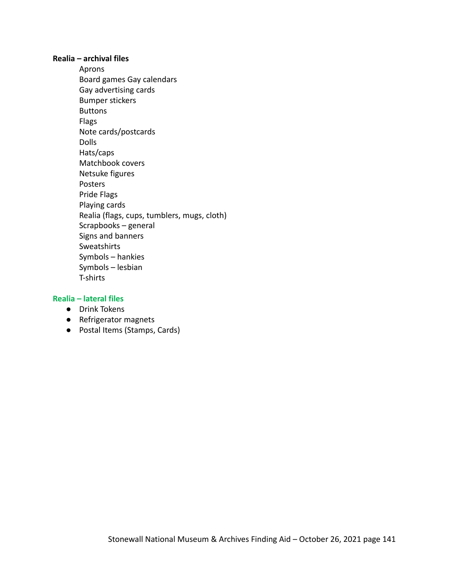### **Realia – archival files**

Aprons Board games Gay calendars Gay advertising cards Bumper stickers Buttons Flags Note cards/postcards Dolls Hats/caps Matchbook covers Netsuke figures Posters Pride Flags Playing cards Realia (flags, cups, tumblers, mugs, cloth) Scrapbooks – general Signs and banners Sweatshirts Symbols – hankies Symbols – lesbian T-shirts

## **Realia – lateral files**

- Drink Tokens
- Refrigerator magnets
- Postal Items (Stamps, Cards)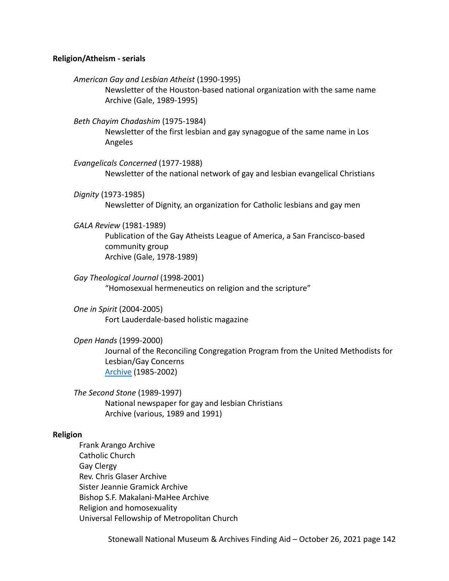#### **Religion/Atheism - serials**

*American Gay and Lesbian Atheist* (1990-1995) Newsletter of the Houston-based national organization with the same name Archive (Gale, 1989-1995)

*Beth Chayim Chadashim* (1975-1984) Newsletter of the first lesbian and gay synagogue of the same name in Los Angeles

*Evangelicals Concerned* (1977-1988) Newsletter of the national network of gay and lesbian evangelical Christians

*Dignity* (1973-1985) Newsletter of Dignity, an organization for Catholic lesbians and gay men

#### *GALA Review* (1981-1989)

Publication of the Gay Atheists League of America, a San Francisco-based community group Archive (Gale, 1978-1989)

*Gay Theological Journal* (1998-2001) "Homosexual hermeneutics on religion and the scripture"

*One in Spirit* (2004-2005) Fort Lauderdale-based holistic magazine

*Open Hands* (1999-2000)

Journal of the Reconciling Congregation Program from the United Methodists for Lesbian/Gay Concerns [Archive](http://exhibits.lgbtran.org/exhibits/show/open-hands) (1985-2002)

*The Second Stone* (1989-1997) National newspaper for gay and lesbian Christians Archive (various, 1989 and 1991)

#### **Religion**

Frank Arango Archive Catholic Church Gay Clergy Rev. Chris Glaser Archive Sister Jeannie Gramick Archive Bishop S.F. Makalani-MaHee Archive Religion and homosexuality Universal Fellowship of Metropolitan Church

Stonewall National Museum & Archives Finding Aid – October 26, 2021 page 142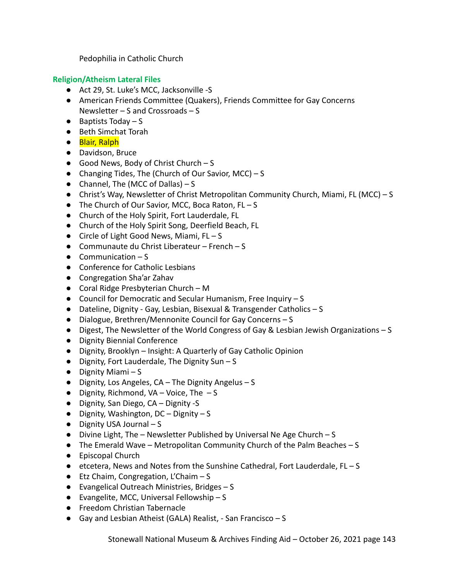Pedophilia in Catholic Church

# **Religion/Atheism Lateral Files**

- Act 29, St. Luke's MCC, Jacksonville -S
- American Friends Committee (Quakers), Friends Committee for Gay Concerns Newsletter – S and Crossroads – S
- $\bullet$  Baptists Today S
- Beth Simchat Torah
- Blair, Ralph
- Davidson, Bruce
- Good News, Body of Christ Church S
- Changing Tides, The (Church of Our Savior, MCC) S
- Channel, The (MCC of Dallas)  $S$
- Christ's Way, Newsletter of Christ Metropolitan Community Church, Miami, FL (MCC) S
- The Church of Our Savior, MCC, Boca Raton, FL S
- Church of the Holy Spirit, Fort Lauderdale, FL
- Church of the Holy Spirit Song, Deerfield Beach, FL
- Circle of Light Good News, Miami, FL S
- Communaute du Christ Liberateur French S
- $\bullet$  Communication S
- Conference for Catholic Lesbians
- Congregation Sha'ar Zahav
- Coral Ridge Presbyterian Church M
- Council for Democratic and Secular Humanism, Free Inquiry S
- Dateline, Dignity Gay, Lesbian, Bisexual & Transgender Catholics S
- Dialogue, Brethren/Mennonite Council for Gay Concerns S
- Digest, The Newsletter of the World Congress of Gay & Lesbian Jewish Organizations S
- Dignity Biennial Conference
- Dignity, Brooklyn Insight: A Quarterly of Gay Catholic Opinion
- $\bullet$  Dignity, Fort Lauderdale, The Dignity Sun S
- Dignity Miami S
- Dignity, Los Angeles, CA The Dignity Angelus S
- $\bullet$  Dignity, Richmond, VA Voice, The  $-S$
- Dignity, San Diego, CA Dignity -S
- Dignity, Washington, DC Dignity S
- $\bullet$  Dignity USA Journal S
- Divine Light, The Newsletter Published by Universal Ne Age Church S
- The Emerald Wave Metropolitan Community Church of the Palm Beaches S
- Episcopal Church
- etcetera, News and Notes from the Sunshine Cathedral, Fort Lauderdale, FL-S
- Etz Chaim, Congregation, L'Chaim S
- Evangelical Outreach Ministries, Bridges S
- $\bullet$  Evangelite, MCC, Universal Fellowship S
- Freedom Christian Tabernacle
- Gay and Lesbian Atheist (GALA) Realist, San Francisco S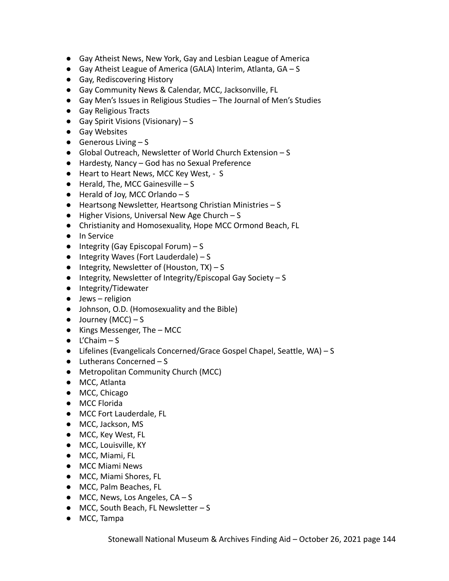- Gay Atheist News, New York, Gay and Lesbian League of America
- Gay Atheist League of America (GALA) Interim, Atlanta, GA S
- Gay, Rediscovering History
- Gay Community News & Calendar, MCC, Jacksonville, FL
- Gay Men's Issues in Religious Studies The Journal of Men's Studies
- Gay Religious Tracts
- $\bullet$  Gay Spirit Visions (Visionary) S
- Gay Websites
- $\bullet$  Generous Living  $-S$
- Global Outreach, Newsletter of World Church Extension S
- Hardesty, Nancy God has no Sexual Preference
- Heart to Heart News, MCC Key West, S
- $\bullet$  Herald, The, MCC Gainesville S
- $\bullet$  Herald of Joy, MCC Orlando S
- Heartsong Newsletter, Heartsong Christian Ministries S
- Higher Visions, Universal New Age Church S
- Christianity and Homosexuality, Hope MCC Ormond Beach, FL
- In Service
- $\bullet$  Integrity (Gay Episcopal Forum) S
- $\bullet$  Integrity Waves (Fort Lauderdale) S
- $\bullet$  Integrity, Newsletter of (Houston, TX) S
- Integrity, Newsletter of Integrity/Episcopal Gay Society S
- Integrity/Tidewater
- $\bullet$  Jews religion
- Johnson, O.D. (Homosexuality and the Bible)
- $\bullet$  Journey (MCC) S
- Kings Messenger, The MCC
- $\bullet$  L'Chaim S
- Lifelines (Evangelicals Concerned/Grace Gospel Chapel, Seattle, WA) S
- $\bullet$  Lutherans Concerned S
- Metropolitan Community Church (MCC)
- MCC, Atlanta
- MCC, Chicago
- MCC Florida
- MCC Fort Lauderdale, FL
- MCC, Jackson, MS
- MCC, Key West, FL
- MCC, Louisville, KY
- MCC, Miami, FL
- MCC Miami News
- MCC, Miami Shores, FL
- MCC, Palm Beaches, FL
- $\bullet$  MCC, News, Los Angeles, CA S
- MCC, South Beach, FL Newsletter S
- MCC, Tampa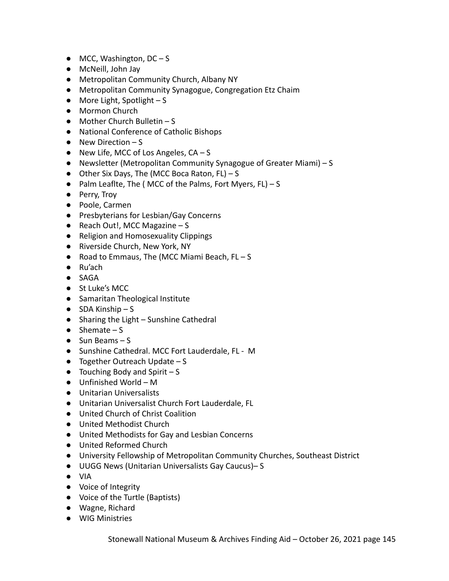- $\bullet$  MCC, Washington, DC S
- McNeill, John Jay
- Metropolitan Community Church, Albany NY
- Metropolitan Community Synagogue, Congregation Etz Chaim
- $\bullet$  More Light, Spotlight S
- Mormon Church
- $\bullet$  Mother Church Bulletin S
- National Conference of Catholic Bishops
- $\bullet$  New Direction S
- $\bullet$  New Life, MCC of Los Angeles,  $CA S$
- Newsletter (Metropolitan Community Synagogue of Greater Miami) S
- Other Six Days, The (MCC Boca Raton, FL) S
- $\bullet$  Palm Leaflte, The (MCC of the Palms, Fort Myers, FL) S
- Perry, Troy
- Poole, Carmen
- Presbyterians for Lesbian/Gay Concerns
- $\bullet$  Reach Out!, MCC Magazine S
- Religion and Homosexuality Clippings
- Riverside Church, New York, NY
- Road to Emmaus, The (MCC Miami Beach, FL-S
- Ru'ach
- SAGA
- St Luke's MCC
- Samaritan Theological Institute
- $\bullet$  SDA Kinship S
- Sharing the Light Sunshine Cathedral
- $\bullet$  Shemate S
- $\bullet$  Sun Beams S
- Sunshine Cathedral. MCC Fort Lauderdale, FL M
- $\bullet$  Together Outreach Update S
- $\bullet$  Touching Body and Spirit  $-S$
- Unfinished World M
- Unitarian Universalists
- Unitarian Universalist Church Fort Lauderdale, FL
- United Church of Christ Coalition
- United Methodist Church
- United Methodists for Gay and Lesbian Concerns
- United Reformed Church
- University Fellowship of Metropolitan Community Churches, Southeast District
- UUGG News (Unitarian Universalists Gay Caucus)– S
- VIA
- Voice of Integrity
- Voice of the Turtle (Baptists)
- Wagne, Richard
- WIG Ministries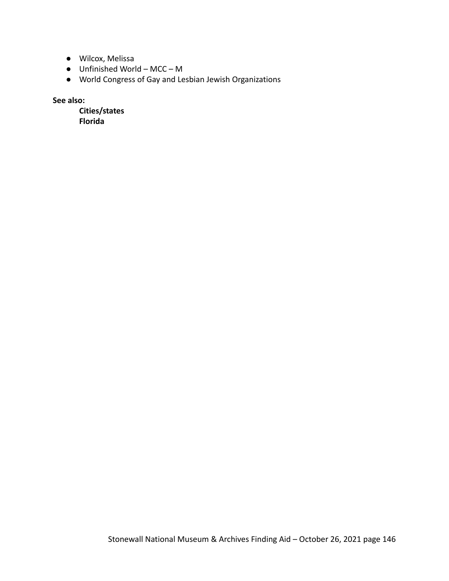- Wilcox, Melissa
- $\bullet$  Unfinished World MCC M
- World Congress of Gay and Lesbian Jewish Organizations

**See also:**

**Cities/states Florida**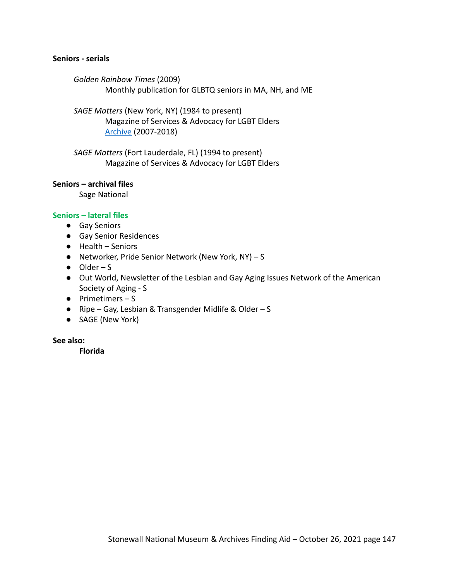### **Seniors - serials**

*Golden Rainbow Times* (2009) Monthly publication for GLBTQ seniors in MA, NH, and ME

*SAGE Matters* (New York, NY) (1984 to present) Magazine of Services & Advocacy for LGBT Elders [Archive](https://www.sageusa.org/resource-category/sagematters-magazine/) (2007-2018)

*SAGE Matters* (Fort Lauderdale, FL) (1994 to present) Magazine of Services & Advocacy for LGBT Elders

### **Seniors – archival files**

Sage National

### **Seniors – lateral files**

- Gay Seniors
- Gay Senior Residences
- Health Seniors
- Networker, Pride Senior Network (New York, NY) S
- $\bullet$  Older S
- Out World, Newsletter of the Lesbian and Gay Aging Issues Network of the American Society of Aging - S
- Primetimers S
- Ripe Gay, Lesbian & Transgender Midlife & Older S
- SAGE (New York)

#### **See also:**

**Florida**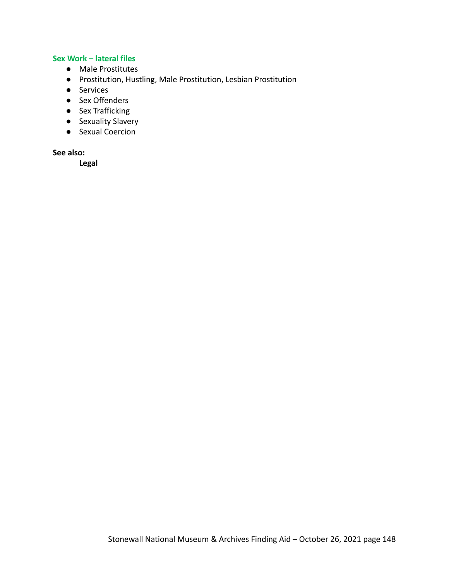# **Sex Work – lateral files**

- Male Prostitutes
- Prostitution, Hustling, Male Prostitution, Lesbian Prostitution
- Services
- Sex Offenders
- Sex Trafficking
- Sexuality Slavery
- Sexual Coercion

### **See also:**

**Legal**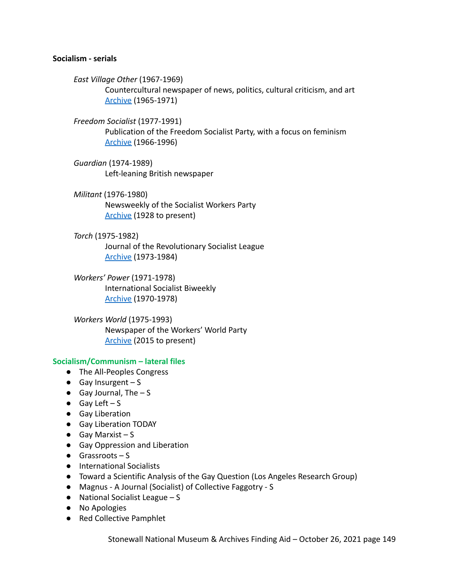### **Socialism - serials**

*East Village Other* (1967-1969) Countercultural newspaper of news, politics, cultural criticism, and art [Archive](https://voices.revealdigital.org/?a=cl&cl=CL1&sp=BFGHCGB&ai=1&e=-------en-20--1--txt-txIN---------------1) (1965-1971)

*Freedom Socialist* (1977-1991) Publication of the Freedom Socialist Party, with a focus on feminism [Archive](https://www.marxists.org/history/etol/newspape/freedom-socialist/index.htm) (1966-1996)

*Guardian* (1974-1989) Left-leaning British newspaper

*Militant* (1976-1980) Newsweekly of the Socialist Workers Party [Archive](https://themilitant.com/backissu.html) (1928 to present)

*Torch* (1975-1982)

Journal of the Revolutionary Socialist League [Archive](https://www.marxists.org/history/etol/newspape/torch-us/index.htm) (1973-1984)

*Workers' Power* (1971-1978) International Socialist Biweekly [Archive](https://www.marxists.org/history/etol/newspape/workerspower/index.htm) (1970-1978)

*Workers World* (1975-1993) Newspaper of the Workers' World Party [Archive](https://www.workers.org/archives/2020pdfs/) (2015 to present)

#### **Socialism/Communism – lateral files**

- The All-Peoples Congress
- $\bullet$  Gay Insurgent S
- $\bullet$  Gay Journal, The  $-S$
- $\bullet$  Gay Left S
- Gay Liberation
- Gay Liberation TODAY
- $\bullet$  Gay Marxist S
- Gay Oppression and Liberation
- $\bullet$  Grassroots S
- International Socialists
- Toward a Scientific Analysis of the Gay Question (Los Angeles Research Group)
- Magnus A Journal (Socialist) of Collective Faggotry S
- National Socialist League S
- No Apologies
- Red Collective Pamphlet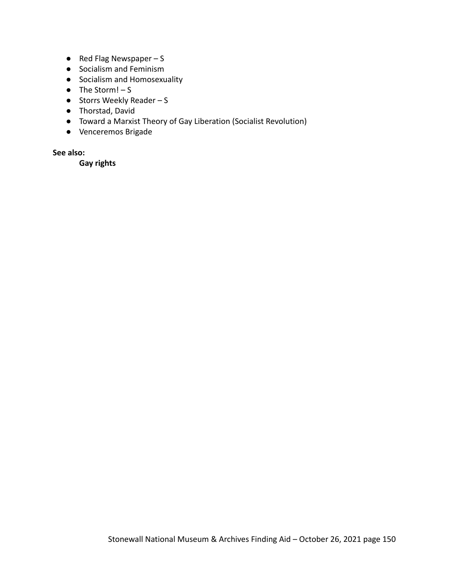- $\bullet$  Red Flag Newspaper S
- Socialism and Feminism
- Socialism and Homosexuality
- $\bullet$  The Storm! S
- $\bullet$  Storrs Weekly Reader S
- Thorstad, David
- Toward a Marxist Theory of Gay Liberation (Socialist Revolution)
- Venceremos Brigade

# **See also:**

**Gay rights**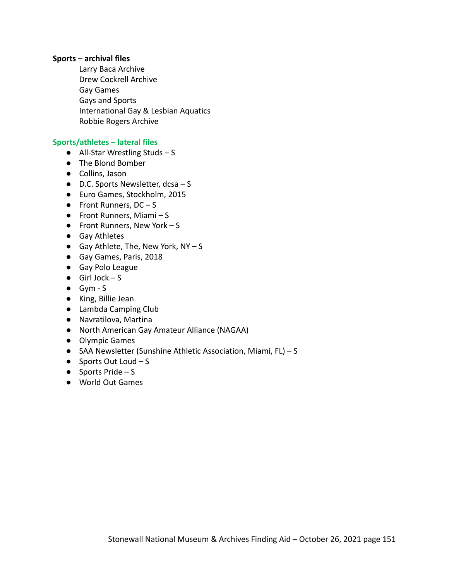#### **Sports – archival files**

Larry Baca Archive Drew Cockrell Archive Gay Games Gays and Sports International Gay & Lesbian Aquatics Robbie Rogers Archive

#### **Sports/athletes – lateral files**

- **●** All-Star Wrestling Studs S
- **●** The Blond Bomber
- Collins, Jason
- $\bullet$  D.C. Sports Newsletter, dcsa S
- Euro Games, Stockholm, 2015
- $\bullet$  Front Runners, DC S
- $\bullet$  Front Runners, Miami S
- $\bullet$  Front Runners, New York S
- Gay Athletes
- $\bullet$  Gay Athlete, The, New York, NY S
- Gay Games, Paris, 2018
- Gay Polo League
- $\bullet$  Girl Jock S
- Gym S
- King, Billie Jean
- Lambda Camping Club
- Navratilova, Martina
- North American Gay Amateur Alliance (NAGAA)
- Olympic Games
- SAA Newsletter (Sunshine Athletic Association, Miami, FL) S
- $\bullet$  Sports Out Loud S
- $\bullet$  Sports Pride S
- World Out Games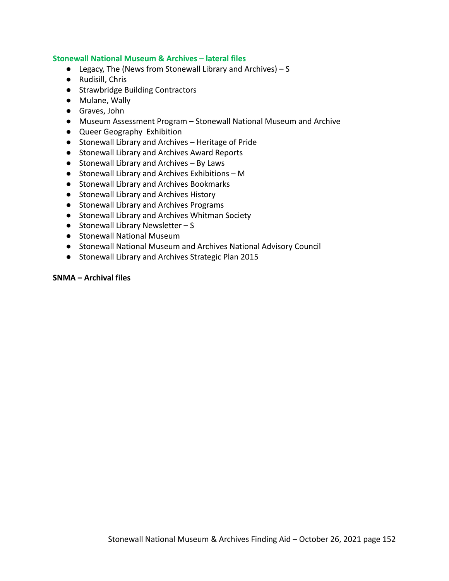### **Stonewall National Museum & Archives – lateral files**

- **•** Legacy, The (News from Stonewall Library and Archives)  $S$
- Rudisill, Chris
- Strawbridge Building Contractors
- Mulane, Wally
- Graves, John
- Museum Assessment Program Stonewall National Museum and Archive
- Queer Geography Exhibition
- Stonewall Library and Archives Heritage of Pride
- Stonewall Library and Archives Award Reports
- Stonewall Library and Archives By Laws
- Stonewall Library and Archives Exhibitions M
- Stonewall Library and Archives Bookmarks
- Stonewall Library and Archives History
- Stonewall Library and Archives Programs
- Stonewall Library and Archives Whitman Society
- $\bullet$  Stonewall Library Newsletter S
- Stonewall National Museum
- Stonewall National Museum and Archives National Advisory Council
- Stonewall Library and Archives Strategic Plan 2015

#### **SNMA – Archival files**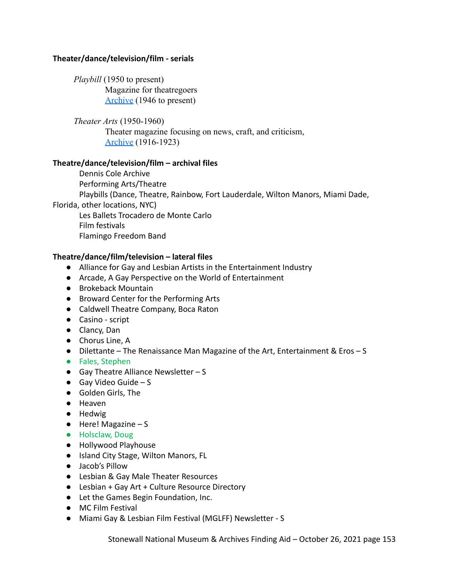# **Theater/dance/television/film - serials**

*Playbill* (1950 to present) Magazine for theatregoers [Archive](https://www.playbill.com/vault) (1946 to present)

*Theater Arts* (1950-1960) Theater magazine focusing on news, craft, and criticism, [Archive](https://catalog.hathitrust.org/Record/008888331) (1916-1923)

# **Theatre/dance/television/film – archival files**

Dennis Cole Archive Performing Arts/Theatre Playbills (Dance, Theatre, Rainbow, Fort Lauderdale, Wilton Manors, Miami Dade, Florida, other locations, NYC)

Les Ballets Trocadero de Monte Carlo Film festivals Flamingo Freedom Band

# **Theatre/dance/film/television – lateral files**

- Alliance for Gay and Lesbian Artists in the Entertainment Industry
- Arcade, A Gay Perspective on the World of Entertainment
- Brokeback Mountain
- Broward Center for the Performing Arts
- Caldwell Theatre Company, Boca Raton
- Casino script
- Clancy, Dan
- Chorus Line, A
- Dilettante The Renaissance Man Magazine of the Art, Entertainment & Eros S
- Fales, Stephen
- $\bullet$  Gay Theatre Alliance Newsletter S
- $\bullet$  Gay Video Guide S
- Golden Girls, The
- Heaven
- Hedwig
- Here! Magazine S
- Holsclaw, Doug
- Hollywood Playhouse
- Island City Stage, Wilton Manors, FL
- Jacob's Pillow
- Lesbian & Gay Male Theater Resources
- Lesbian + Gay Art + Culture Resource Directory
- Let the Games Begin Foundation, Inc.
- MC Film Festival
- Miami Gay & Lesbian Film Festival (MGLFF) Newsletter S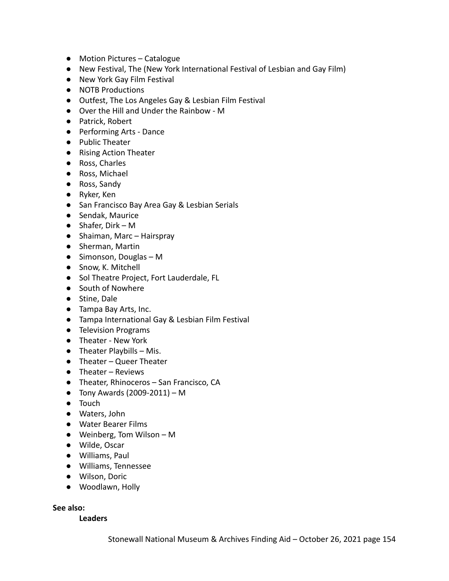- Motion Pictures Catalogue
- New Festival, The (New York International Festival of Lesbian and Gay Film)
- New York Gay Film Festival
- NOTB Productions
- Outfest, The Los Angeles Gay & Lesbian Film Festival
- Over the Hill and Under the Rainbow M
- Patrick, Robert
- Performing Arts Dance
- Public Theater
- Rising Action Theater
- Ross, Charles
- Ross, Michael
- Ross, Sandy
- Ryker, Ken
- San Francisco Bay Area Gay & Lesbian Serials
- Sendak, Maurice
- Shafer, Dirk M
- Shaiman, Marc Hairspray
- Sherman, Martin
- Simonson, Douglas M
- Snow, K. Mitchell
- Sol Theatre Project, Fort Lauderdale, FL
- South of Nowhere
- Stine, Dale
- Tampa Bay Arts, Inc.
- Tampa International Gay & Lesbian Film Festival
- Television Programs
- Theater New York
- $\bullet$  Theater Playbills Mis.
- Theater Queer Theater
- Theater Reviews
- Theater, Rhinoceros San Francisco, CA
- $\bullet$  Tony Awards (2009-2011) M
- Touch
- Waters, John
- Water Bearer Films
- Weinberg, Tom Wilson M
- Wilde, Oscar
- Williams, Paul
- Williams, Tennessee
- Wilson, Doric
- Woodlawn, Holly

# **See also:**

## **Leaders**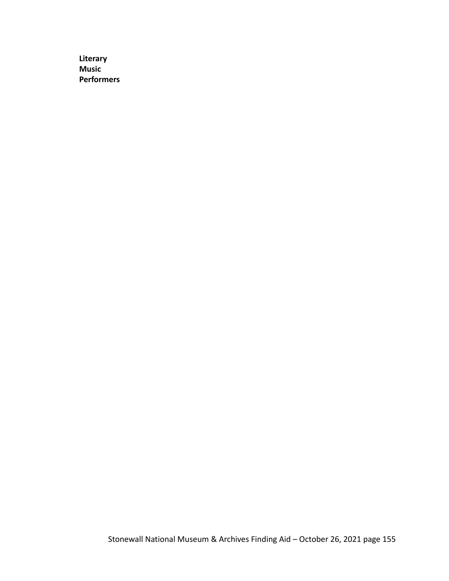**Literary Music Performers**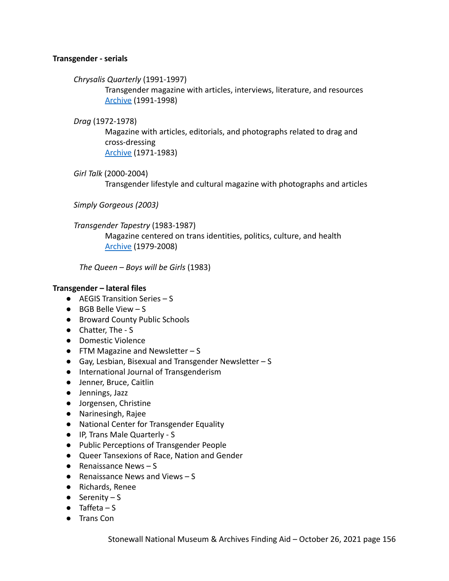# **Transgender - serials**

*Chrysalis Quarterly* (1991-1997)

Transgender magazine with articles, interviews, literature, and resources [Archive](https://www.digitaltransgenderarchive.net/catalog?f%5Bcollection_name_ssim%5D%5B%5D=Chrysalis+Quarterly&sort=dta_sortable_date_dtsi+asc%2C+title_primary_ssort+asc) (1991-1998)

## *Drag* (1972-1978)

Magazine with articles, editorials, and photographs related to drag and cross-dressing [Archive](https://www.digitaltransgenderarchive.net/catalog?f%5Bcollection_name_ssim%5D%5B%5D=Drag&sort=dta_sortable_date_dtsi+asc%2C+title_primary_ssort+asc) (1971-1983)

*Girl Talk* (2000-2004)

Transgender lifestyle and cultural magazine with photographs and articles

*Simply Gorgeous (2003)*

*Transgender Tapestry* (1983-1987)

Magazine centered on trans identities, politics, culture, and health [Archive](https://www.digitaltransgenderarchive.net/catalog?f%5Bcollection_name_ssim%5D%5B%5D=Transgender+Tapestry&sort=dta_sortable_date_dtsi+asc%2C+title_primary_ssort+asc) (1979-2008)

*The Queen – Boys will be Girls* (1983)

# **Transgender – lateral files**

- AEGIS Transition Series S
- BGB Belle View S
- Broward County Public Schools
- Chatter, The S
- Domestic Violence
- $\bullet$  FTM Magazine and Newsletter S
- Gay, Lesbian, Bisexual and Transgender Newsletter S
- International Journal of Transgenderism
- Jenner, Bruce, Caitlin
- Jennings, Jazz
- Jorgensen, Christine
- Narinesingh, Rajee
- National Center for Transgender Equality
- IP, Trans Male Quarterly S
- Public Perceptions of Transgender People
- Queer Tansexions of Race, Nation and Gender
- $\bullet$  Renaissance News S
- $\bullet$  Renaissance News and Views  $S$
- Richards, Renee
- $\bullet$  Serenity S
- $\bullet$  Taffeta S
- Trans Con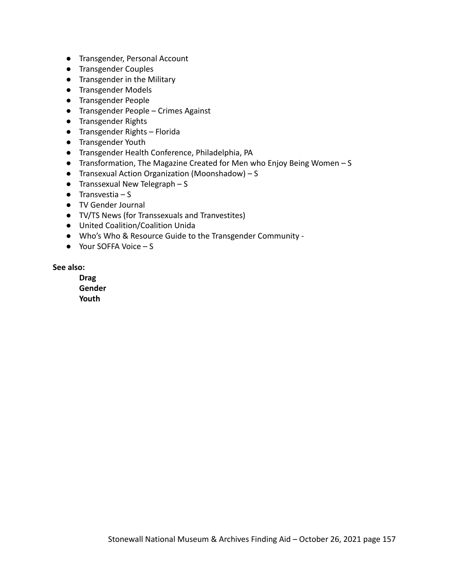- Transgender, Personal Account
- Transgender Couples
- Transgender in the Military
- Transgender Models
- Transgender People
- Transgender People Crimes Against
- Transgender Rights
- Transgender Rights Florida
- Transgender Youth
- Transgender Health Conference, Philadelphia, PA
- Transformation, The Magazine Created for Men who Enjoy Being Women S
- Transexual Action Organization (Moonshadow) S
- $\bullet$  Transsexual New Telegraph S
- $\bullet$  Transvestia S
- TV Gender Journal
- TV/TS News (for Transsexuals and Tranvestites)
- United Coalition/Coalition Unida
- Who's Who & Resource Guide to the Transgender Community -
- Your SOFFA Voice S

### **See also:**

**Drag Gender Youth**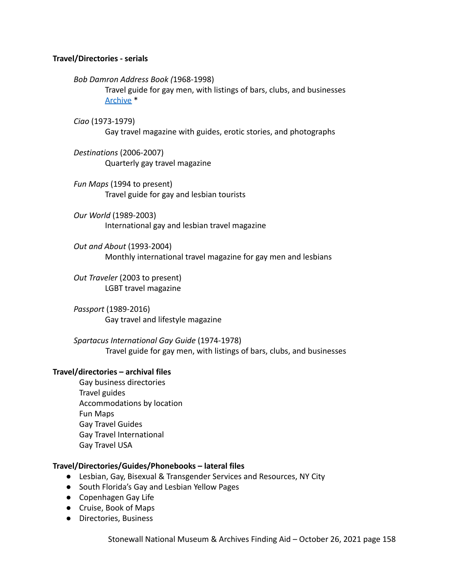# **Travel/Directories - serials**

*Bob Damron Address Book (*1968-1998)

Travel guide for gay men, with listings of bars, clubs, and businesses [Archive](https://search.alexanderstreet.com/browse/archive-material?ff%5B0%5D=archive_collection_provenance_facet%3ABob%20Damron%20Papers) \*

*Ciao* (1973-1979)

Gay travel magazine with guides, erotic stories, and photographs

- *Destinations* (2006-2007) Quarterly gay travel magazine
- *Fun Maps* (1994 to present) Travel guide for gay and lesbian tourists
- *Our World* (1989-2003) International gay and lesbian travel magazine

*Out and About* (1993-2004) Monthly international travel magazine for gay men and lesbians

*Out Traveler* (2003 to present) LGBT travel magazine

*Passport* (1989-2016) Gay travel and lifestyle magazine

*Spartacus International Gay Guide* (1974-1978) Travel guide for gay men, with listings of bars, clubs, and businesses

### **Travel/directories – archival files**

Gay business directories Travel guides Accommodations by location Fun Maps Gay Travel Guides Gay Travel International Gay Travel USA

### **Travel/Directories/Guides/Phonebooks – lateral files**

- Lesbian, Gay, Bisexual & Transgender Services and Resources, NY City
- South Florida's Gay and Lesbian Yellow Pages
- Copenhagen Gay Life
- Cruise, Book of Maps
- Directories, Business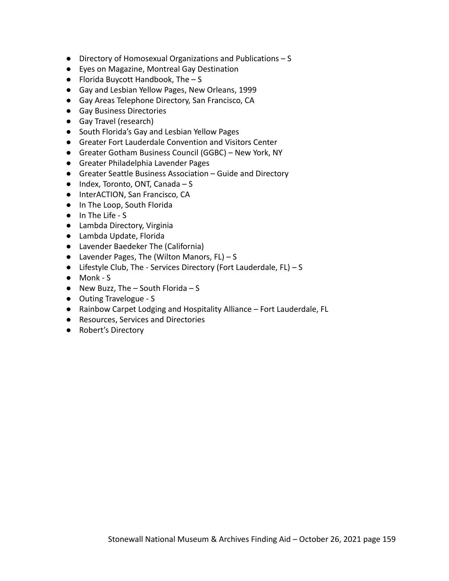- Directory of Homosexual Organizations and Publications S
- Eyes on Magazine, Montreal Gay Destination
- $\bullet$  Florida Buycott Handbook, The  $-$  S
- Gay and Lesbian Yellow Pages, New Orleans, 1999
- Gay Areas Telephone Directory, San Francisco, CA
- Gay Business Directories
- Gay Travel (research)
- South Florida's Gay and Lesbian Yellow Pages
- Greater Fort Lauderdale Convention and Visitors Center
- Greater Gotham Business Council (GGBC) New York, NY
- Greater Philadelphia Lavender Pages
- Greater Seattle Business Association Guide and Directory
- Index, Toronto, ONT, Canada S
- InterACTION, San Francisco, CA
- In The Loop, South Florida
- In The Life S
- Lambda Directory, Virginia
- Lambda Update, Florida
- Lavender Baedeker The (California)
- $\bullet$  Lavender Pages, The (Wilton Manors, FL) S
- Lifestyle Club, The Services Directory (Fort Lauderdale, FL) S
- Monk S
- $\bullet$  New Buzz, The South Florida S
- Outing Travelogue S
- Rainbow Carpet Lodging and Hospitality Alliance Fort Lauderdale, FL
- Resources, Services and Directories
- Robert's Directory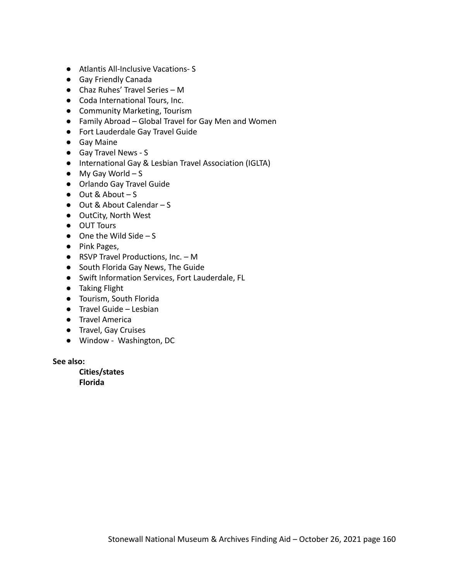- Atlantis All-Inclusive Vacations- S
- Gay Friendly Canada
- Chaz Ruhes' Travel Series M
- Coda International Tours, Inc.
- Community Marketing, Tourism
- Family Abroad Global Travel for Gay Men and Women
- Fort Lauderdale Gay Travel Guide
- Gay Maine
- Gay Travel News S
- International Gay & Lesbian Travel Association (IGLTA)
- $\bullet$  My Gay World  $-S$
- Orlando Gay Travel Guide
- $\bullet$  Out & About S
- Out & About Calendar S
- OutCity, North West
- OUT Tours
- $\bullet$  One the Wild Side S
- Pink Pages,
- RSVP Travel Productions, Inc. M
- South Florida Gay News, The Guide
- Swift Information Services, Fort Lauderdale, FL
- Taking Flight
- Tourism, South Florida
- Travel Guide Lesbian
- Travel America
- Travel, Gay Cruises
- Window Washington, DC

#### **See also:**

**Cities/states Florida**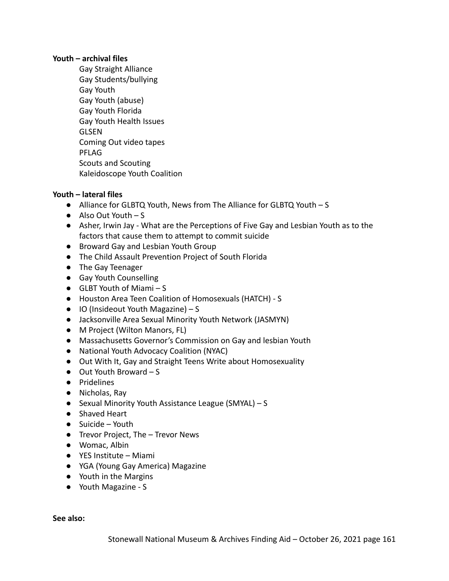## **Youth – archival files**

Gay Straight Alliance Gay Students/bullying Gay Youth Gay Youth (abuse) Gay Youth Florida Gay Youth Health Issues **GLSEN** Coming Out video tapes PFLAG Scouts and Scouting Kaleidoscope Youth Coalition

# **Youth – lateral files**

- Alliance for GLBTQ Youth, News from The Alliance for GLBTQ Youth S
- $\bullet$  Also Out Youth S
- Asher, Irwin Jay What are the Perceptions of Five Gay and Lesbian Youth as to the factors that cause them to attempt to commit suicide
- Broward Gay and Lesbian Youth Group
- The Child Assault Prevention Project of South Florida
- The Gay Teenager
- Gay Youth Counselling
- $\bullet$  GLBT Youth of Miami S
- Houston Area Teen Coalition of Homosexuals (HATCH) S
- $\bullet$  IO (Insideout Youth Magazine) S
- Jacksonville Area Sexual Minority Youth Network (JASMYN)
- M Project (Wilton Manors, FL)
- Massachusetts Governor's Commission on Gay and lesbian Youth
- National Youth Advocacy Coalition (NYAC)
- Out With It, Gay and Straight Teens Write about Homosexuality
- Out Youth Broward S
- Pridelines
- Nicholas, Ray
- Sexual Minority Youth Assistance League (SMYAL) S
- Shaved Heart
- $\bullet$  Suicide Youth
- Trevor Project, The Trevor News
- Womac, Albin
- YES Institute Miami
- YGA (Young Gay America) Magazine
- Youth in the Margins
- Youth Magazine S

**See also:**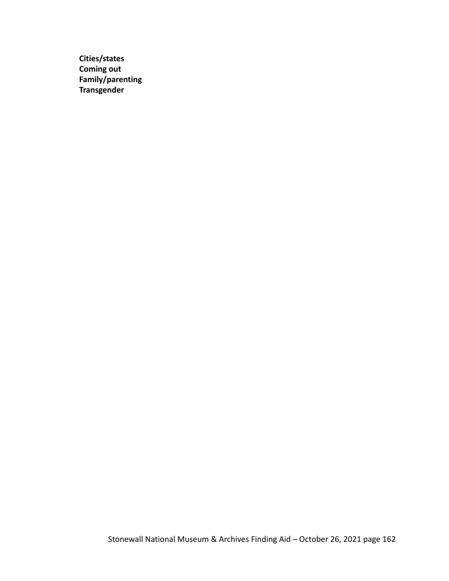**Cities/states Coming out Family/parenting Transgender**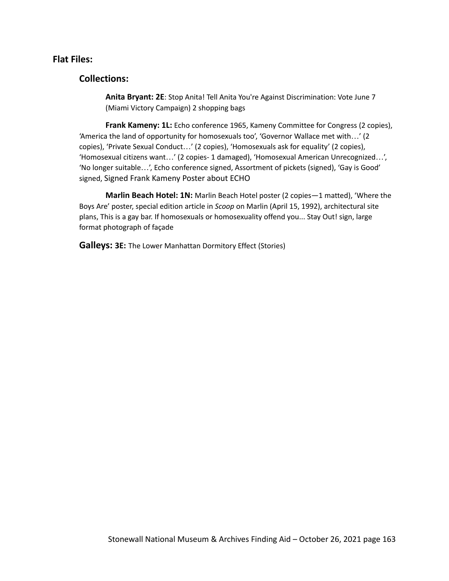# **Flat Files:**

# **Collections:**

**Anita Bryant: 2E**: Stop Anita! Tell Anita You're Against Discrimination: Vote June 7 (Miami Victory Campaign) 2 shopping bags

**Frank Kameny: 1L:** Echo conference 1965, Kameny Committee for Congress (2 copies), 'America the land of opportunity for homosexuals too', 'Governor Wallace met with…' (2 copies), 'Private Sexual Conduct…' (2 copies), 'Homosexuals ask for equality' (2 copies), 'Homosexual citizens want…' (2 copies- 1 damaged), 'Homosexual American Unrecognized…', 'No longer suitable…', Echo conference signed, Assortment of pickets (signed), 'Gay is Good' signed, Signed Frank Kameny Poster about ECHO

**Marlin Beach Hotel: 1N:** Marlin Beach Hotel poster (2 copies—1 matted), 'Where the Boys Are' poster, special edition article in *Scoop* on Marlin (April 15, 1992), architectural site plans, This is a gay bar. If homosexuals or homosexuality offend you... Stay Out! sign, large format photograph of façade

**Galleys: 3E:** The Lower Manhattan Dormitory Effect (Stories)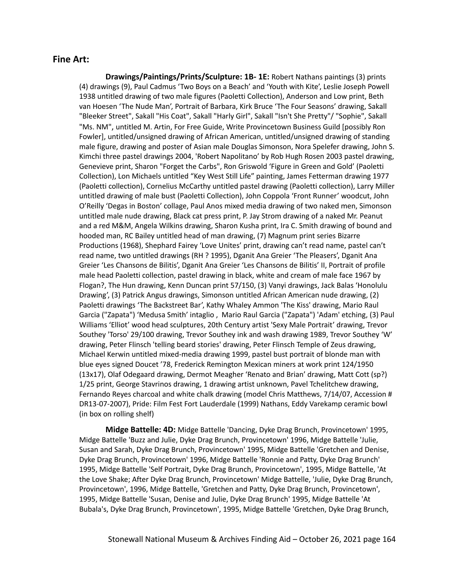# **Fine Art:**

**Drawings/Paintings/Prints/Sculpture: 1B- 1E:** Robert Nathans paintings (3) prints (4) drawings (9), Paul Cadmus 'Two Boys on a Beach' and 'Youth with Kite', Leslie Joseph Powell 1938 untitled drawing of two male figures (Paoletti Collection), Anderson and Low print, Beth van Hoesen 'The Nude Man', Portrait of Barbara, Kirk Bruce 'The Four Seasons' drawing, Sakall "Bleeker Street", Sakall "His Coat", Sakall "Harly Girl", Sakall "Isn't She Pretty"/ "Sophie", Sakall "Ms. NM", untitled M. Artin, For Free Guide, Write Provincetown Business Guild [possibly Ron Fowler], untitled/unsigned drawing of African American, untitled/unsigned drawing of standing male figure, drawing and poster of Asian male Douglas Simonson, Nora Spelefer drawing, John S. Kimchi three pastel drawings 2004, 'Robert Napolitano' by Rob Hugh Rosen 2003 pastel drawing, Genevieve print, Sharon "Forget the Carbs", Ron Griswold 'Figure in Green and Gold' (Paoletti Collection), Lon Michaels untitled "Key West Still Life" painting, James Fetterman drawing 1977 (Paoletti collection), Cornelius McCarthy untitled pastel drawing (Paoletti collection), Larry Miller untitled drawing of male bust (Paoletti Collection), John Coppola 'Front Runner' woodcut, John O'Reilly 'Degas in Boston' collage, Paul Anos mixed media drawing of two naked men, Simonson untitled male nude drawing, Black cat press print, P. Jay Strom drawing of a naked Mr. Peanut and a red M&M, Angela Wilkins drawing, Sharon Kusha print, Ira C. Smith drawing of bound and hooded man, RC Bailey untitled head of man drawing, (7) Magnum print series Bizarre Productions (1968), Shephard Fairey 'Love Unites' print, drawing can't read name, pastel can't read name, two untitled drawings (RH ? 1995), Dganit Ana Greier 'The Pleasers', Dganit Ana Greier 'Les Chansons de Bilitis', Dganit Ana Greier 'Les Chansons de Bilitis' II, Portrait of profile male head Paoletti collection, pastel drawing in black, white and cream of male face 1967 by Flogan?, The Hun drawing, Kenn Duncan print 57/150, (3) Vanyi drawings, Jack Balas 'Honolulu Drawing', (3) Patrick Angus drawings, Simonson untitled African American nude drawing, (2) Paoletti drawings 'The Backstreet Bar', Kathy Whaley Ammon 'The Kiss' drawing, Mario Raul Garcia ("Zapata") 'Medusa Smith' intaglio , Mario Raul Garcia ("Zapata") 'Adam' etching, (3) Paul Williams 'Elliot' wood head sculptures, 20th Century artist 'Sexy Male Portrait' drawing, Trevor Southey 'Torso' 29/100 drawing, Trevor Southey ink and wash drawing 1989, Trevor Southey 'W' drawing, Peter Flinsch 'telling beard stories' drawing, Peter Flinsch Temple of Zeus drawing, Michael Kerwin untitled mixed-media drawing 1999, pastel bust portrait of blonde man with blue eyes signed Doucet '78, Frederick Remington Mexican miners at work print 124/1950 (13x17), Olaf Odegaard drawing, Dermot Meagher 'Renato and Brian' drawing, Matt Cott (sp?) 1/25 print, George Stavrinos drawing, 1 drawing artist unknown, Pavel Tchelitchew drawing, Fernando Reyes charcoal and white chalk drawing (model Chris Matthews, 7/14/07, Accession # DR13-07-2007), Pride: Film Fest Fort Lauderdale (1999) Nathans, Eddy Varekamp ceramic bowl (in box on rolling shelf)

**Midge Battelle: 4D:** Midge Battelle 'Dancing, Dyke Drag Brunch, Provincetown' 1995, Midge Battelle 'Buzz and Julie, Dyke Drag Brunch, Provincetown' 1996, Midge Battelle 'Julie, Susan and Sarah, Dyke Drag Brunch, Provincetown' 1995, Midge Battelle 'Gretchen and Denise, Dyke Drag Brunch, Provincetown' 1996, Midge Battelle 'Ronnie and Patty, Dyke Drag Brunch' 1995, Midge Battelle 'Self Portrait, Dyke Drag Brunch, Provincetown', 1995, Midge Battelle, 'At the Love Shake; After Dyke Drag Brunch, Provincetown' Midge Battelle, 'Julie, Dyke Drag Brunch, Provincetown', 1996, Midge Battelle, 'Gretchen and Patty, Dyke Drag Brunch, Provincetown', 1995, Midge Battelle 'Susan, Denise and Julie, Dyke Drag Brunch' 1995, Midge Battelle 'At Bubala's, Dyke Drag Brunch, Provincetown', 1995, Midge Battelle 'Gretchen, Dyke Drag Brunch,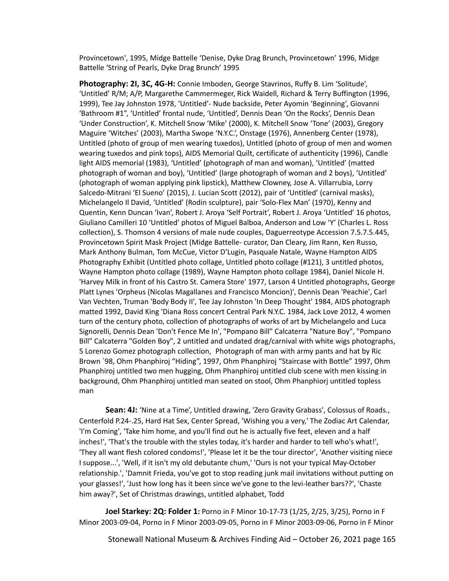Provincetown', 1995, Midge Battelle 'Denise, Dyke Drag Brunch, Provincetown' 1996, Midge Battelle 'String of Pearls, Dyke Drag Brunch' 1995

**Photography: 2I, 3C, 4G-H:** Connie Imboden, George Stavrinos, Ruffy B. Lim 'Solitude', 'Untitled' R/M; A/P, Margarethe Cammermeger, Rick Waidell, Richard & Terry Buffington (1996, 1999), Tee Jay Johnston 1978, 'Untitled'- Nude backside, Peter Ayomin 'Beginning', Giovanni 'Bathroom #1", 'Untitled' frontal nude, 'Untitled', Dennis Dean 'On the Rocks', Dennis Dean 'Under Construction', K. Mitchell Snow 'Mike' (2000), K. Mitchell Snow 'Tone' (2003), Gregory Maguire 'Witches' (2003), Martha Swope 'N.Y.C.', Onstage (1976), Annenberg Center (1978), Untitled (photo of group of men wearing tuxedos), Untitled (photo of group of men and women wearing tuxedos and pink tops), AIDS Memorial Quilt, certificate of authenticity (1996), Candle light AIDS memorial (1983), 'Untitled' (photograph of man and woman), 'Untitled' (matted photograph of woman and boy), 'Untitled' (large photograph of woman and 2 boys), 'Untitled' (photograph of woman applying pink lipstick), Matthew Clowney, Jose A. Villarrubia, Lorry Salcedo-Mitrani 'El Sueno' (2015), J. Lucian Scott (2012), pair of 'Untitled' (carnival masks), Michelangelo Il David, 'Untitled' (Rodin sculpture), pair 'Solo-Flex Man' (1970), Kenny and Quentin, Kenn Duncan 'Ivan', Robert J. Aroya 'Self Portrait', Robert J. Aroya 'Untitled' 16 photos, Giuliano Camilleri 10 'Untitled' photos of Miguel Balboa, Anderson and Low 'Y' (Charles L. Ross collection), S. Thomson 4 versions of male nude couples, Daguerreotype Accession 7.5.7.5.445, Provincetown Spirit Mask Project (Midge Battelle- curator, Dan Cleary, Jim Rann, Ken Russo, Mark Anthony Bulman, Tom McCue, Victor D'Lugin, Pasquale Natale, Wayne Hampton AIDS Photography Exhibit (Untitled photo collage, Untitled photo collage (#121), 3 untitled photos, Wayne Hampton photo collage (1989), Wayne Hampton photo collage 1984), Daniel Nicole H. 'Harvey Milk in front of his Castro St. Camera Store' 1977, Larson 4 Untitled photographs, George Platt Lynes 'Orpheus (Nicolas Magallanes and Francisco Moncion)', Dennis Dean 'Peachie', Carl Van Vechten, Truman 'Body Body II', Tee Jay Johnston 'In Deep Thought' 1984, AIDS photograph matted 1992, David King 'Diana Ross concert Central Park N.Y.C. 1984, Jack Love 2012, 4 women turn of the century photo, collection of photographs of works of art by Michelangelo and Luca Signorelli, Dennis Dean 'Don't Fence Me In', "Pompano Bill" Calcaterra "Nature Boy", "Pompano Bill" Calcaterra "Golden Boy", 2 untitled and undated drag/carnival with white wigs photographs, 5 Lorenzo Gomez photograph collection, Photograph of man with army pants and hat by Ric Brown `98, Ohm Phanphiroj "Hiding", 1997, Ohm Phanphiroj "Staircase with Bottle" 1997, Ohm Phanphiroj untitled two men hugging, Ohm Phanphiroj untitled club scene with men kissing in background, Ohm Phanphiroj untitled man seated on stool, Ohm Phanphiorj untitled topless man

**Sean: 4J:** 'Nine at a Time', Untitled drawing, 'Zero Gravity Grabass', Colossus of Roads., Centerfold P.24-.25, Hard Hat Sex, Center Spread, 'Wishing you a very,' The Zodiac Art Calendar, 'I'm Coming', 'Take him home, and you'll find out he is actually five feet, eleven and a half inches!', 'That's the trouble with the styles today, it's harder and harder to tell who's what!', 'They all want flesh colored condoms!', 'Please let it be the tour director', 'Another visiting niece I suppose...', 'Well, if it isn't my old debutante chum,' 'Ours is not your typical May-October relationship.', 'Damnit Frieda, you've got to stop reading junk mail invitations without putting on your glasses!', 'Just how long has it been since we've gone to the levi-leather bars??', 'Chaste him away?', Set of Christmas drawings, untitled alphabet, Todd

**Joel Starkey: 2Q: Folder 1:** Porno in F Minor 10-17-73 (1/25, 2/25, 3/25), Porno in F Minor 2003-09-04, Porno in F Minor 2003-09-05, Porno in F Minor 2003-09-06, Porno in F Minor

Stonewall National Museum & Archives Finding Aid – October 26, 2021 page 165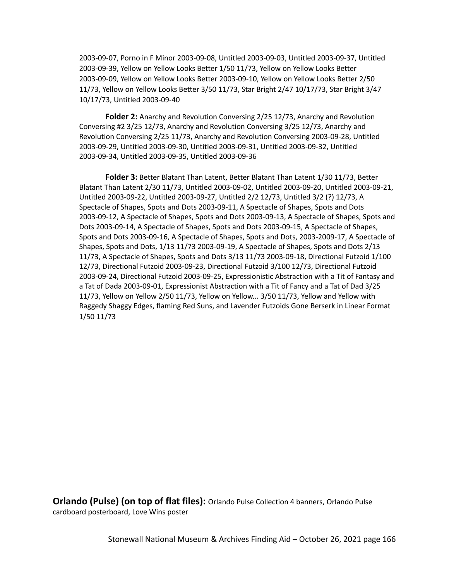2003-09-07, Porno in F Minor 2003-09-08, Untitled 2003-09-03, Untitled 2003-09-37, Untitled 2003-09-39, Yellow on Yellow Looks Better 1/50 11/73, Yellow on Yellow Looks Better 2003-09-09, Yellow on Yellow Looks Better 2003-09-10, Yellow on Yellow Looks Better 2/50 11/73, Yellow on Yellow Looks Better 3/50 11/73, Star Bright 2/47 10/17/73, Star Bright 3/47 10/17/73, Untitled 2003-09-40

**Folder 2:** Anarchy and Revolution Conversing 2/25 12/73, Anarchy and Revolution Conversing #2 3/25 12/73, Anarchy and Revolution Conversing 3/25 12/73, Anarchy and Revolution Conversing 2/25 11/73, Anarchy and Revolution Conversing 2003-09-28, Untitled 2003-09-29, Untitled 2003-09-30, Untitled 2003-09-31, Untitled 2003-09-32, Untitled 2003-09-34, Untitled 2003-09-35, Untitled 2003-09-36

**Folder 3:** Better Blatant Than Latent, Better Blatant Than Latent 1/30 11/73, Better Blatant Than Latent 2/30 11/73, Untitled 2003-09-02, Untitled 2003-09-20, Untitled 2003-09-21, Untitled 2003-09-22, Untitled 2003-09-27, Untitled 2/2 12/73, Untitled 3/2 (?) 12/73, A Spectacle of Shapes, Spots and Dots 2003-09-11, A Spectacle of Shapes, Spots and Dots 2003-09-12, A Spectacle of Shapes, Spots and Dots 2003-09-13, A Spectacle of Shapes, Spots and Dots 2003-09-14, A Spectacle of Shapes, Spots and Dots 2003-09-15, A Spectacle of Shapes, Spots and Dots 2003-09-16, A Spectacle of Shapes, Spots and Dots, 2003-2009-17, A Spectacle of Shapes, Spots and Dots, 1/13 11/73 2003-09-19, A Spectacle of Shapes, Spots and Dots 2/13 11/73, A Spectacle of Shapes, Spots and Dots 3/13 11/73 2003-09-18, Directional Futzoid 1/100 12/73, Directional Futzoid 2003-09-23, Directional Futzoid 3/100 12/73, Directional Futzoid 2003-09-24, Directional Futzoid 2003-09-25, Expressionistic Abstraction with a Tit of Fantasy and a Tat of Dada 2003-09-01, Expressionist Abstraction with a Tit of Fancy and a Tat of Dad 3/25 11/73, Yellow on Yellow 2/50 11/73, Yellow on Yellow... 3/50 11/73, Yellow and Yellow with Raggedy Shaggy Edges, flaming Red Suns, and Lavender Futzoids Gone Berserk in Linear Format 1/50 11/73

**Orlando (Pulse) (on top of flat files):** Orlando Pulse Collection 4 banners, Orlando Pulse cardboard posterboard, Love Wins poster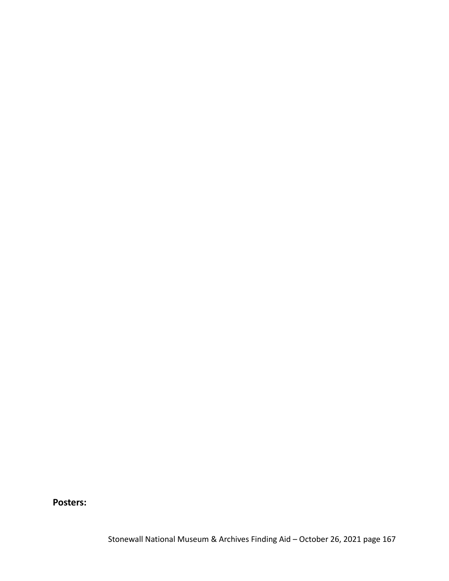**Posters:**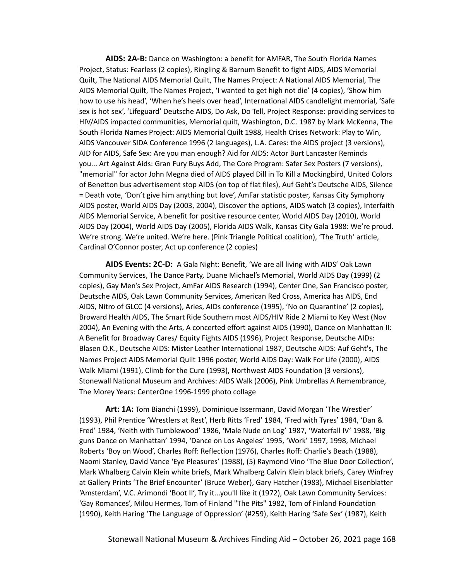**AIDS: 2A-B:** Dance on Washington: a benefit for AMFAR, The South Florida Names Project, Status: Fearless (2 copies), Ringling & Barnum Benefit to fight AIDS, AIDS Memorial Quilt, The National AIDS Memorial Quilt, The Names Project: A National AIDS Memorial, The AIDS Memorial Quilt, The Names Project, 'I wanted to get high not die' (4 copies), 'Show him how to use his head', 'When he's heels over head', International AIDS candlelight memorial, 'Safe sex is hot sex', 'Lifeguard' Deutsche AIDS, Do Ask, Do Tell, Project Response: providing services to HIV/AIDS impacted communities, Memorial quilt, Washington, D.C. 1987 by Mark McKenna, The South Florida Names Project: AIDS Memorial Quilt 1988, Health Crises Network: Play to Win, AIDS Vancouver SIDA Conference 1996 (2 languages), L.A. Cares: the AIDS project (3 versions), AID for AIDS, Safe Sex: Are you man enough? Aid for AIDS: Actor Burt Lancaster Reminds you... Art Against Aids: Gran Fury Buys Add, The Core Program: Safer Sex Posters (7 versions), "memorial" for actor John Megna died of AIDS played Dill in To Kill a Mockingbird, United Colors of Benetton bus advertisement stop AIDS (on top of flat files), Auf Geht's Deutsche AIDS, Silence = Death vote, 'Don't give him anything but love', AmFar statistic poster, Kansas City Symphony AIDS poster, World AIDS Day (2003, 2004), Discover the options, AIDS watch (3 copies), Interfaith AIDS Memorial Service, A benefit for positive resource center, World AIDS Day (2010), World AIDS Day (2004), World AIDS Day (2005), Florida AIDS Walk, Kansas City Gala 1988: We're proud. We're strong. We're united. We're here. (Pink Triangle Political coalition), 'The Truth' article, Cardinal O'Connor poster, Act up conference (2 copies)

**AIDS Events: 2C-D:** A Gala Night: Benefit, 'We are all living with AIDS' Oak Lawn Community Services, The Dance Party, Duane Michael's Memorial, World AIDS Day (1999) (2 copies), Gay Men's Sex Project, AmFar AIDS Research (1994), Center One, San Francisco poster, Deutsche AIDS, Oak Lawn Community Services, American Red Cross, America has AIDS, End AIDS, Nitro of GLCC (4 versions), Aries, AIDs conference (1995), 'No on Quarantine' (2 copies), Broward Health AIDS, The Smart Ride Southern most AIDS/HIV Ride 2 Miami to Key West (Nov 2004), An Evening with the Arts, A concerted effort against AIDS (1990), Dance on Manhattan II: A Benefit for Broadway Cares/ Equity Fights AIDS (1996), Project Response, Deutsche AIDs: Blasen O.K., Deutsche AIDS: Mister Leather International 1987, Deutsche AIDS: Auf Geht's, The Names Project AIDS Memorial Quilt 1996 poster, World AIDS Day: Walk For Life (2000), AIDS Walk Miami (1991), Climb for the Cure (1993), Northwest AIDS Foundation (3 versions), Stonewall National Museum and Archives: AIDS Walk (2006), Pink Umbrellas A Remembrance, The Morey Years: CenterOne 1996-1999 photo collage

**Art: 1A:** Tom Bianchi (1999), Dominique Issermann, David Morgan 'The Wrestler' (1993), Phil Prentice 'Wrestlers at Rest', Herb Ritts 'Fred' 1984, 'Fred with Tyres' 1984, 'Dan & Fred' 1984, 'Neith with Tumblewood' 1986, 'Male Nude on Log' 1987, 'Waterfall IV' 1988, 'Big guns Dance on Manhattan' 1994, 'Dance on Los Angeles' 1995, 'Work' 1997, 1998, Michael Roberts 'Boy on Wood', Charles Roff: Reflection (1976), Charles Roff: Charlie's Beach (1988), Naomi Stanley, David Vance 'Eye Pleasures' (1988), (5) Raymond Vino 'The Blue Door Collection', Mark Whalberg Calvin Klein white briefs, Mark Whalberg Calvin Klein black briefs, Carey Winfrey at Gallery Prints 'The Brief Encounter' (Bruce Weber), Gary Hatcher (1983), Michael Eisenblatter 'Amsterdam', V.C. Arimondi 'Boot II', Try it...you'll like it (1972), Oak Lawn Community Services: 'Gay Romances', Milou Hermes, Tom of Finland "The Pits" 1982, Tom of Finland Foundation (1990), Keith Haring 'The Language of Oppression' (#259), Keith Haring 'Safe Sex' (1987), Keith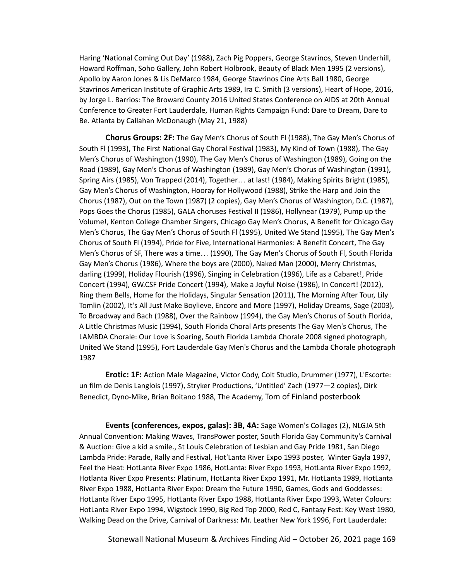Haring 'National Coming Out Day' (1988), Zach Pig Poppers, George Stavrinos, Steven Underhill, Howard Roffman, Soho Gallery, John Robert Holbrook, Beauty of Black Men 1995 (2 versions), Apollo by Aaron Jones & Lis DeMarco 1984, George Stavrinos Cine Arts Ball 1980, George Stavrinos American Institute of Graphic Arts 1989, Ira C. Smith (3 versions), Heart of Hope, 2016, by Jorge L. Barrios: The Broward County 2016 United States Conference on AIDS at 20th Annual Conference to Greater Fort Lauderdale, Human Rights Campaign Fund: Dare to Dream, Dare to Be. Atlanta by Callahan McDonaugh (May 21, 1988)

**Chorus Groups: 2F:** The Gay Men's Chorus of South Fl (1988), The Gay Men's Chorus of South Fl (1993), The First National Gay Choral Festival (1983), My Kind of Town (1988), The Gay Men's Chorus of Washington (1990), The Gay Men's Chorus of Washington (1989), Going on the Road (1989), Gay Men's Chorus of Washington (1989), Gay Men's Chorus of Washington (1991), Spring Airs (1985), Von Trapped (2014), Together… at last! (1984), Making Spirits Bright (1985), Gay Men's Chorus of Washington, Hooray for Hollywood (1988), Strike the Harp and Join the Chorus (1987), Out on the Town (1987) (2 copies), Gay Men's Chorus of Washington, D.C. (1987), Pops Goes the Chorus (1985), GALA choruses Festival II (1986), Hollynear (1979), Pump up the Volume!, Kenton College Chamber Singers, Chicago Gay Men's Chorus, A Benefit for Chicago Gay Men's Chorus, The Gay Men's Chorus of South Fl (1995), United We Stand (1995), The Gay Men's Chorus of South Fl (1994), Pride for Five, International Harmonies: A Benefit Concert, The Gay Men's Chorus of SF, There was a time… (1990), The Gay Men's Chorus of South Fl, South Florida Gay Men's Chorus (1986), Where the boys are (2000), Naked Man (2000), Merry Christmas, darling (1999), Holiday Flourish (1996), Singing in Celebration (1996), Life as a Cabaret!, Pride Concert (1994), GW.CSF Pride Concert (1994), Make a Joyful Noise (1986), In Concert! (2012), Ring them Bells, Home for the Holidays, Singular Sensation (2011), The Morning After Tour, Lily Tomlin (2002), It's All Just Make Boylieve, Encore and More (1997), Holiday Dreams, Sage (2003), To Broadway and Bach (1988), Over the Rainbow (1994), the Gay Men's Chorus of South Florida, A Little Christmas Music (1994), South Florida Choral Arts presents The Gay Men's Chorus, The LAMBDA Chorale: Our Love is Soaring, South Florida Lambda Chorale 2008 signed photograph, United We Stand (1995), Fort Lauderdale Gay Men's Chorus and the Lambda Chorale photograph 1987

**Erotic: 1F:** Action Male Magazine, Victor Cody, Colt Studio, Drummer (1977), L'Escorte: un film de Denis Langlois (1997), Stryker Productions, 'Untitled' Zach (1977—2 copies), Dirk Benedict, Dyno-Mike, Brian Boitano 1988, The Academy, Tom of Finland posterbook

**Events (conferences, expos, galas): 3B, 4A:** Sage Women's Collages (2), NLGJA 5th Annual Convention: Making Waves, TransPower poster, South Florida Gay Community's Carnival & Auction: Give a kid a smile., St Louis Celebration of Lesbian and Gay Pride 1981, San Diego Lambda Pride: Parade, Rally and Festival, Hot'Lanta River Expo 1993 poster, Winter Gayla 1997, Feel the Heat: HotLanta River Expo 1986, HotLanta: River Expo 1993, HotLanta River Expo 1992, Hotlanta River Expo Presents: Platinum, HotLanta River Expo 1991, Mr. HotLanta 1989, HotLanta River Expo 1988, HotLanta River Expo: Dream the Future 1990, Games, Gods and Goddesses: HotLanta River Expo 1995, HotLanta River Expo 1988, HotLanta River Expo 1993, Water Colours: HotLanta River Expo 1994, Wigstock 1990, Big Red Top 2000, Red C, Fantasy Fest: Key West 1980, Walking Dead on the Drive, Carnival of Darkness: Mr. Leather New York 1996, Fort Lauderdale:

Stonewall National Museum & Archives Finding Aid – October 26, 2021 page 169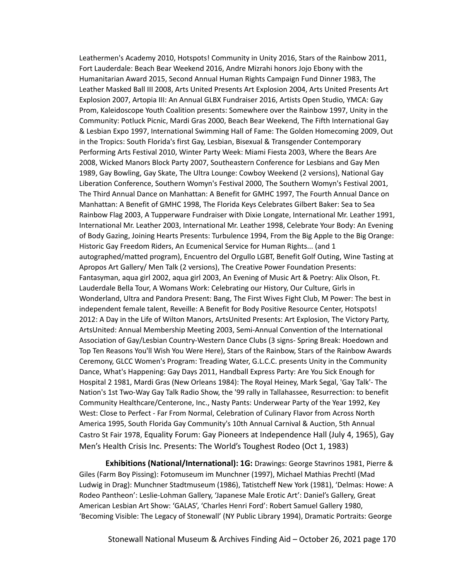Leathermen's Academy 2010, Hotspots! Community in Unity 2016, Stars of the Rainbow 2011, Fort Lauderdale: Beach Bear Weekend 2016, Andre Mizrahi honors Jojo Ebony with the Humanitarian Award 2015, Second Annual Human Rights Campaign Fund Dinner 1983, The Leather Masked Ball III 2008, Arts United Presents Art Explosion 2004, Arts United Presents Art Explosion 2007, Artopia III: An Annual GLBX Fundraiser 2016, Artists Open Studio, YMCA: Gay Prom, Kaleidoscope Youth Coalition presents: Somewhere over the Rainbow 1997, Unity in the Community: Potluck Picnic, Mardi Gras 2000, Beach Bear Weekend, The Fifth International Gay & Lesbian Expo 1997, International Swimming Hall of Fame: The Golden Homecoming 2009, Out in the Tropics: South Florida's first Gay, Lesbian, Bisexual & Transgender Contemporary Performing Arts Festival 2010, Winter Party Week: Miami Fiesta 2003, Where the Bears Are 2008, Wicked Manors Block Party 2007, Southeastern Conference for Lesbians and Gay Men 1989, Gay Bowling, Gay Skate, The Ultra Lounge: Cowboy Weekend (2 versions), National Gay Liberation Conference, Southern Womyn's Festival 2000, The Southern Womyn's Festival 2001, The Third Annual Dance on Manhattan: A Benefit for GMHC 1997, The Fourth Annual Dance on Manhattan: A Benefit of GMHC 1998, The Florida Keys Celebrates Gilbert Baker: Sea to Sea Rainbow Flag 2003, A Tupperware Fundraiser with Dixie Longate, International Mr. Leather 1991, International Mr. Leather 2003, International Mr. Leather 1998, Celebrate Your Body: An Evening of Body Gazing, Joining Hearts Presents: Turbulence 1994, From the Big Apple to the Big Orange: Historic Gay Freedom Riders, An Ecumenical Service for Human Rights... (and 1 autographed/matted program), Encuentro del Orgullo LGBT, Benefit Golf Outing, Wine Tasting at Apropos Art Gallery/ Men Talk (2 versions), The Creative Power Foundation Presents: Fantasyman, aqua girl 2002, aqua girl 2003, An Evening of Music Art & Poetry: Alix Olson, Ft. Lauderdale Bella Tour, A Womans Work: Celebrating our History, Our Culture, Girls in Wonderland, Ultra and Pandora Present: Bang, The First Wives Fight Club, M Power: The best in independent female talent, Reveille: A Benefit for Body Positive Resource Center, Hotspots! 2012: A Day in the Life of Wilton Manors, ArtsUnited Presents: Art Explosion, The Victory Party, ArtsUnited: Annual Membership Meeting 2003, Semi-Annual Convention of the International Association of Gay/Lesbian Country-Western Dance Clubs (3 signs- Spring Break: Hoedown and Top Ten Reasons You'll Wish You Were Here), Stars of the Rainbow, Stars of the Rainbow Awards Ceremony, GLCC Women's Program: Treading Water, G.L.C.C. presents Unity in the Community Dance, What's Happening: Gay Days 2011, Handball Express Party: Are You Sick Enough for Hospital 2 1981, Mardi Gras (New Orleans 1984): The Royal Heiney, Mark Segal, 'Gay Talk'- The Nation's 1st Two-Way Gay Talk Radio Show, the '99 rally in Tallahassee, Resurrection: to benefit Community Healthcare/Centerone, Inc., Nasty Pants: Underwear Party of the Year 1992, Key West: Close to Perfect - Far From Normal, Celebration of Culinary Flavor from Across North America 1995, South Florida Gay Community's 10th Annual Carnival & Auction, 5th Annual Castro St Fair 1978, Equality Forum: Gay Pioneers at Independence Hall (July 4, 1965), Gay Men's Health Crisis Inc. Presents: The World's Toughest Rodeo (Oct 1, 1983)

**Exhibitions (National/International): 1G:** Drawings: George Stavrinos 1981, Pierre & Giles (Farm Boy Pissing): Fotomuseum im Munchner (1997), Michael Mathias Prechtl (Mad Ludwig in Drag): Munchner Stadtmuseum (1986), Tatistcheff New York (1981), 'Delmas: Howe: A Rodeo Pantheon': Leslie-Lohman Gallery, 'Japanese Male Erotic Art': Daniel's Gallery, Great American Lesbian Art Show: 'GALAS', 'Charles Henri Ford': Robert Samuel Gallery 1980, 'Becoming Visible: The Legacy of Stonewall' (NY Public Library 1994), Dramatic Portraits: George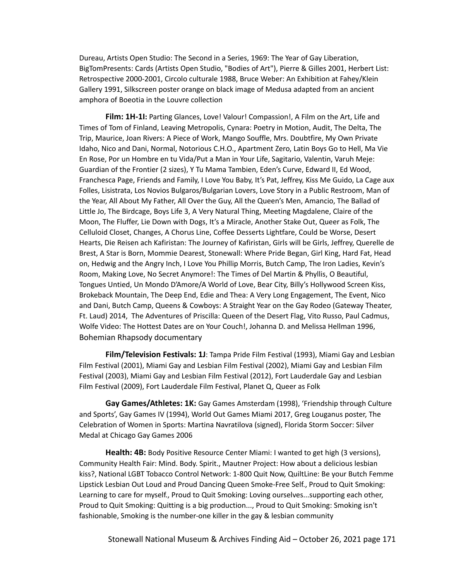Dureau, Artists Open Studio: The Second in a Series, 1969: The Year of Gay Liberation, BigTomPresents: Cards (Artists Open Studio, "Bodies of Art"), Pierre & Gilles 2001, Herbert List: Retrospective 2000-2001, Circolo culturale 1988, Bruce Weber: An Exhibition at Fahey/Klein Gallery 1991, Silkscreen poster orange on black image of Medusa adapted from an ancient amphora of Boeotia in the Louvre collection

**Film: 1H-1I:** Parting Glances, Love! Valour! Compassion!, A Film on the Art, Life and Times of Tom of Finland, Leaving Metropolis, Cynara: Poetry in Motion, Audit, The Delta, The Trip, Maurice, Joan Rivers: A Piece of Work, Mango Souffle, Mrs. Doubtfire, My Own Private Idaho, Nico and Dani, Normal, Notorious C.H.O., Apartment Zero, Latin Boys Go to Hell, Ma Vie En Rose, Por un Hombre en tu Vida/Put a Man in Your Life, Sagitario, Valentin, Varuh Meje: Guardian of the Frontier (2 sizes), Y Tu Mama Tambien, Eden's Curve, Edward II, Ed Wood, Franchesca Page, Friends and Family, I Love You Baby, It's Pat, Jeffrey, Kiss Me Guido, La Cage aux Folles, Lisistrata, Los Novios Bulgaros/Bulgarian Lovers, Love Story in a Public Restroom, Man of the Year, All About My Father, All Over the Guy, All the Queen's Men, Amancio, The Ballad of Little Jo, The Birdcage, Boys Life 3, A Very Natural Thing, Meeting Magdalene, Claire of the Moon, The Fluffer, Lie Down with Dogs, It's a Miracle, Another Stake Out, Queer as Folk, The Celluloid Closet, Changes, A Chorus Line, Coffee Desserts Lightfare, Could be Worse, Desert Hearts, Die Reisen ach Kafiristan: The Journey of Kafiristan, Girls will be Girls, Jeffrey, Querelle de Brest, A Star is Born, Mommie Dearest, Stonewall: Where Pride Began, Girl King, Hard Fat, Head on, Hedwig and the Angry Inch, I Love You Phillip Morris, Butch Camp, The Iron Ladies, Kevin's Room, Making Love, No Secret Anymore!: The Times of Del Martin & Phyllis, O Beautiful, Tongues Untied, Un Mondo D'Amore/A World of Love, Bear City, Billy's Hollywood Screen Kiss, Brokeback Mountain, The Deep End, Edie and Thea: A Very Long Engagement, The Event, Nico and Dani, Butch Camp, Queens & Cowboys: A Straight Year on the Gay Rodeo (Gateway Theater, Ft. Laud) 2014, The Adventures of Priscilla: Queen of the Desert Flag, Vito Russo, Paul Cadmus, Wolfe Video: The Hottest Dates are on Your Couch!, Johanna D. and Melissa Hellman 1996, Bohemian Rhapsody documentary

**Film/Television Festivals: 1J**: Tampa Pride Film Festival (1993), Miami Gay and Lesbian Film Festival (2001), Miami Gay and Lesbian Film Festival (2002), Miami Gay and Lesbian Film Festival (2003), Miami Gay and Lesbian Film Festival (2012), Fort Lauderdale Gay and Lesbian Film Festival (2009), Fort Lauderdale Film Festival, Planet Q, Queer as Folk

**Gay Games/Athletes: 1K:** Gay Games Amsterdam (1998), 'Friendship through Culture and Sports', Gay Games IV (1994), World Out Games Miami 2017, Greg Louganus poster, The Celebration of Women in Sports: Martina Navratilova (signed), Florida Storm Soccer: Silver Medal at Chicago Gay Games 2006

**Health: 4B:** Body Positive Resource Center Miami: I wanted to get high (3 versions), Community Health Fair: Mind. Body. Spirit., Mautner Project: How about a delicious lesbian kiss?, National LGBT Tobacco Control Network: 1-800 Quit Now, QuiltLine: Be your Butch Femme Lipstick Lesbian Out Loud and Proud Dancing Queen Smoke-Free Self., Proud to Quit Smoking: Learning to care for myself., Proud to Quit Smoking: Loving ourselves...supporting each other, Proud to Quit Smoking: Quitting is a big production..., Proud to Quit Smoking: Smoking isn't fashionable, Smoking is the number-one killer in the gay & lesbian community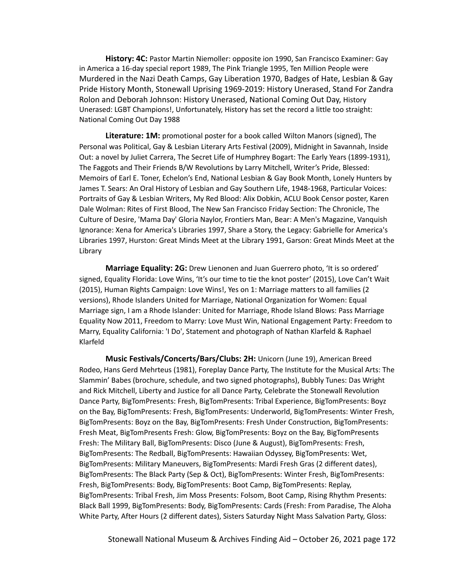**History: 4C:** Pastor Martin Niemoller: opposite ion 1990, San Francisco Examiner: Gay in America a 16-day special report 1989, The Pink Triangle 1995, Ten Million People were Murdered in the Nazi Death Camps, Gay Liberation 1970, Badges of Hate, Lesbian & Gay Pride History Month, Stonewall Uprising 1969-2019: History Unerased, Stand For Zandra Rolon and Deborah Johnson: History Unerased, National Coming Out Day, History Unerased: LGBT Champions!, Unfortunately, History has set the record a little too straight: National Coming Out Day 1988

**Literature: 1M:** promotional poster for a book called Wilton Manors (signed), The Personal was Political, Gay & Lesbian Literary Arts Festival (2009), Midnight in Savannah, Inside Out: a novel by Juliet Carrera, The Secret Life of Humphrey Bogart: The Early Years (1899-1931), The Faggots and Their Friends B/W Revolutions by Larry Mitchell, Writer's Pride, Blessed: Memoirs of Earl E. Toner, Echelon's End, National Lesbian & Gay Book Month, Lonely Hunters by James T. Sears: An Oral History of Lesbian and Gay Southern Life, 1948-1968, Particular Voices: Portraits of Gay & Lesbian Writers, My Red Blood: Alix Dobkin, ACLU Book Censor poster, Karen Dale Wolman: Rites of First Blood, The New San Francisco Friday Section: The Chronicle, The Culture of Desire, 'Mama Day' Gloria Naylor, Frontiers Man, Bear: A Men's Magazine, Vanquish Ignorance: Xena for America's Libraries 1997, Share a Story, the Legacy: Gabrielle for America's Libraries 1997, Hurston: Great Minds Meet at the Library 1991, Garson: Great Minds Meet at the Library

**Marriage Equality: 2G:** Drew Lienonen and Juan Guerrero photo, 'It is so ordered' signed, Equality Florida: Love Wins, 'It's our time to tie the knot poster' (2015), Love Can't Wait (2015), Human Rights Campaign: Love Wins!, Yes on 1: Marriage matters to all families (2 versions), Rhode Islanders United for Marriage, National Organization for Women: Equal Marriage sign, I am a Rhode Islander: United for Marriage, Rhode Island Blows: Pass Marriage Equality Now 2011, Freedom to Marry: Love Must Win, National Engagement Party: Freedom to Marry, Equality California: 'I Do', Statement and photograph of Nathan Klarfeld & Raphael Klarfeld

**Music Festivals/Concerts/Bars/Clubs: 2H:** Unicorn (June 19), American Breed Rodeo, Hans Gerd Mehrteus (1981), Foreplay Dance Party, The Institute for the Musical Arts: The Slammin' Babes (brochure, schedule, and two signed photographs), Bubbly Tunes: Das Wright and Rick Mitchell, Liberty and Justice for all Dance Party, Celebrate the Stonewall Revolution Dance Party, BigTomPresents: Fresh, BigTomPresents: Tribal Experience, BigTomPresents: Boyz on the Bay, BigTomPresents: Fresh, BigTomPresents: Underworld, BigTomPresents: Winter Fresh, BigTomPresents: Boyz on the Bay, BigTomPresents: Fresh Under Construction, BigTomPresents: Fresh Meat, BigTomPresents Fresh: Glow, BigTomPresents: Boyz on the Bay, BigTomPresents Fresh: The Military Ball, BigTomPresents: Disco (June & August), BigTomPresents: Fresh, BigTomPresents: The Redball, BigTomPresents: Hawaiian Odyssey, BigTomPresents: Wet, BigTomPresents: Military Maneuvers, BigTomPresents: Mardi Fresh Gras (2 different dates), BigTomPresents: The Black Party (Sep & Oct), BigTomPresents: Winter Fresh, BigTomPresents: Fresh, BigTomPresents: Body, BigTomPresents: Boot Camp, BigTomPresents: Replay, BigTomPresents: Tribal Fresh, Jim Moss Presents: Folsom, Boot Camp, Rising Rhythm Presents: Black Ball 1999, BigTomPresents: Body, BigTomPresents: Cards (Fresh: From Paradise, The Aloha White Party, After Hours (2 different dates), Sisters Saturday Night Mass Salvation Party, Gloss: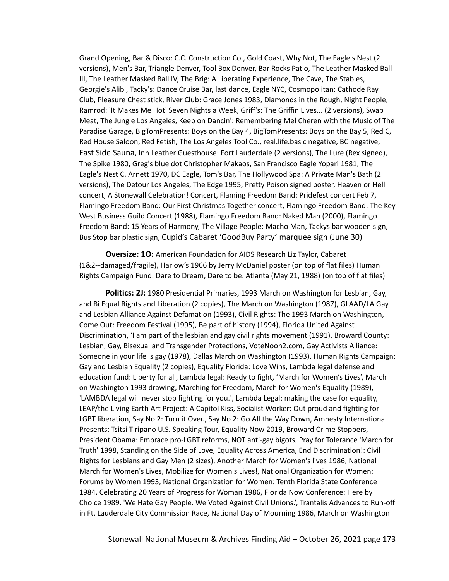Grand Opening, Bar & Disco: C.C. Construction Co., Gold Coast, Why Not, The Eagle's Nest (2 versions), Men's Bar, Triangle Denver, Tool Box Denver, Bar Rocks Patio, The Leather Masked Ball III, The Leather Masked Ball IV, The Brig: A Liberating Experience, The Cave, The Stables, Georgie's Alibi, Tacky's: Dance Cruise Bar, last dance, Eagle NYC, Cosmopolitan: Cathode Ray Club, Pleasure Chest stick, River Club: Grace Jones 1983, Diamonds in the Rough, Night People, Ramrod: 'It Makes Me Hot' Seven Nights a Week, Griff's: The Griffin Lives... (2 versions), Swap Meat, The Jungle Los Angeles, Keep on Dancin': Remembering Mel Cheren with the Music of The Paradise Garage, BigTomPresents: Boys on the Bay 4, BigTomPresents: Boys on the Bay 5, Red C, Red House Saloon, Red Fetish, The Los Angeles Tool Co., real.life.basic negative, BC negative, East Side Sauna, Inn Leather Guesthouse: Fort Lauderdale (2 versions), The Lure (Rex signed), The Spike 1980, Greg's blue dot Christopher Makaos, San Francisco Eagle Yopari 1981, The Eagle's Nest C. Arnett 1970, DC Eagle, Tom's Bar, The Hollywood Spa: A Private Man's Bath (2 versions), The Detour Los Angeles, The Edge 1995, Pretty Poison signed poster, Heaven or Hell concert, A Stonewall Celebration! Concert, Flaming Freedom Band: Pridefest concert Feb 7, Flamingo Freedom Band: Our First Christmas Together concert, Flamingo Freedom Band: The Key West Business Guild Concert (1988), Flamingo Freedom Band: Naked Man (2000), Flamingo Freedom Band: 15 Years of Harmony, The Village People: Macho Man, Tackys bar wooden sign, Bus Stop bar plastic sign, Cupid's Cabaret 'GoodBuy Party' marquee sign (June 30)

**Oversize: 1O:** American Foundation for AIDS Research Liz Taylor, Cabaret (1&2--damaged/fragile), Harlow's 1966 by Jerry McDaniel poster (on top of flat files) Human Rights Campaign Fund: Dare to Dream, Dare to be. Atlanta (May 21, 1988) (on top of flat files)

**Politics: 2J:** 1980 Presidential Primaries, 1993 March on Washington for Lesbian, Gay, and Bi Equal Rights and Liberation (2 copies), The March on Washington (1987), GLAAD/LA Gay and Lesbian Alliance Against Defamation (1993), Civil Rights: The 1993 March on Washington, Come Out: Freedom Festival (1995), Be part of history (1994), Florida United Against Discrimination, 'I am part of the lesbian and gay civil rights movement (1991), Broward County: Lesbian, Gay, Bisexual and Transgender Protections, VoteNoon2.com, Gay Activists Alliance: Someone in your life is gay (1978), Dallas March on Washington (1993), Human Rights Campaign: Gay and Lesbian Equality (2 copies), Equality Florida: Love Wins, Lambda legal defense and education fund: Liberty for all, Lambda legal: Ready to fight, 'March for Women's Lives', March on Washington 1993 drawing, Marching for Freedom, March for Women's Equality (1989), 'LAMBDA legal will never stop fighting for you.', Lambda Legal: making the case for equality, LEAP/the Living Earth Art Project: A Capitol Kiss, Socialist Worker: Out proud and fighting for LGBT liberation, Say No 2: Turn it Over., Say No 2: Go All the Way Down, Amnesty International Presents: Tsitsi Tiripano U.S. Speaking Tour, Equality Now 2019, Broward Crime Stoppers, President Obama: Embrace pro-LGBT reforms, NOT anti-gay bigots, Pray for Tolerance 'March for Truth' 1998, Standing on the Side of Love, Equality Across America, End Discrimination!: Civil Rights for Lesbians and Gay Men (2 sizes), Another March for Women's lives 1986, National March for Women's Lives, Mobilize for Women's Lives!, National Organization for Women: Forums by Women 1993, National Organization for Women: Tenth Florida State Conference 1984, Celebrating 20 Years of Progress for Woman 1986, Florida Now Conference: Here by Choice 1989, 'We Hate Gay People. We Voted Against Civil Unions.', Trantalis Advances to Run-off in Ft. Lauderdale City Commission Race, National Day of Mourning 1986, March on Washington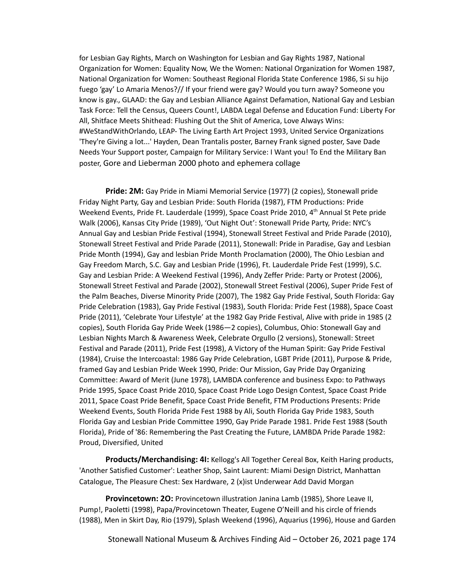for Lesbian Gay Rights, March on Washington for Lesbian and Gay Rights 1987, National Organization for Women: Equality Now, We the Women: National Organization for Women 1987, National Organization for Women: Southeast Regional Florida State Conference 1986, Si su hijo fuego 'gay' Lo Amaria Menos?// If your friend were gay? Would you turn away? Someone you know is gay., GLAAD: the Gay and Lesbian Alliance Against Defamation, National Gay and Lesbian Task Force: Tell the Census, Queers Count!, LABDA Legal Defense and Education Fund: Liberty For All, Shitface Meets Shithead: Flushing Out the Shit of America, Love Always Wins: #WeStandWithOrlando, LEAP- The Living Earth Art Project 1993, United Service Organizations 'They're Giving a lot...' Hayden, Dean Trantalis poster, Barney Frank signed poster, Save Dade Needs Your Support poster, Campaign for Military Service: I Want you! To End the Military Ban poster, Gore and Lieberman 2000 photo and ephemera collage

**Pride: 2M:** Gay Pride in Miami Memorial Service (1977) (2 copies), Stonewall pride Friday Night Party, Gay and Lesbian Pride: South Florida (1987), FTM Productions: Pride Weekend Events, Pride Ft. Lauderdale (1999), Space Coast Pride 2010, 4<sup>th</sup> Annual St Pete pride Walk (2006), Kansas City Pride (1989), 'Out Night Out': Stonewall Pride Party, Pride: NYC's Annual Gay and Lesbian Pride Festival (1994), Stonewall Street Festival and Pride Parade (2010), Stonewall Street Festival and Pride Parade (2011), Stonewall: Pride in Paradise, Gay and Lesbian Pride Month (1994), Gay and lesbian Pride Month Proclamation (2000), The Ohio Lesbian and Gay Freedom March, S.C. Gay and Lesbian Pride (1996), Ft. Lauderdale Pride Fest (1999), S.C. Gay and Lesbian Pride: A Weekend Festival (1996), Andy Zeffer Pride: Party or Protest (2006), Stonewall Street Festival and Parade (2002), Stonewall Street Festival (2006), Super Pride Fest of the Palm Beaches, Diverse Minority Pride (2007), The 1982 Gay Pride Festival, South Florida: Gay Pride Celebration (1983), Gay Pride Festival (1983), South Florida: Pride Fest (1988), Space Coast Pride (2011), 'Celebrate Your Lifestyle' at the 1982 Gay Pride Festival, Alive with pride in 1985 (2 copies), South Florida Gay Pride Week (1986—2 copies), Columbus, Ohio: Stonewall Gay and Lesbian Nights March & Awareness Week, Celebrate Orgullo (2 versions), Stonewall: Street Festival and Parade (2011), Pride Fest (1998), A Victory of the Human Spirit: Gay Pride Festival (1984), Cruise the Intercoastal: 1986 Gay Pride Celebration, LGBT Pride (2011), Purpose & Pride, framed Gay and Lesbian Pride Week 1990, Pride: Our Mission, Gay Pride Day Organizing Committee: Award of Merit (June 1978), LAMBDA conference and business Expo: to Pathways Pride 1995, Space Coast Pride 2010, Space Coast Pride Logo Design Contest, Space Coast Pride 2011, Space Coast Pride Benefit, Space Coast Pride Benefit, FTM Productions Presents: Pride Weekend Events, South Florida Pride Fest 1988 by Ali, South Florida Gay Pride 1983, South Florida Gay and Lesbian Pride Committee 1990, Gay Pride Parade 1981. Pride Fest 1988 (South Florida), Pride of '86: Remembering the Past Creating the Future, LAMBDA Pride Parade 1982: Proud, Diversified, United

**Products/Merchandising: 4I:** Kellogg's All Together Cereal Box, Keith Haring products, 'Another Satisfied Customer': Leather Shop, Saint Laurent: Miami Design District, Manhattan Catalogue, The Pleasure Chest: Sex Hardware, 2 (x)ist Underwear Add David Morgan

**Provincetown: 2O:** Provincetown illustration Janina Lamb (1985), Shore Leave II, Pump!, Paoletti (1998), Papa/Provincetown Theater, Eugene O'Neill and his circle of friends (1988), Men in Skirt Day, Rio (1979), Splash Weekend (1996), Aquarius (1996), House and Garden

Stonewall National Museum & Archives Finding Aid – October 26, 2021 page 174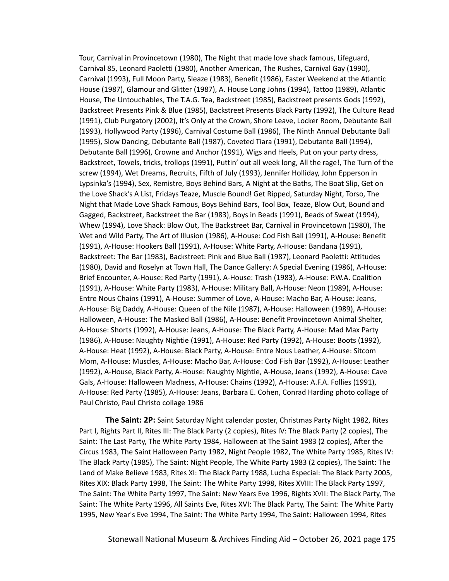Tour, Carnival in Provincetown (1980), The Night that made love shack famous, Lifeguard, Carnival 85, Leonard Paoletti (1980), Another American, The Rushes, Carnival Gay (1990), Carnival (1993), Full Moon Party, Sleaze (1983), Benefit (1986), Easter Weekend at the Atlantic House (1987), Glamour and Glitter (1987), A. House Long Johns (1994), Tattoo (1989), Atlantic House, The Untouchables, The T.A.G. Tea, Backstreet (1985), Backstreet presents Gods (1992), Backstreet Presents Pink & Blue (1985), Backstreet Presents Black Party (1992), The Culture Read (1991), Club Purgatory (2002), It's Only at the Crown, Shore Leave, Locker Room, Debutante Ball (1993), Hollywood Party (1996), Carnival Costume Ball (1986), The Ninth Annual Debutante Ball (1995), Slow Dancing, Debutante Ball (1987), Coveted Tiara (1991), Debutante Ball (1994), Debutante Ball (1996), Crowne and Anchor (1991), Wigs and Heels, Put on your party dress, Backstreet, Towels, tricks, trollops (1991), Puttin' out all week long, All the rage!, The Turn of the screw (1994), Wet Dreams, Recruits, Fifth of July (1993), Jennifer Holliday, John Epperson in Lypsinka's (1994), Sex, Remistre, Boys Behind Bars, A Night at the Baths, The Boat Slip, Get on the Love Shack's A List, Fridays Teaze, Muscle Bound! Get Ripped, Saturday Night, Torso, The Night that Made Love Shack Famous, Boys Behind Bars, Tool Box, Teaze, Blow Out, Bound and Gagged, Backstreet, Backstreet the Bar (1983), Boys in Beads (1991), Beads of Sweat (1994), Whew (1994), Love Shack: Blow Out, The Backstreet Bar, Carnival in Provincetown (1980), The Wet and Wild Party, The Art of Illusion (1986), A-House: Cod Fish Ball (1991), A-House: Benefit (1991), A-House: Hookers Ball (1991), A-House: White Party, A-House: Bandana (1991), Backstreet: The Bar (1983), Backstreet: Pink and Blue Ball (1987), Leonard Paoletti: Attitudes (1980), David and Roselyn at Town Hall, The Dance Gallery: A Special Evening (1986), A-House: Brief Encounter, A-House: Red Party (1991), A-House: Trash (1983), A-House: P.W.A. Coalition (1991), A-House: White Party (1983), A-House: Military Ball, A-House: Neon (1989), A-House: Entre Nous Chains (1991), A-House: Summer of Love, A-House: Macho Bar, A-House: Jeans, A-House: Big Daddy, A-House: Queen of the Nile (1987), A-House: Halloween (1989), A-House: Halloween, A-House: The Masked Ball (1986), A-House: Benefit Provincetown Animal Shelter, A-House: Shorts (1992), A-House: Jeans, A-House: The Black Party, A-House: Mad Max Party (1986), A-House: Naughty Nightie (1991), A-House: Red Party (1992), A-House: Boots (1992), A-House: Heat (1992), A-House: Black Party, A-House: Entre Nous Leather, A-House: Sitcom Mom, A-House: Muscles, A-House: Macho Bar, A-House: Cod Fish Bar (1992), A-House: Leather (1992), A-House, Black Party, A-House: Naughty Nightie, A-House, Jeans (1992), A-House: Cave Gals, A-House: Halloween Madness, A-House: Chains (1992), A-House: A.F.A. Follies (1991), A-House: Red Party (1985), A-House: Jeans, Barbara E. Cohen, Conrad Harding photo collage of Paul Christo, Paul Christo collage 1986

**The Saint: 2P:** Saint Saturday Night calendar poster, Christmas Party Night 1982, Rites Part I, Rights Part II, Rites III: The Black Party (2 copies), Rites IV: The Black Party (2 copies), The Saint: The Last Party, The White Party 1984, Halloween at The Saint 1983 (2 copies), After the Circus 1983, The Saint Halloween Party 1982, Night People 1982, The White Party 1985, Rites IV: The Black Party (1985), The Saint: Night People, The White Party 1983 (2 copies), The Saint: The Land of Make Believe 1983, Rites XI: The Black Party 1988, Lucha Especial: The Black Party 2005, Rites XIX: Black Party 1998, The Saint: The White Party 1998, Rites XVIII: The Black Party 1997, The Saint: The White Party 1997, The Saint: New Years Eve 1996, Rights XVII: The Black Party, The Saint: The White Party 1996, All Saints Eve, Rites XVI: The Black Party, The Saint: The White Party 1995, New Year's Eve 1994, The Saint: The White Party 1994, The Saint: Halloween 1994, Rites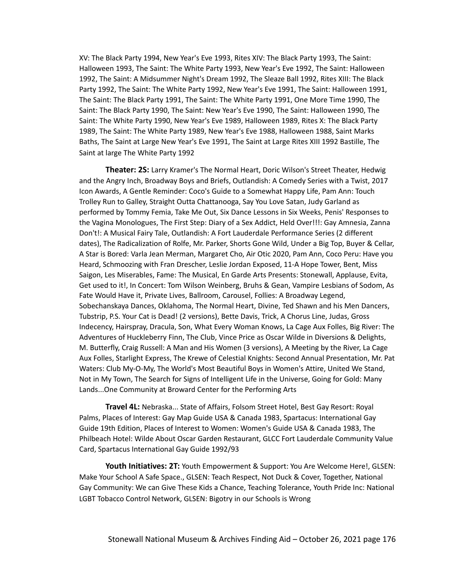XV: The Black Party 1994, New Year's Eve 1993, Rites XIV: The Black Party 1993, The Saint: Halloween 1993, The Saint: The White Party 1993, New Year's Eve 1992, The Saint: Halloween 1992, The Saint: A Midsummer Night's Dream 1992, The Sleaze Ball 1992, Rites XIII: The Black Party 1992, The Saint: The White Party 1992, New Year's Eve 1991, The Saint: Halloween 1991, The Saint: The Black Party 1991, The Saint: The White Party 1991, One More Time 1990, The Saint: The Black Party 1990, The Saint: New Year's Eve 1990, The Saint: Halloween 1990, The Saint: The White Party 1990, New Year's Eve 1989, Halloween 1989, Rites X: The Black Party 1989, The Saint: The White Party 1989, New Year's Eve 1988, Halloween 1988, Saint Marks Baths, The Saint at Large New Year's Eve 1991, The Saint at Large Rites XIII 1992 Bastille, The Saint at large The White Party 1992

**Theater: 2S:** Larry Kramer's The Normal Heart, Doric Wilson's Street Theater, Hedwig and the Angry Inch, Broadway Boys and Briefs, Outlandish: A Comedy Series with a Twist, 2017 Icon Awards, A Gentle Reminder: Coco's Guide to a Somewhat Happy Life, Pam Ann: Touch Trolley Run to Galley, Straight Outta Chattanooga, Say You Love Satan, Judy Garland as performed by Tommy Femia, Take Me Out, Six Dance Lessons in Six Weeks, Penis' Responses to the Vagina Monologues, The First Step: Diary of a Sex Addict, Held Over!!!: Gay Amnesia, Zanna Don't!: A Musical Fairy Tale, Outlandish: A Fort Lauderdale Performance Series (2 different dates), The Radicalization of Rolfe, Mr. Parker, Shorts Gone Wild, Under a Big Top, Buyer & Cellar, A Star is Bored: Varla Jean Merman, Margaret Cho, Air Otic 2020, Pam Ann, Coco Peru: Have you Heard, Schmoozing with Fran Drescher, Leslie Jordan Exposed, 11-A Hope Tower, Bent, Miss Saigon, Les Miserables, Fame: The Musical, En Garde Arts Presents: Stonewall, Applause, Evita, Get used to it!, In Concert: Tom Wilson Weinberg, Bruhs & Gean, Vampire Lesbians of Sodom, As Fate Would Have it, Private Lives, Ballroom, Carousel, Follies: A Broadway Legend, Sobechanskaya Dances, Oklahoma, The Normal Heart, Divine, Ted Shawn and his Men Dancers, Tubstrip, P.S. Your Cat is Dead! (2 versions), Bette Davis, Trick, A Chorus Line, Judas, Gross Indecency, Hairspray, Dracula, Son, What Every Woman Knows, La Cage Aux Folles, Big River: The Adventures of Huckleberry Finn, The Club, Vince Price as Oscar Wilde in Diversions & Delights, M. Butterfly, Craig Russell: A Man and His Women (3 versions), A Meeting by the River, La Cage Aux Folles, Starlight Express, The Krewe of Celestial Knights: Second Annual Presentation, Mr. Pat Waters: Club My-O-My, The World's Most Beautiful Boys in Women's Attire, United We Stand, Not in My Town, The Search for Signs of Intelligent Life in the Universe, Going for Gold: Many Lands...One Community at Broward Center for the Performing Arts

**Travel 4L:** Nebraska... State of Affairs, Folsom Street Hotel, Best Gay Resort: Royal Palms, Places of Interest: Gay Map Guide USA & Canada 1983, Spartacus: International Gay Guide 19th Edition, Places of Interest to Women: Women's Guide USA & Canada 1983, The Philbeach Hotel: Wilde About Oscar Garden Restaurant, GLCC Fort Lauderdale Community Value Card, Spartacus International Gay Guide 1992/93

**Youth Initiatives: 2T:** Youth Empowerment & Support: You Are Welcome Here!, GLSEN: Make Your School A Safe Space., GLSEN: Teach Respect, Not Duck & Cover, Together, National Gay Community: We can Give These Kids a Chance, Teaching Tolerance, Youth Pride Inc: National LGBT Tobacco Control Network, GLSEN: Bigotry in our Schools is Wrong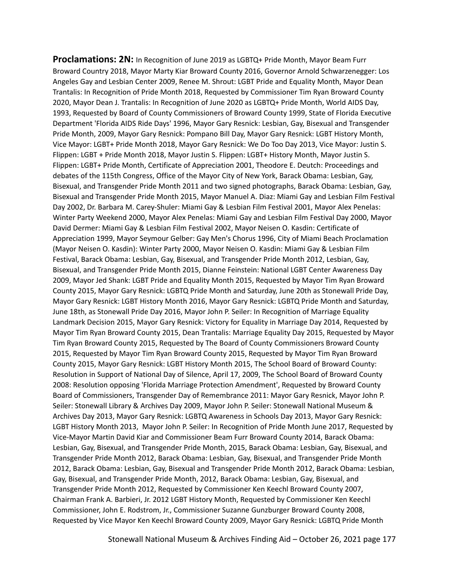**Proclamations: 2N:** In Recognition of June 2019 as LGBTQ+ Pride Month, Mayor Beam Furr Broward Country 2018, Mayor Marty Kiar Broward County 2016, Governor Arnold Schwarzenegger: Los Angeles Gay and Lesbian Center 2009, Renee M. Shrout: LGBT Pride and Equality Month, Mayor Dean Trantalis: In Recognition of Pride Month 2018, Requested by Commissioner Tim Ryan Broward County 2020, Mayor Dean J. Trantalis: In Recognition of June 2020 as LGBTQ+ Pride Month, World AIDS Day, 1993, Requested by Board of County Commissioners of Broward County 1999, State of Florida Executive Department 'Florida AIDS Ride Days' 1996, Mayor Gary Resnick: Lesbian, Gay, Bisexual and Transgender Pride Month, 2009, Mayor Gary Resnick: Pompano Bill Day, Mayor Gary Resnick: LGBT History Month, Vice Mayor: LGBT+ Pride Month 2018, Mayor Gary Resnick: We Do Too Day 2013, Vice Mayor: Justin S. Flippen: LGBT + Pride Month 2018, Mayor Justin S. Flippen: LGBT+ History Month, Mayor Justin S. Flippen: LGBT+ Pride Month, Certificate of Appreciation 2001, Theodore E. Deutch: Proceedings and debates of the 115th Congress, Office of the Mayor City of New York, Barack Obama: Lesbian, Gay, Bisexual, and Transgender Pride Month 2011 and two signed photographs, Barack Obama: Lesbian, Gay, Bisexual and Transgender Pride Month 2015, Mayor Manuel A. Diaz: Miami Gay and Lesbian Film Festival Day 2002, Dr. Barbara M. Carey-Shuler: Miami Gay & Lesbian Film Festival 2001, Mayor Alex Penelas: Winter Party Weekend 2000, Mayor Alex Penelas: Miami Gay and Lesbian Film Festival Day 2000, Mayor David Dermer: Miami Gay & Lesbian Film Festival 2002, Mayor Neisen O. Kasdin: Certificate of Appreciation 1999, Mayor Seymour Gelber: Gay Men's Chorus 1996, City of Miami Beach Proclamation (Mayor Neisen O. Kasdin): Winter Party 2000, Mayor Neisen O. Kasdin: Miami Gay & Lesbian Film Festival, Barack Obama: Lesbian, Gay, Bisexual, and Transgender Pride Month 2012, Lesbian, Gay, Bisexual, and Transgender Pride Month 2015, Dianne Feinstein: National LGBT Center Awareness Day 2009, Mayor Jed Shank: LGBT Pride and Equality Month 2015, Requested by Mayor Tim Ryan Broward County 2015, Mayor Gary Resnick: LGBTQ Pride Month and Saturday, June 20th as Stonewall Pride Day, Mayor Gary Resnick: LGBT History Month 2016, Mayor Gary Resnick: LGBTQ Pride Month and Saturday, June 18th, as Stonewall Pride Day 2016, Mayor John P. Seiler: In Recognition of Marriage Equality Landmark Decision 2015, Mayor Gary Resnick: Victory for Equality in Marriage Day 2014, Requested by Mayor Tim Ryan Broward County 2015, Dean Trantalis: Marriage Equality Day 2015, Requested by Mayor Tim Ryan Broward County 2015, Requested by The Board of County Commissioners Broward County 2015, Requested by Mayor Tim Ryan Broward County 2015, Requested by Mayor Tim Ryan Broward County 2015, Mayor Gary Resnick: LGBT History Month 2015, The School Board of Broward County: Resolution in Support of National Day of Silence, April 17, 2009, The School Board of Broward County 2008: Resolution opposing 'Florida Marriage Protection Amendment', Requested by Broward County Board of Commissioners, Transgender Day of Remembrance 2011: Mayor Gary Resnick, Mayor John P. Seiler: Stonewall Library & Archives Day 2009, Mayor John P. Seiler: Stonewall National Museum & Archives Day 2013, Mayor Gary Resnick: LGBTQ Awareness in Schools Day 2013, Mayor Gary Resnick: LGBT History Month 2013, Mayor John P. Seiler: In Recognition of Pride Month June 2017, Requested by Vice-Mayor Martin David Kiar and Commissioner Beam Furr Broward County 2014, Barack Obama: Lesbian, Gay, Bisexual, and Transgender Pride Month, 2015, Barack Obama: Lesbian, Gay, Bisexual, and Transgender Pride Month 2012, Barack Obama: Lesbian, Gay, Bisexual, and Transgender Pride Month 2012, Barack Obama: Lesbian, Gay, Bisexual and Transgender Pride Month 2012, Barack Obama: Lesbian, Gay, Bisexual, and Transgender Pride Month, 2012, Barack Obama: Lesbian, Gay, Bisexual, and Transgender Pride Month 2012, Requested by Commissioner Ken Keechl Broward County 2007, Chairman Frank A. Barbieri, Jr. 2012 LGBT History Month, Requested by Commissioner Ken Keechl Commissioner, John E. Rodstrom, Jr., Commissioner Suzanne Gunzburger Broward County 2008, Requested by Vice Mayor Ken Keechl Broward County 2009, Mayor Gary Resnick: LGBTQ Pride Month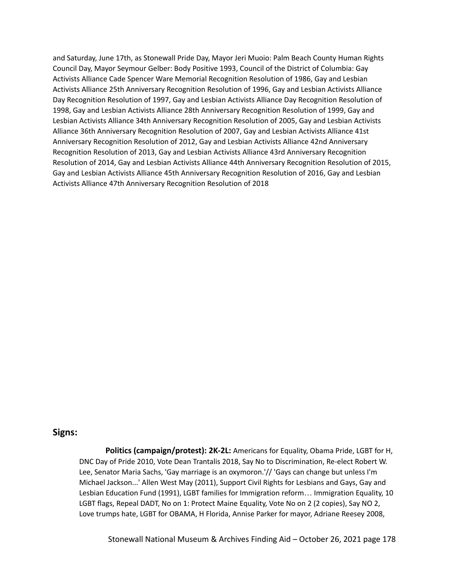and Saturday, June 17th, as Stonewall Pride Day, Mayor Jeri Muoio: Palm Beach County Human Rights Council Day, Mayor Seymour Gelber: Body Positive 1993, Council of the District of Columbia: Gay Activists Alliance Cade Spencer Ware Memorial Recognition Resolution of 1986, Gay and Lesbian Activists Alliance 25th Anniversary Recognition Resolution of 1996, Gay and Lesbian Activists Alliance Day Recognition Resolution of 1997, Gay and Lesbian Activists Alliance Day Recognition Resolution of 1998, Gay and Lesbian Activists Alliance 28th Anniversary Recognition Resolution of 1999, Gay and Lesbian Activists Alliance 34th Anniversary Recognition Resolution of 2005, Gay and Lesbian Activists Alliance 36th Anniversary Recognition Resolution of 2007, Gay and Lesbian Activists Alliance 41st Anniversary Recognition Resolution of 2012, Gay and Lesbian Activists Alliance 42nd Anniversary Recognition Resolution of 2013, Gay and Lesbian Activists Alliance 43rd Anniversary Recognition Resolution of 2014, Gay and Lesbian Activists Alliance 44th Anniversary Recognition Resolution of 2015, Gay and Lesbian Activists Alliance 45th Anniversary Recognition Resolution of 2016, Gay and Lesbian Activists Alliance 47th Anniversary Recognition Resolution of 2018

# **Signs:**

**Politics (campaign/protest): 2K-2L:** Americans for Equality, Obama Pride, LGBT for H, DNC Day of Pride 2010, Vote Dean Trantalis 2018, Say No to Discrimination, Re-elect Robert W. Lee, Senator Maria Sachs, 'Gay marriage is an oxymoron.'// 'Gays can change but unless I'm Michael Jackson...' Allen West May (2011), Support Civil Rights for Lesbians and Gays, Gay and Lesbian Education Fund (1991), LGBT families for Immigration reform… Immigration Equality, 10 LGBT flags, Repeal DADT, No on 1: Protect Maine Equality, Vote No on 2 (2 copies), Say NO 2, Love trumps hate, LGBT for OBAMA, H Florida, Annise Parker for mayor, Adriane Reesey 2008,

Stonewall National Museum & Archives Finding Aid – October 26, 2021 page 178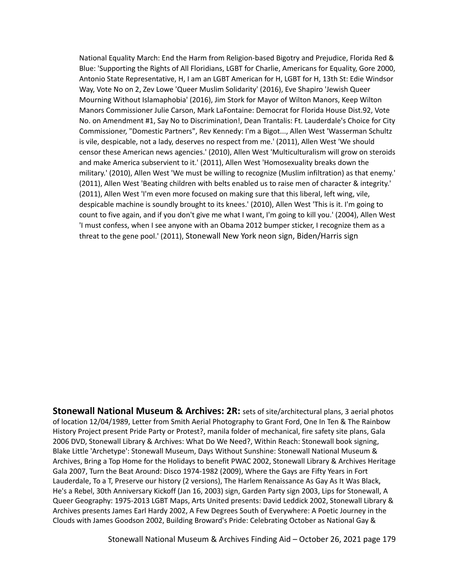National Equality March: End the Harm from Religion-based Bigotry and Prejudice, Florida Red & Blue: 'Supporting the Rights of All Floridians, LGBT for Charlie, Americans for Equality, Gore 2000, Antonio State Representative, H, I am an LGBT American for H, LGBT for H, 13th St: Edie Windsor Way, Vote No on 2, Zev Lowe 'Queer Muslim Solidarity' (2016), Eve Shapiro 'Jewish Queer Mourning Without Islamaphobia' (2016), Jim Stork for Mayor of Wilton Manors, Keep Wilton Manors Commissioner Julie Carson, Mark LaFontaine: Democrat for Florida House Dist.92, Vote No. on Amendment #1, Say No to Discrimination!, Dean Trantalis: Ft. Lauderdale's Choice for City Commissioner, "Domestic Partners", Rev Kennedy: I'm a Bigot..., Allen West 'Wasserman Schultz is vile, despicable, not a lady, deserves no respect from me.' (2011), Allen West 'We should censor these American news agencies.' (2010), Allen West 'Multiculturalism will grow on steroids and make America subservient to it.' (2011), Allen West 'Homosexuality breaks down the military.' (2010), Allen West 'We must be willing to recognize (Muslim infiltration) as that enemy.' (2011), Allen West 'Beating children with belts enabled us to raise men of character & integrity.' (2011), Allen West 'I'm even more focused on making sure that this liberal, left wing, vile, despicable machine is soundly brought to its knees.' (2010), Allen West 'This is it. I'm going to count to five again, and if you don't give me what I want, I'm going to kill you.' (2004), Allen West 'I must confess, when I see anyone with an Obama 2012 bumper sticker, I recognize them as a threat to the gene pool.' (2011), Stonewall New York neon sign, Biden/Harris sign

**Stonewall National Museum & Archives: 2R:** sets of site/architectural plans, 3 aerial photos of location 12/04/1989, Letter from Smith Aerial Photography to Grant Ford, One In Ten & The Rainbow History Project present Pride Party or Protest?, manila folder of mechanical, fire safety site plans, Gala 2006 DVD, Stonewall Library & Archives: What Do We Need?, Within Reach: Stonewall book signing, Blake Little 'Archetype': Stonewall Museum, Days Without Sunshine: Stonewall National Museum & Archives, Bring a Top Home for the Holidays to benefit PWAC 2002, Stonewall Library & Archives Heritage Gala 2007, Turn the Beat Around: Disco 1974-1982 (2009), Where the Gays are Fifty Years in Fort Lauderdale, To a T, Preserve our history (2 versions), The Harlem Renaissance As Gay As It Was Black, He's a Rebel, 30th Anniversary Kickoff (Jan 16, 2003) sign, Garden Party sign 2003, Lips for Stonewall, A Queer Geography: 1975-2013 LGBT Maps, Arts United presents: David Leddick 2002, Stonewall Library & Archives presents James Earl Hardy 2002, A Few Degrees South of Everywhere: A Poetic Journey in the Clouds with James Goodson 2002, Building Broward's Pride: Celebrating October as National Gay &

Stonewall National Museum & Archives Finding Aid – October 26, 2021 page 179